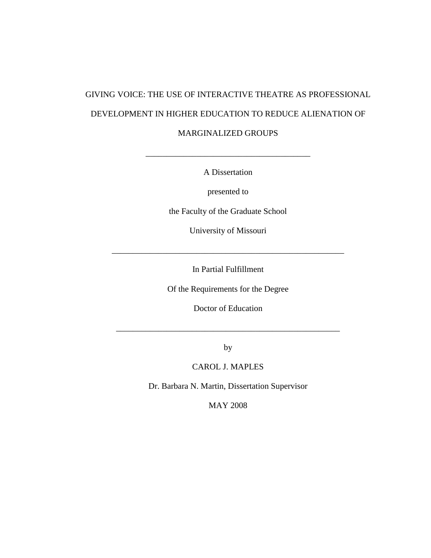# GIVING VOICE: THE USE OF INTERACTIVE THEATRE AS PROFESSIONAL DEVELOPMENT IN HIGHER EDUCATION TO REDUCE ALIENATION OF MARGINALIZED GROUPS

A Dissertation

\_\_\_\_\_\_\_\_\_\_\_\_\_\_\_\_\_\_\_\_\_\_\_\_\_\_\_\_\_\_\_\_\_\_\_\_\_\_\_

presented to

the Faculty of the Graduate School

University of Missouri

In Partial Fulfillment

\_\_\_\_\_\_\_\_\_\_\_\_\_\_\_\_\_\_\_\_\_\_\_\_\_\_\_\_\_\_\_\_\_\_\_\_\_\_\_\_\_\_\_\_\_\_\_\_\_\_\_\_\_\_\_

Of the Requirements for the Degree

Doctor of Education

\_\_\_\_\_\_\_\_\_\_\_\_\_\_\_\_\_\_\_\_\_\_\_\_\_\_\_\_\_\_\_\_\_\_\_\_\_\_\_\_\_\_\_\_\_\_\_\_\_\_\_\_\_

by

# CAROL J. MAPLES

Dr. Barbara N. Martin, Dissertation Supervisor

MAY 2008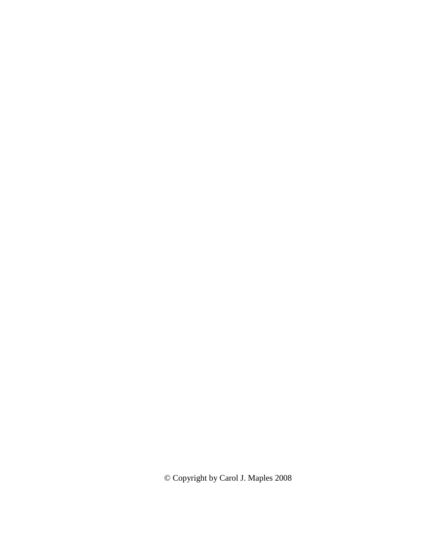© Copyright by Carol J. Maples 2008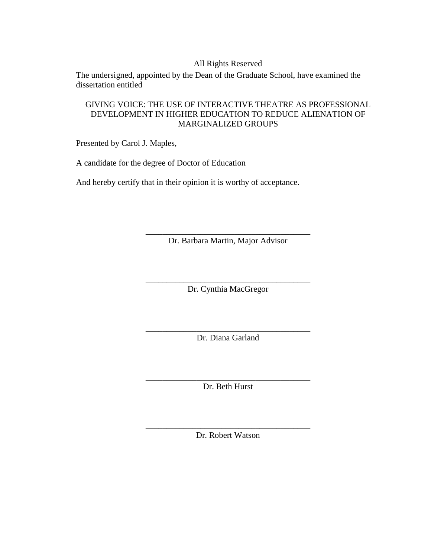# All Rights Reserved

The undersigned, appointed by the Dean of the Graduate School, have examined the dissertation entitled

# GIVING VOICE: THE USE OF INTERACTIVE THEATRE AS PROFESSIONAL DEVELOPMENT IN HIGHER EDUCATION TO REDUCE ALIENATION OF MARGINALIZED GROUPS

Presented by Carol J. Maples,

A candidate for the degree of Doctor of Education

And hereby certify that in their opinion it is worthy of acceptance.

\_\_\_\_\_\_\_\_\_\_\_\_\_\_\_\_\_\_\_\_\_\_\_\_\_\_\_\_\_\_\_\_\_\_\_\_\_\_\_ Dr. Barbara Martin, Major Advisor

\_\_\_\_\_\_\_\_\_\_\_\_\_\_\_\_\_\_\_\_\_\_\_\_\_\_\_\_\_\_\_\_\_\_\_\_\_\_\_ Dr. Cynthia MacGregor

\_\_\_\_\_\_\_\_\_\_\_\_\_\_\_\_\_\_\_\_\_\_\_\_\_\_\_\_\_\_\_\_\_\_\_\_\_\_\_ Dr. Diana Garland

\_\_\_\_\_\_\_\_\_\_\_\_\_\_\_\_\_\_\_\_\_\_\_\_\_\_\_\_\_\_\_\_\_\_\_\_\_\_\_ Dr. Beth Hurst

\_\_\_\_\_\_\_\_\_\_\_\_\_\_\_\_\_\_\_\_\_\_\_\_\_\_\_\_\_\_\_\_\_\_\_\_\_\_\_ Dr. Robert Watson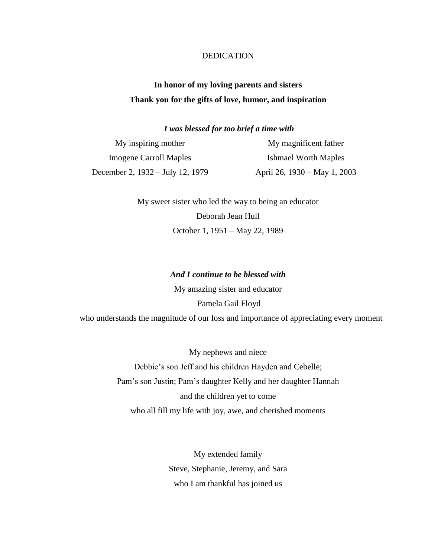# DEDICATION

# **In honor of my loving parents and sisters Thank you for the gifts of love, humor, and inspiration**

*I was blessed for too brief a time with*

My inspiring mother Imogene Carroll Maples December 2, 1932 – July 12, 1979 My magnificent father Ishmael Worth Maples April 26, 1930 – May 1, 2003

> My sweet sister who led the way to being an educator Deborah Jean Hull October 1, 1951 – May 22, 1989

# *And I continue to be blessed with*

My amazing sister and educator Pamela Gail Floyd who understands the magnitude of our loss and importance of appreciating every moment

My nephews and niece Debbie's son Jeff and his children Hayden and Cebelle; Pam's son Justin; Pam's daughter Kelly and her daughter Hannah and the children yet to come who all fill my life with joy, awe, and cherished moments

> My extended family Steve, Stephanie, Jeremy, and Sara who I am thankful has joined us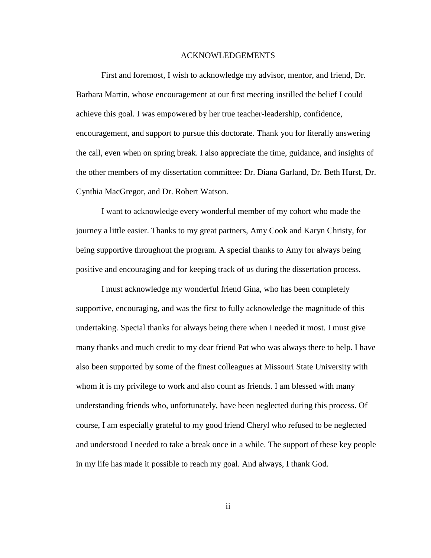#### ACKNOWLEDGEMENTS

First and foremost, I wish to acknowledge my advisor, mentor, and friend, Dr. Barbara Martin, whose encouragement at our first meeting instilled the belief I could achieve this goal. I was empowered by her true teacher-leadership, confidence, encouragement, and support to pursue this doctorate. Thank you for literally answering the call, even when on spring break. I also appreciate the time, guidance, and insights of the other members of my dissertation committee: Dr. Diana Garland, Dr. Beth Hurst, Dr. Cynthia MacGregor, and Dr. Robert Watson.

I want to acknowledge every wonderful member of my cohort who made the journey a little easier. Thanks to my great partners, Amy Cook and Karyn Christy, for being supportive throughout the program. A special thanks to Amy for always being positive and encouraging and for keeping track of us during the dissertation process.

I must acknowledge my wonderful friend Gina, who has been completely supportive, encouraging, and was the first to fully acknowledge the magnitude of this undertaking. Special thanks for always being there when I needed it most. I must give many thanks and much credit to my dear friend Pat who was always there to help. I have also been supported by some of the finest colleagues at Missouri State University with whom it is my privilege to work and also count as friends. I am blessed with many understanding friends who, unfortunately, have been neglected during this process. Of course, I am especially grateful to my good friend Cheryl who refused to be neglected and understood I needed to take a break once in a while. The support of these key people in my life has made it possible to reach my goal. And always, I thank God.

ii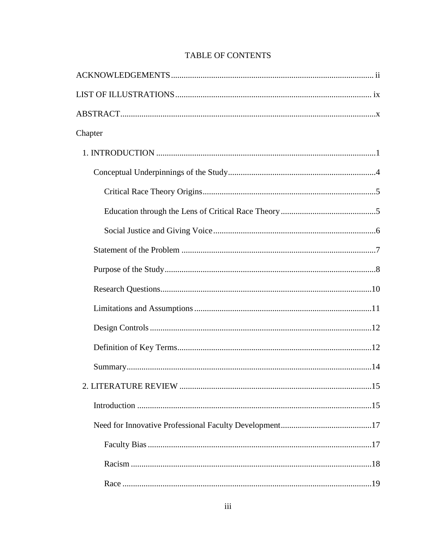| Chapter |  |
|---------|--|
|         |  |
|         |  |
|         |  |
|         |  |
|         |  |
|         |  |
|         |  |
|         |  |
|         |  |
|         |  |
|         |  |
|         |  |
|         |  |
|         |  |
|         |  |
|         |  |
|         |  |
|         |  |

# **TABLE OF CONTENTS**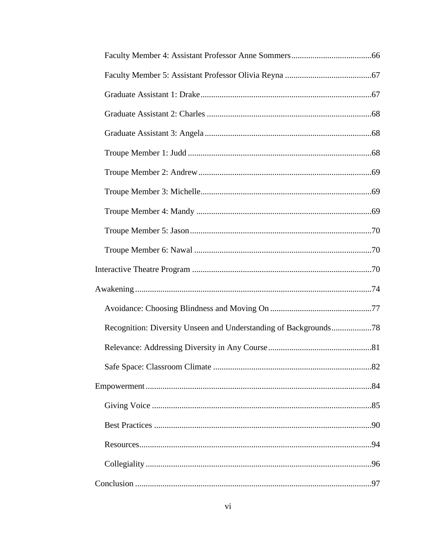| Recognition: Diversity Unseen and Understanding of Backgrounds78 |  |
|------------------------------------------------------------------|--|
|                                                                  |  |
|                                                                  |  |
|                                                                  |  |
|                                                                  |  |
|                                                                  |  |
|                                                                  |  |
|                                                                  |  |
|                                                                  |  |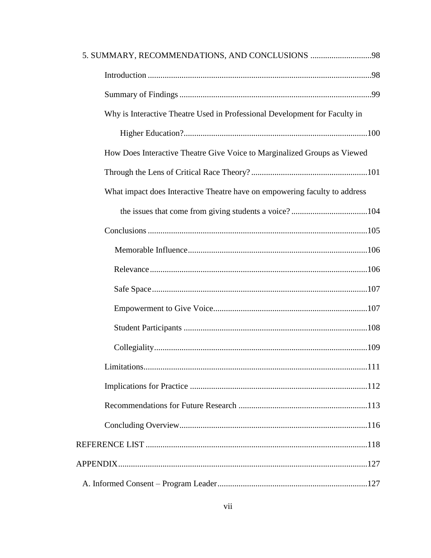| 5. SUMMARY, RECOMMENDATIONS, AND CONCLUSIONS 98                            |  |
|----------------------------------------------------------------------------|--|
|                                                                            |  |
|                                                                            |  |
| Why is Interactive Theatre Used in Professional Development for Faculty in |  |
|                                                                            |  |
| How Does Interactive Theatre Give Voice to Marginalized Groups as Viewed   |  |
|                                                                            |  |
| What impact does Interactive Theatre have on empowering faculty to address |  |
|                                                                            |  |
|                                                                            |  |
|                                                                            |  |
|                                                                            |  |
|                                                                            |  |
|                                                                            |  |
|                                                                            |  |
|                                                                            |  |
|                                                                            |  |
|                                                                            |  |
|                                                                            |  |
|                                                                            |  |
|                                                                            |  |
|                                                                            |  |
|                                                                            |  |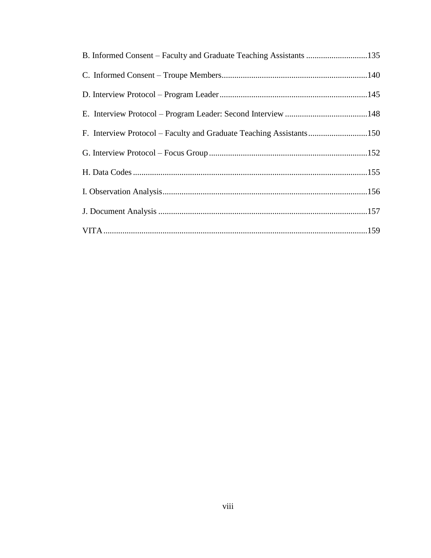| B. Informed Consent – Faculty and Graduate Teaching Assistants 135  |  |
|---------------------------------------------------------------------|--|
|                                                                     |  |
|                                                                     |  |
|                                                                     |  |
| F. Interview Protocol – Faculty and Graduate Teaching Assistants150 |  |
|                                                                     |  |
|                                                                     |  |
|                                                                     |  |
|                                                                     |  |
|                                                                     |  |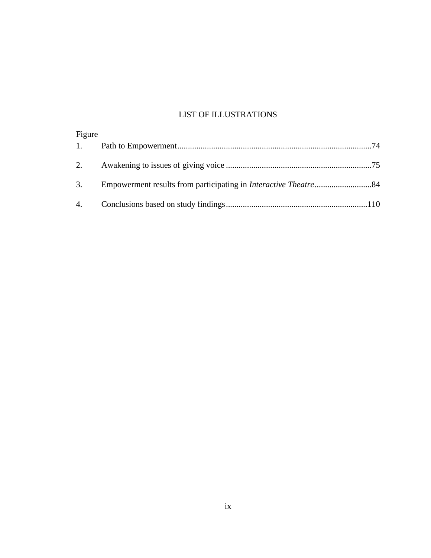# LIST OF ILLUSTRATIONS

| Figure |  |
|--------|--|
|        |  |
|        |  |
|        |  |
|        |  |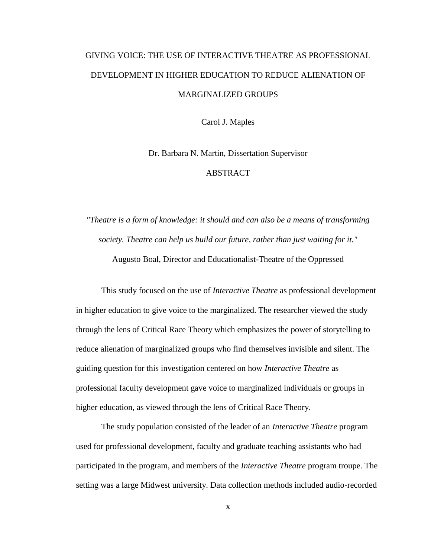# GIVING VOICE: THE USE OF INTERACTIVE THEATRE AS PROFESSIONAL DEVELOPMENT IN HIGHER EDUCATION TO REDUCE ALIENATION OF MARGINALIZED GROUPS

Carol J. Maples

Dr. Barbara N. Martin, Dissertation Supervisor ABSTRACT

*"Theatre is a form of knowledge: it should and can also be a means of transforming society. Theatre can help us build our future, rather than just waiting for it."* Augusto Boal, Director and Educationalist-Theatre of the Oppressed

This study focused on the use of *Interactive Theatre* as professional development in higher education to give voice to the marginalized. The researcher viewed the study through the lens of Critical Race Theory which emphasizes the power of storytelling to reduce alienation of marginalized groups who find themselves invisible and silent. The guiding question for this investigation centered on how *Interactive Theatre* as professional faculty development gave voice to marginalized individuals or groups in higher education, as viewed through the lens of Critical Race Theory.

The study population consisted of the leader of an *Interactive Theatre* program used for professional development, faculty and graduate teaching assistants who had participated in the program, and members of the *Interactive Theatre* program troupe. The setting was a large Midwest university. Data collection methods included audio-recorded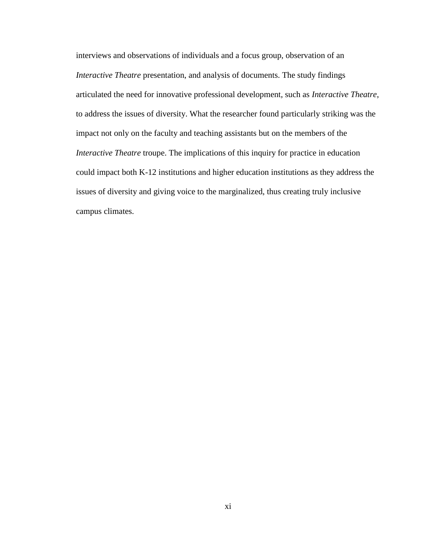interviews and observations of individuals and a focus group, observation of an *Interactive Theatre* presentation, and analysis of documents. The study findings articulated the need for innovative professional development, such as *Interactive Theatre*, to address the issues of diversity. What the researcher found particularly striking was the impact not only on the faculty and teaching assistants but on the members of the *Interactive Theatre* troupe. The implications of this inquiry for practice in education could impact both K-12 institutions and higher education institutions as they address the issues of diversity and giving voice to the marginalized, thus creating truly inclusive campus climates.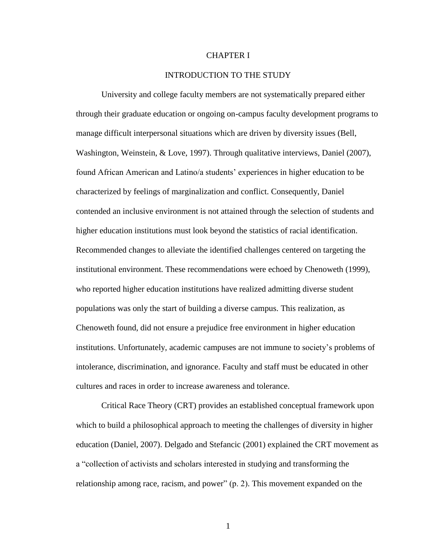# CHAPTER I

# INTRODUCTION TO THE STUDY

University and college faculty members are not systematically prepared either through their graduate education or ongoing on-campus faculty development programs to manage difficult interpersonal situations which are driven by diversity issues (Bell, Washington, Weinstein, & Love, 1997). Through qualitative interviews, Daniel (2007), found African American and Latino/a students' experiences in higher education to be characterized by feelings of marginalization and conflict. Consequently, Daniel contended an inclusive environment is not attained through the selection of students and higher education institutions must look beyond the statistics of racial identification. Recommended changes to alleviate the identified challenges centered on targeting the institutional environment. These recommendations were echoed by Chenoweth (1999), who reported higher education institutions have realized admitting diverse student populations was only the start of building a diverse campus. This realization, as Chenoweth found, did not ensure a prejudice free environment in higher education institutions. Unfortunately, academic campuses are not immune to society's problems of intolerance, discrimination, and ignorance. Faculty and staff must be educated in other cultures and races in order to increase awareness and tolerance.

Critical Race Theory (CRT) provides an established conceptual framework upon which to build a philosophical approach to meeting the challenges of diversity in higher education (Daniel, 2007). Delgado and Stefancic (2001) explained the CRT movement as a "collection of activists and scholars interested in studying and transforming the relationship among race, racism, and power"  $(p, 2)$ . This movement expanded on the

1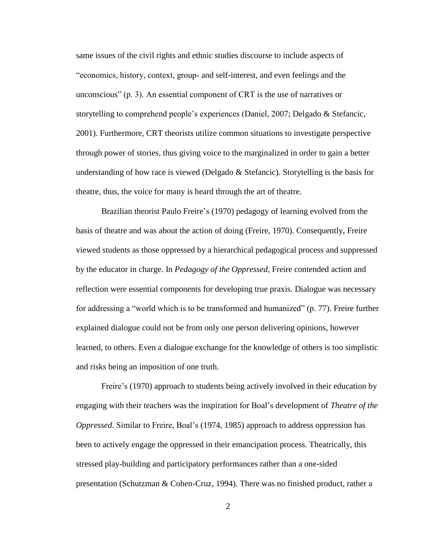same issues of the civil rights and ethnic studies discourse to include aspects of "economics, history, context, group- and self-interest, and even feelings and the unconscious" (p. 3). An essential component of CRT is the use of narratives or storytelling to comprehend people's experiences (Daniel, 2007; Delgado & Stefancic, 2001). Furthermore, CRT theorists utilize common situations to investigate perspective through power of stories, thus giving voice to the marginalized in order to gain a better understanding of how race is viewed (Delgado & Stefancic). Storytelling is the basis for theatre, thus, the voice for many is heard through the art of theatre.

Brazilian theorist Paulo Freire's (1970) pedagogy of learning evolved from the basis of theatre and was about the action of doing (Freire, 1970). Consequently, Freire viewed students as those oppressed by a hierarchical pedagogical process and suppressed by the educator in charge. In *Pedagogy of the Oppressed*, Freire contended action and reflection were essential components for developing true praxis. Dialogue was necessary for addressing a "world which is to be transformed and humanized" (p. 77). Freire further explained dialogue could not be from only one person delivering opinions, however learned, to others. Even a dialogue exchange for the knowledge of others is too simplistic and risks being an imposition of one truth.

Freire's (1970) approach to students being actively involved in their education by engaging with their teachers was the inspiration for Boal's development of *Theatre of the Oppressed*. Similar to Freire, Boal's (1974, 1985) approach to address oppression has been to actively engage the oppressed in their emancipation process. Theatrically, this stressed play-building and participatory performances rather than a one-sided presentation (Schutzman & Cohen-Cruz, 1994). There was no finished product, rather a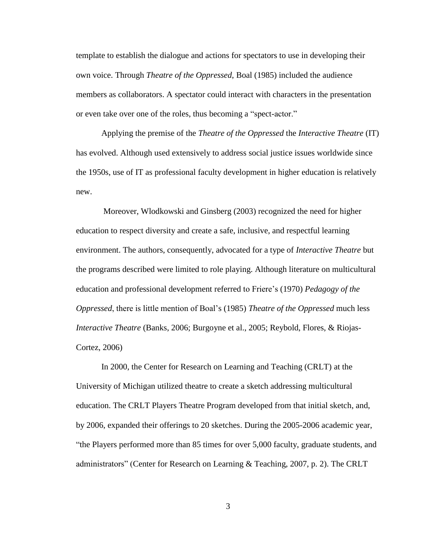template to establish the dialogue and actions for spectators to use in developing their own voice. Through *Theatre of the Oppressed*, Boal (1985) included the audience members as collaborators. A spectator could interact with characters in the presentation or even take over one of the roles, thus becoming a "spect-actor."

Applying the premise of the *Theatre of the Oppressed* the *Interactive Theatre* (IT) has evolved. Although used extensively to address social justice issues worldwide since the 1950s, use of IT as professional faculty development in higher education is relatively new.

Moreover, Wlodkowski and Ginsberg (2003) recognized the need for higher education to respect diversity and create a safe, inclusive, and respectful learning environment. The authors, consequently, advocated for a type of *Interactive Theatre* but the programs described were limited to role playing. Although literature on multicultural education and professional development referred to Friere's (1970) *Pedagogy of the Oppressed*, there is little mention of Boal's (1985) *Theatre of the Oppressed* much less *Interactive Theatre* (Banks, 2006; Burgoyne et al., 2005; Reybold, Flores, & Riojas-Cortez, 2006)

In 2000, the Center for Research on Learning and Teaching (CRLT) at the University of Michigan utilized theatre to create a sketch addressing multicultural education. The CRLT Players Theatre Program developed from that initial sketch, and, by 2006, expanded their offerings to 20 sketches. During the 2005-2006 academic year, ―the Players performed more than 85 times for over 5,000 faculty, graduate students, and administrators" (Center for Research on Learning & Teaching, 2007, p. 2). The CRLT

3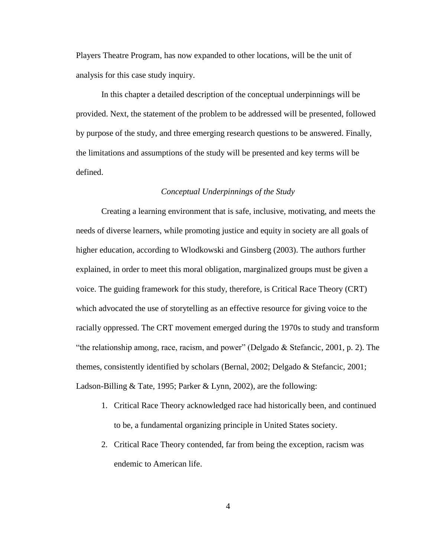Players Theatre Program, has now expanded to other locations, will be the unit of analysis for this case study inquiry.

In this chapter a detailed description of the conceptual underpinnings will be provided. Next, the statement of the problem to be addressed will be presented, followed by purpose of the study, and three emerging research questions to be answered. Finally, the limitations and assumptions of the study will be presented and key terms will be defined.

# *Conceptual Underpinnings of the Study*

Creating a learning environment that is safe, inclusive, motivating, and meets the needs of diverse learners, while promoting justice and equity in society are all goals of higher education, according to Wlodkowski and Ginsberg (2003). The authors further explained, in order to meet this moral obligation, marginalized groups must be given a voice. The guiding framework for this study, therefore, is Critical Race Theory (CRT) which advocated the use of storytelling as an effective resource for giving voice to the racially oppressed. The CRT movement emerged during the 1970s to study and transform "the relationship among, race, racism, and power" (Delgado  $&$  Stefancic, 2001, p. 2). The themes, consistently identified by scholars (Bernal, 2002; Delgado & Stefancic, 2001; Ladson-Billing & Tate, 1995; Parker & Lynn, 2002), are the following:

- 1. Critical Race Theory acknowledged race had historically been, and continued to be, a fundamental organizing principle in United States society.
- 2. Critical Race Theory contended, far from being the exception, racism was endemic to American life.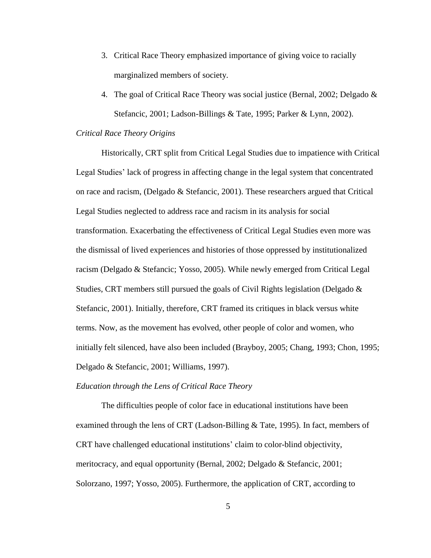- 3. Critical Race Theory emphasized importance of giving voice to racially marginalized members of society.
- 4. The goal of Critical Race Theory was social justice (Bernal, 2002; Delgado & Stefancic, 2001; Ladson-Billings & Tate, 1995; Parker & Lynn, 2002).

# *Critical Race Theory Origins*

Historically, CRT split from Critical Legal Studies due to impatience with Critical Legal Studies' lack of progress in affecting change in the legal system that concentrated on race and racism, (Delgado & Stefancic, 2001). These researchers argued that Critical Legal Studies neglected to address race and racism in its analysis for social transformation. Exacerbating the effectiveness of Critical Legal Studies even more was the dismissal of lived experiences and histories of those oppressed by institutionalized racism (Delgado & Stefancic; Yosso, 2005). While newly emerged from Critical Legal Studies, CRT members still pursued the goals of Civil Rights legislation (Delgado & Stefancic, 2001). Initially, therefore, CRT framed its critiques in black versus white terms. Now, as the movement has evolved, other people of color and women, who initially felt silenced, have also been included (Brayboy, 2005; Chang, 1993; Chon, 1995; Delgado & Stefancic, 2001; Williams, 1997).

## *Education through the Lens of Critical Race Theory*

The difficulties people of color face in educational institutions have been examined through the lens of CRT (Ladson-Billing & Tate, 1995). In fact, members of CRT have challenged educational institutions' claim to color-blind objectivity, meritocracy, and equal opportunity (Bernal, 2002; Delgado & Stefancic, 2001; Solorzano, 1997; Yosso, 2005). Furthermore, the application of CRT, according to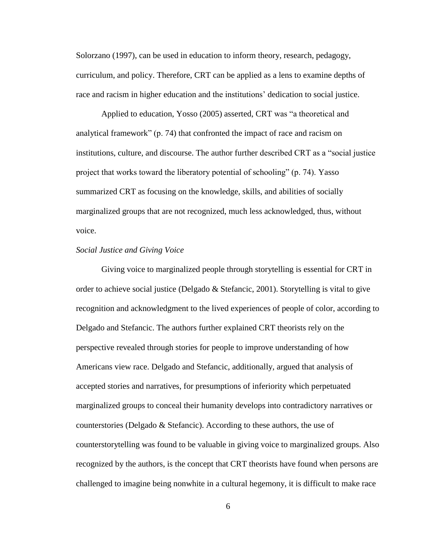Solorzano (1997), can be used in education to inform theory, research, pedagogy, curriculum, and policy. Therefore, CRT can be applied as a lens to examine depths of race and racism in higher education and the institutions' dedication to social justice.

Applied to education, Yosso (2005) asserted, CRT was "a theoretical and analytical framework" (p. 74) that confronted the impact of race and racism on institutions, culture, and discourse. The author further described CRT as a "social justice" project that works toward the liberatory potential of schooling" (p. 74). Yasso summarized CRT as focusing on the knowledge, skills, and abilities of socially marginalized groups that are not recognized, much less acknowledged, thus, without voice.

# *Social Justice and Giving Voice*

Giving voice to marginalized people through storytelling is essential for CRT in order to achieve social justice (Delgado & Stefancic, 2001). Storytelling is vital to give recognition and acknowledgment to the lived experiences of people of color, according to Delgado and Stefancic. The authors further explained CRT theorists rely on the perspective revealed through stories for people to improve understanding of how Americans view race. Delgado and Stefancic, additionally, argued that analysis of accepted stories and narratives, for presumptions of inferiority which perpetuated marginalized groups to conceal their humanity develops into contradictory narratives or counterstories (Delgado & Stefancic). According to these authors, the use of counterstorytelling was found to be valuable in giving voice to marginalized groups. Also recognized by the authors, is the concept that CRT theorists have found when persons are challenged to imagine being nonwhite in a cultural hegemony, it is difficult to make race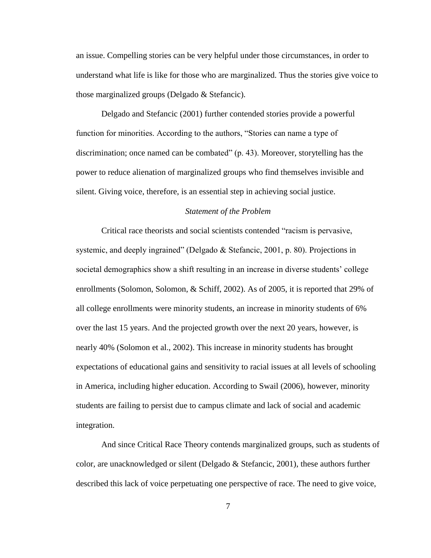an issue. Compelling stories can be very helpful under those circumstances, in order to understand what life is like for those who are marginalized. Thus the stories give voice to those marginalized groups (Delgado & Stefancic).

Delgado and Stefancic (2001) further contended stories provide a powerful function for minorities. According to the authors, "Stories can name a type of discrimination; once named can be combated"  $(p. 43)$ . Moreover, storytelling has the power to reduce alienation of marginalized groups who find themselves invisible and silent. Giving voice, therefore, is an essential step in achieving social justice.

# *Statement of the Problem*

Critical race theorists and social scientists contended "racism is pervasive, systemic, and deeply ingrained" (Delgado & Stefancic, 2001, p. 80). Projections in societal demographics show a shift resulting in an increase in diverse students' college enrollments (Solomon, Solomon, & Schiff, 2002). As of 2005, it is reported that 29% of all college enrollments were minority students, an increase in minority students of 6% over the last 15 years. And the projected growth over the next 20 years, however, is nearly 40% (Solomon et al., 2002). This increase in minority students has brought expectations of educational gains and sensitivity to racial issues at all levels of schooling in America, including higher education. According to Swail (2006), however, minority students are failing to persist due to campus climate and lack of social and academic integration.

And since Critical Race Theory contends marginalized groups, such as students of color, are unacknowledged or silent (Delgado & Stefancic, 2001), these authors further described this lack of voice perpetuating one perspective of race. The need to give voice,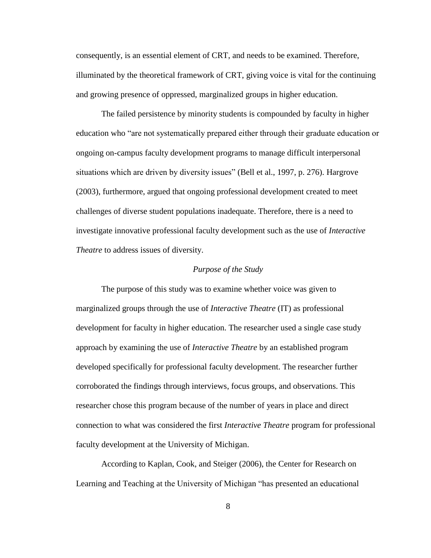consequently, is an essential element of CRT, and needs to be examined. Therefore, illuminated by the theoretical framework of CRT, giving voice is vital for the continuing and growing presence of oppressed, marginalized groups in higher education.

The failed persistence by minority students is compounded by faculty in higher education who "are not systematically prepared either through their graduate education or ongoing on-campus faculty development programs to manage difficult interpersonal situations which are driven by diversity issues" (Bell et al., 1997, p. 276). Hargrove (2003), furthermore, argued that ongoing professional development created to meet challenges of diverse student populations inadequate. Therefore, there is a need to investigate innovative professional faculty development such as the use of *Interactive Theatre* to address issues of diversity.

#### *Purpose of the Study*

The purpose of this study was to examine whether voice was given to marginalized groups through the use of *Interactive Theatre* (IT) as professional development for faculty in higher education. The researcher used a single case study approach by examining the use of *Interactive Theatre* by an established program developed specifically for professional faculty development. The researcher further corroborated the findings through interviews, focus groups, and observations. This researcher chose this program because of the number of years in place and direct connection to what was considered the first *Interactive Theatre* program for professional faculty development at the University of Michigan.

According to Kaplan, Cook, and Steiger (2006), the Center for Research on Learning and Teaching at the University of Michigan "has presented an educational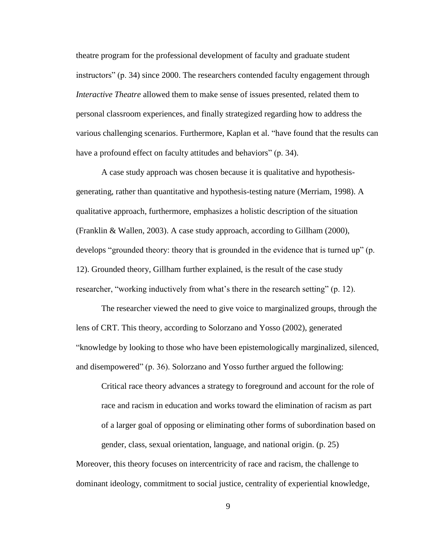theatre program for the professional development of faculty and graduate student instructors" (p. 34) since 2000. The researchers contended faculty engagement through *Interactive Theatre* allowed them to make sense of issues presented, related them to personal classroom experiences, and finally strategized regarding how to address the various challenging scenarios. Furthermore, Kaplan et al. "have found that the results can have a profound effect on faculty attitudes and behaviors" (p. 34).

A case study approach was chosen because it is qualitative and hypothesisgenerating, rather than quantitative and hypothesis-testing nature (Merriam, 1998). A qualitative approach, furthermore, emphasizes a holistic description of the situation (Franklin & Wallen, 2003). A case study approach, according to Gillham (2000), develops "grounded theory: theory that is grounded in the evidence that is turned up" (p. 12). Grounded theory, Gillham further explained, is the result of the case study researcher, "working inductively from what's there in the research setting" (p. 12).

The researcher viewed the need to give voice to marginalized groups, through the lens of CRT. This theory, according to Solorzano and Yosso (2002), generated ―knowledge by looking to those who have been epistemologically marginalized, silenced, and disempowered" (p. 36). Solorzano and Yosso further argued the following:

Critical race theory advances a strategy to foreground and account for the role of race and racism in education and works toward the elimination of racism as part of a larger goal of opposing or eliminating other forms of subordination based on gender, class, sexual orientation, language, and national origin. (p. 25)

Moreover, this theory focuses on intercentricity of race and racism, the challenge to dominant ideology, commitment to social justice, centrality of experiential knowledge,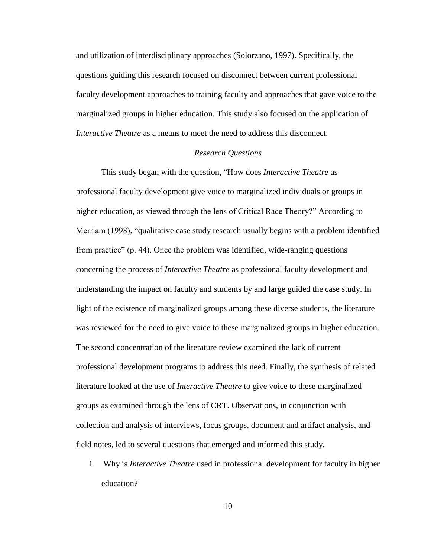and utilization of interdisciplinary approaches (Solorzano, 1997). Specifically, the questions guiding this research focused on disconnect between current professional faculty development approaches to training faculty and approaches that gave voice to the marginalized groups in higher education. This study also focused on the application of *Interactive Theatre* as a means to meet the need to address this disconnect.

## *Research Questions*

This study began with the question, "How does *Interactive Theatre* as professional faculty development give voice to marginalized individuals or groups in higher education, as viewed through the lens of Critical Race Theory?" According to Merriam (1998), "qualitative case study research usually begins with a problem identified from practice" (p. 44). Once the problem was identified, wide-ranging questions concerning the process of *Interactive Theatre* as professional faculty development and understanding the impact on faculty and students by and large guided the case study. In light of the existence of marginalized groups among these diverse students, the literature was reviewed for the need to give voice to these marginalized groups in higher education. The second concentration of the literature review examined the lack of current professional development programs to address this need. Finally, the synthesis of related literature looked at the use of *Interactive Theatre* to give voice to these marginalized groups as examined through the lens of CRT. Observations, in conjunction with collection and analysis of interviews, focus groups, document and artifact analysis, and field notes, led to several questions that emerged and informed this study.

1. Why is *Interactive Theatre* used in professional development for faculty in higher education?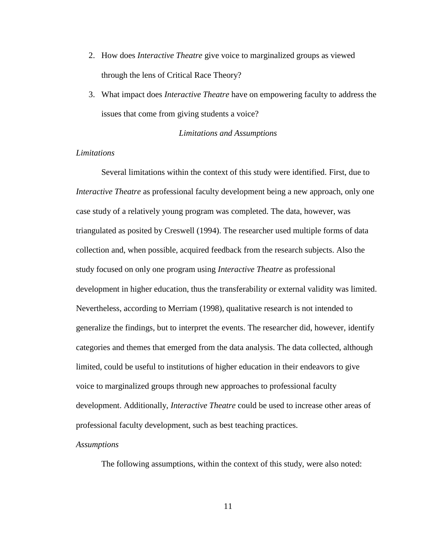- 2. How does *Interactive Theatre* give voice to marginalized groups as viewed through the lens of Critical Race Theory?
- 3. What impact does *Interactive Theatre* have on empowering faculty to address the issues that come from giving students a voice?

#### *Limitations and Assumptions*

## *Limitations*

Several limitations within the context of this study were identified. First, due to *Interactive Theatre* as professional faculty development being a new approach, only one case study of a relatively young program was completed. The data, however, was triangulated as posited by Creswell (1994). The researcher used multiple forms of data collection and, when possible, acquired feedback from the research subjects. Also the study focused on only one program using *Interactive Theatre* as professional development in higher education, thus the transferability or external validity was limited. Nevertheless, according to Merriam (1998), qualitative research is not intended to generalize the findings, but to interpret the events. The researcher did, however, identify categories and themes that emerged from the data analysis. The data collected, although limited, could be useful to institutions of higher education in their endeavors to give voice to marginalized groups through new approaches to professional faculty development. Additionally, *Interactive Theatre* could be used to increase other areas of professional faculty development, such as best teaching practices.

#### *Assumptions*

The following assumptions, within the context of this study, were also noted: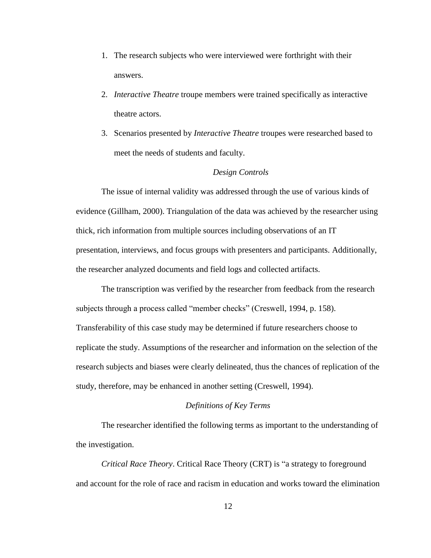- 1. The research subjects who were interviewed were forthright with their answers.
- 2. *Interactive Theatre* troupe members were trained specifically as interactive theatre actors.
- 3. Scenarios presented by *Interactive Theatre* troupes were researched based to meet the needs of students and faculty.

# *Design Controls*

The issue of internal validity was addressed through the use of various kinds of evidence (Gillham, 2000). Triangulation of the data was achieved by the researcher using thick, rich information from multiple sources including observations of an IT presentation, interviews, and focus groups with presenters and participants. Additionally, the researcher analyzed documents and field logs and collected artifacts.

The transcription was verified by the researcher from feedback from the research subjects through a process called "member checks" (Creswell, 1994, p. 158). Transferability of this case study may be determined if future researchers choose to replicate the study. Assumptions of the researcher and information on the selection of the research subjects and biases were clearly delineated, thus the chances of replication of the study, therefore, may be enhanced in another setting (Creswell, 1994).

## *Definitions of Key Terms*

The researcher identified the following terms as important to the understanding of the investigation.

*Critical Race Theory.* Critical Race Theory (CRT) is "a strategy to foreground and account for the role of race and racism in education and works toward the elimination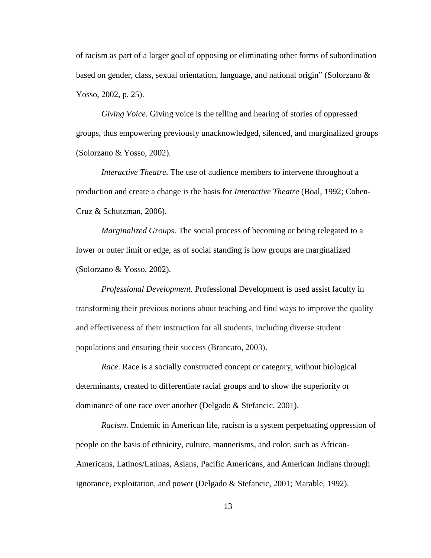of racism as part of a larger goal of opposing or eliminating other forms of subordination based on gender, class, sexual orientation, language, and national origin" (Solorzano  $\&$ Yosso, 2002, p. 25).

*Giving Voice*. Giving voice is the telling and hearing of stories of oppressed groups, thus empowering previously unacknowledged, silenced, and marginalized groups (Solorzano & Yosso, 2002).

*Interactive Theatre.* The use of audience members to intervene throughout a production and create a change is the basis for *Interactive Theatre* (Boal, 1992; Cohen-Cruz & Schutzman, 2006).

*Marginalized Groups*. The social process of becoming or being relegated to a lower or outer limit or edge, as of social standing is how groups are marginalized (Solorzano & Yosso, 2002).

*Professional Development*. Professional Development is used assist faculty in transforming their previous notions about teaching and find ways to improve the quality and effectiveness of their instruction for all students, including diverse student populations and ensuring their success (Brancato, 2003).

*Race*. Race is a socially constructed concept or category, without biological determinants, created to differentiate racial groups and to show the superiority or dominance of one race over another (Delgado & Stefancic, 2001).

*Racism*. Endemic in American life, racism is a system perpetuating oppression of people on the basis of ethnicity, culture, mannerisms, and color, such as African-Americans, Latinos/Latinas, Asians, Pacific Americans, and American Indians through ignorance, exploitation, and power (Delgado & Stefancic, 2001; Marable, 1992).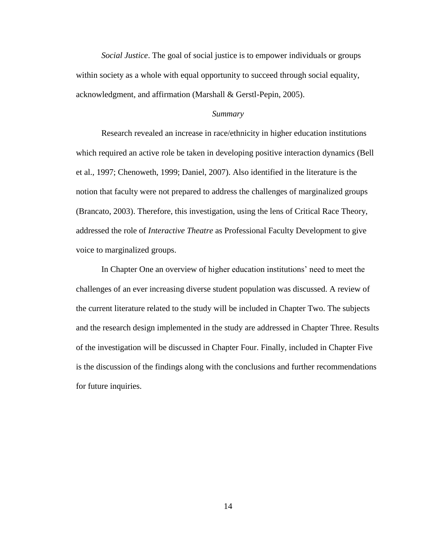*Social Justice*. The goal of social justice is to empower individuals or groups within society as a whole with equal opportunity to succeed through social equality, acknowledgment, and affirmation (Marshall & Gerstl-Pepin, 2005).

# *Summary*

Research revealed an increase in race/ethnicity in higher education institutions which required an active role be taken in developing positive interaction dynamics (Bell et al., 1997; Chenoweth, 1999; Daniel, 2007). Also identified in the literature is the notion that faculty were not prepared to address the challenges of marginalized groups (Brancato, 2003). Therefore, this investigation, using the lens of Critical Race Theory, addressed the role of *Interactive Theatre* as Professional Faculty Development to give voice to marginalized groups.

In Chapter One an overview of higher education institutions' need to meet the challenges of an ever increasing diverse student population was discussed. A review of the current literature related to the study will be included in Chapter Two. The subjects and the research design implemented in the study are addressed in Chapter Three. Results of the investigation will be discussed in Chapter Four. Finally, included in Chapter Five is the discussion of the findings along with the conclusions and further recommendations for future inquiries.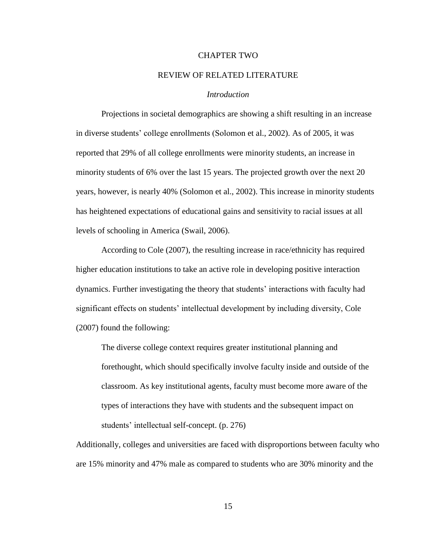#### CHAPTER TWO

#### REVIEW OF RELATED LITERATURE

## *Introduction*

Projections in societal demographics are showing a shift resulting in an increase in diverse students' college enrollments (Solomon et al., 2002). As of 2005, it was reported that 29% of all college enrollments were minority students, an increase in minority students of 6% over the last 15 years. The projected growth over the next 20 years, however, is nearly 40% (Solomon et al., 2002). This increase in minority students has heightened expectations of educational gains and sensitivity to racial issues at all levels of schooling in America (Swail, 2006).

According to Cole (2007), the resulting increase in race/ethnicity has required higher education institutions to take an active role in developing positive interaction dynamics. Further investigating the theory that students' interactions with faculty had significant effects on students' intellectual development by including diversity, Cole (2007) found the following:

The diverse college context requires greater institutional planning and forethought, which should specifically involve faculty inside and outside of the classroom. As key institutional agents, faculty must become more aware of the types of interactions they have with students and the subsequent impact on students' intellectual self-concept. (p. 276)

Additionally, colleges and universities are faced with disproportions between faculty who are 15% minority and 47% male as compared to students who are 30% minority and the

15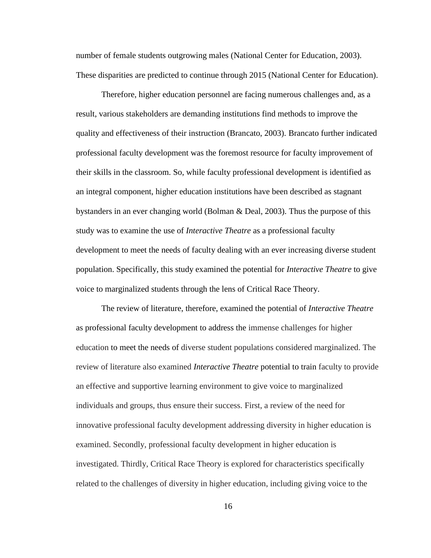number of female students outgrowing males (National Center for Education, 2003). These disparities are predicted to continue through 2015 (National Center for Education).

Therefore, higher education personnel are facing numerous challenges and, as a result, various stakeholders are demanding institutions find methods to improve the quality and effectiveness of their instruction (Brancato, 2003). Brancato further indicated professional faculty development was the foremost resource for faculty improvement of their skills in the classroom. So, while faculty professional development is identified as an integral component, higher education institutions have been described as stagnant bystanders in an ever changing world (Bolman & Deal, 2003). Thus the purpose of this study was to examine the use of *Interactive Theatre* as a professional faculty development to meet the needs of faculty dealing with an ever increasing diverse student population. Specifically, this study examined the potential for *Interactive Theatre* to give voice to marginalized students through the lens of Critical Race Theory.

The review of literature, therefore, examined the potential of *Interactive Theatre* as professional faculty development to address the immense challenges for higher education to meet the needs of diverse student populations considered marginalized. The review of literature also examined *Interactive Theatre* potential to train faculty to provide an effective and supportive learning environment to give voice to marginalized individuals and groups, thus ensure their success. First, a review of the need for innovative professional faculty development addressing diversity in higher education is examined. Secondly, professional faculty development in higher education is investigated. Thirdly, Critical Race Theory is explored for characteristics specifically related to the challenges of diversity in higher education, including giving voice to the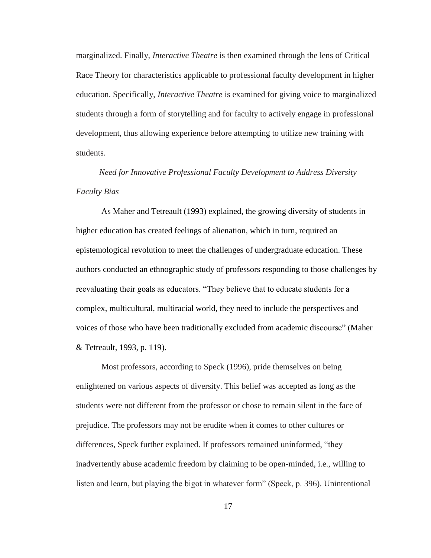marginalized. Finally, *Interactive Theatre* is then examined through the lens of Critical Race Theory for characteristics applicable to professional faculty development in higher education. Specifically, *Interactive Theatre* is examined for giving voice to marginalized students through a form of storytelling and for faculty to actively engage in professional development, thus allowing experience before attempting to utilize new training with students.

*Need for Innovative Professional Faculty Development to Address Diversity Faculty Bias* 

As Maher and Tetreault (1993) explained, the growing diversity of students in higher education has created feelings of alienation, which in turn, required an epistemological revolution to meet the challenges of undergraduate education. These authors conducted an ethnographic study of professors responding to those challenges by reevaluating their goals as educators. "They believe that to educate students for a complex, multicultural, multiracial world, they need to include the perspectives and voices of those who have been traditionally excluded from academic discourse" (Maher & Tetreault, 1993, p. 119).

Most professors, according to Speck (1996), pride themselves on being enlightened on various aspects of diversity. This belief was accepted as long as the students were not different from the professor or chose to remain silent in the face of prejudice. The professors may not be erudite when it comes to other cultures or differences, Speck further explained. If professors remained uninformed, "they inadvertently abuse academic freedom by claiming to be open-minded, i.e., willing to listen and learn, but playing the bigot in whatever form" (Speck, p. 396). Unintentional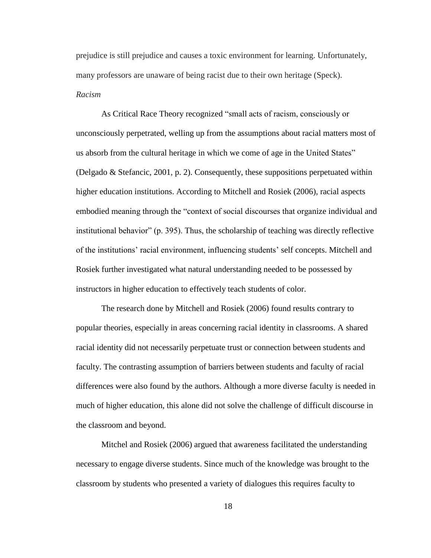prejudice is still prejudice and causes a toxic environment for learning. Unfortunately, many professors are unaware of being racist due to their own heritage (Speck). *Racism*

As Critical Race Theory recognized "small acts of racism, consciously or unconsciously perpetrated, welling up from the assumptions about racial matters most of us absorb from the cultural heritage in which we come of age in the United States" (Delgado & Stefancic, 2001, p. 2). Consequently, these suppositions perpetuated within higher education institutions. According to Mitchell and Rosiek (2006), racial aspects embodied meaning through the "context of social discourses that organize individual and institutional behavior" (p. 395). Thus, the scholarship of teaching was directly reflective of the institutions' racial environment, influencing students' self concepts. Mitchell and Rosiek further investigated what natural understanding needed to be possessed by instructors in higher education to effectively teach students of color.

The research done by Mitchell and Rosiek (2006) found results contrary to popular theories, especially in areas concerning racial identity in classrooms. A shared racial identity did not necessarily perpetuate trust or connection between students and faculty. The contrasting assumption of barriers between students and faculty of racial differences were also found by the authors. Although a more diverse faculty is needed in much of higher education, this alone did not solve the challenge of difficult discourse in the classroom and beyond.

Mitchel and Rosiek (2006) argued that awareness facilitated the understanding necessary to engage diverse students. Since much of the knowledge was brought to the classroom by students who presented a variety of dialogues this requires faculty to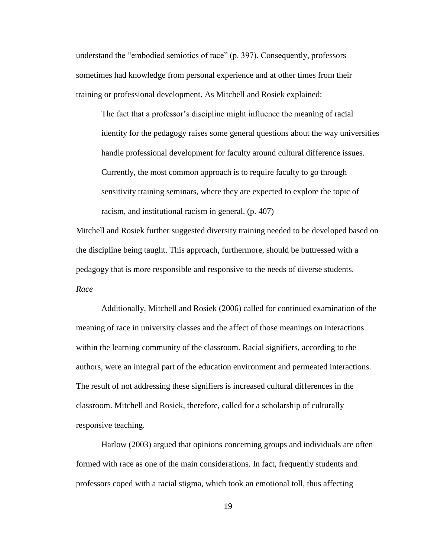understand the "embodied semiotics of race" (p. 397). Consequently, professors sometimes had knowledge from personal experience and at other times from their training or professional development. As Mitchell and Rosiek explained:

The fact that a professor's discipline might influence the meaning of racial identity for the pedagogy raises some general questions about the way universities handle professional development for faculty around cultural difference issues. Currently, the most common approach is to require faculty to go through sensitivity training seminars, where they are expected to explore the topic of racism, and institutional racism in general. (p. 407)

Mitchell and Rosiek further suggested diversity training needed to be developed based on the discipline being taught. This approach, furthermore, should be buttressed with a pedagogy that is more responsible and responsive to the needs of diverse students. *Race*

Additionally, Mitchell and Rosiek (2006) called for continued examination of the meaning of race in university classes and the affect of those meanings on interactions within the learning community of the classroom. Racial signifiers, according to the authors, were an integral part of the education environment and permeated interactions. The result of not addressing these signifiers is increased cultural differences in the classroom. Mitchell and Rosiek, therefore, called for a scholarship of culturally responsive teaching.

Harlow (2003) argued that opinions concerning groups and individuals are often formed with race as one of the main considerations. In fact, frequently students and professors coped with a racial stigma, which took an emotional toll, thus affecting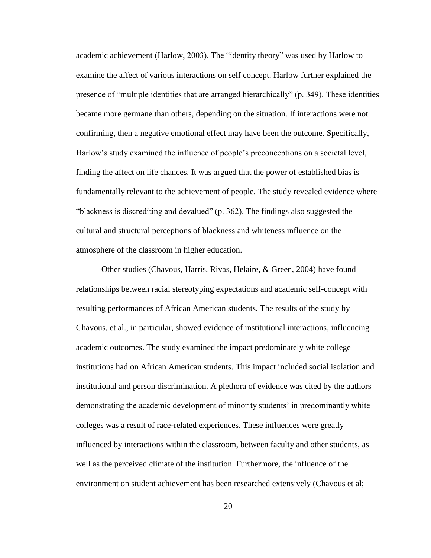academic achievement (Harlow, 2003). The "identity theory" was used by Harlow to examine the affect of various interactions on self concept. Harlow further explained the presence of "multiple identities that are arranged hierarchically"  $(p. 349)$ . These identities became more germane than others, depending on the situation. If interactions were not confirming, then a negative emotional effect may have been the outcome. Specifically, Harlow's study examined the influence of people's preconceptions on a societal level, finding the affect on life chances. It was argued that the power of established bias is fundamentally relevant to the achievement of people. The study revealed evidence where "blackness is discrediting and devalued"  $(p, 362)$ . The findings also suggested the cultural and structural perceptions of blackness and whiteness influence on the atmosphere of the classroom in higher education.

Other studies (Chavous, Harris, Rivas, Helaire, & Green, 2004) have found relationships between racial stereotyping expectations and academic self-concept with resulting performances of African American students. The results of the study by Chavous, et al., in particular, showed evidence of institutional interactions, influencing academic outcomes. The study examined the impact predominately white college institutions had on African American students. This impact included social isolation and institutional and person discrimination. A plethora of evidence was cited by the authors demonstrating the academic development of minority students' in predominantly white colleges was a result of race-related experiences. These influences were greatly influenced by interactions within the classroom, between faculty and other students, as well as the perceived climate of the institution. Furthermore, the influence of the environment on student achievement has been researched extensively (Chavous et al;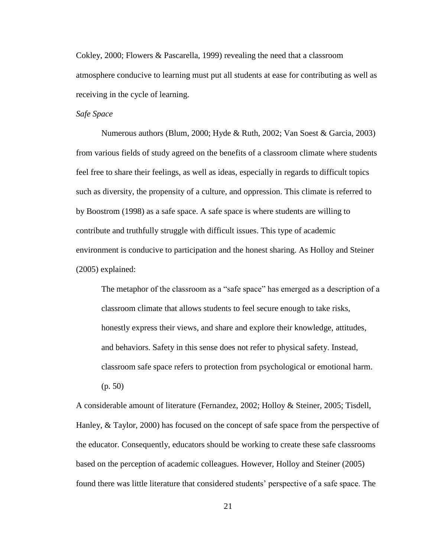Cokley, 2000; Flowers & Pascarella, 1999) revealing the need that a classroom atmosphere conducive to learning must put all students at ease for contributing as well as receiving in the cycle of learning.

# *Safe Space*

Numerous authors (Blum, 2000; Hyde & Ruth, 2002; Van Soest & Garcia, 2003) from various fields of study agreed on the benefits of a classroom climate where students feel free to share their feelings, as well as ideas, especially in regards to difficult topics such as diversity, the propensity of a culture, and oppression. This climate is referred to by Boostrom (1998) as a safe space. A safe space is where students are willing to contribute and truthfully struggle with difficult issues. This type of academic environment is conducive to participation and the honest sharing. As Holloy and Steiner (2005) explained:

The metaphor of the classroom as a "safe space" has emerged as a description of a classroom climate that allows students to feel secure enough to take risks, honestly express their views, and share and explore their knowledge, attitudes, and behaviors. Safety in this sense does not refer to physical safety. Instead, classroom safe space refers to protection from psychological or emotional harm. (p. 50)

A considerable amount of literature (Fernandez, 2002; Holloy & Steiner, 2005; Tisdell, Hanley, & Taylor, 2000) has focused on the concept of safe space from the perspective of the educator. Consequently, educators should be working to create these safe classrooms based on the perception of academic colleagues. However, Holloy and Steiner (2005) found there was little literature that considered students' perspective of a safe space. The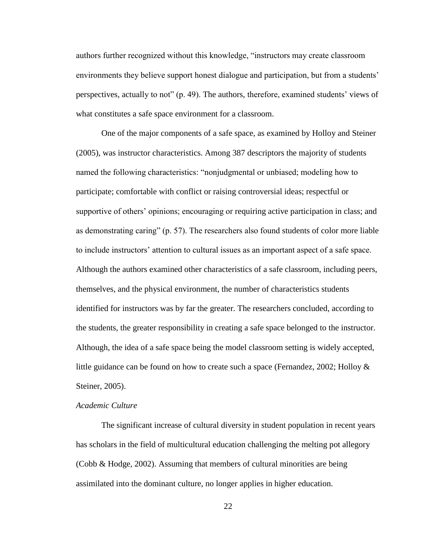authors further recognized without this knowledge, "instructors may create classroom environments they believe support honest dialogue and participation, but from a students' perspectives, actually to not"  $(p. 49)$ . The authors, therefore, examined students' views of what constitutes a safe space environment for a classroom.

One of the major components of a safe space, as examined by Holloy and Steiner (2005), was instructor characteristics. Among 387 descriptors the majority of students named the following characteristics: "nonjudgmental or unbiased; modeling how to participate; comfortable with conflict or raising controversial ideas; respectful or supportive of others' opinions; encouraging or requiring active participation in class; and as demonstrating caring"  $(p. 57)$ . The researchers also found students of color more liable to include instructors' attention to cultural issues as an important aspect of a safe space. Although the authors examined other characteristics of a safe classroom, including peers, themselves, and the physical environment, the number of characteristics students identified for instructors was by far the greater. The researchers concluded, according to the students, the greater responsibility in creating a safe space belonged to the instructor. Although, the idea of a safe space being the model classroom setting is widely accepted, little guidance can be found on how to create such a space (Fernandez, 2002; Holloy  $\&$ Steiner, 2005).

## *Academic Culture*

The significant increase of cultural diversity in student population in recent years has scholars in the field of multicultural education challenging the melting pot allegory (Cobb & Hodge, 2002). Assuming that members of cultural minorities are being assimilated into the dominant culture, no longer applies in higher education.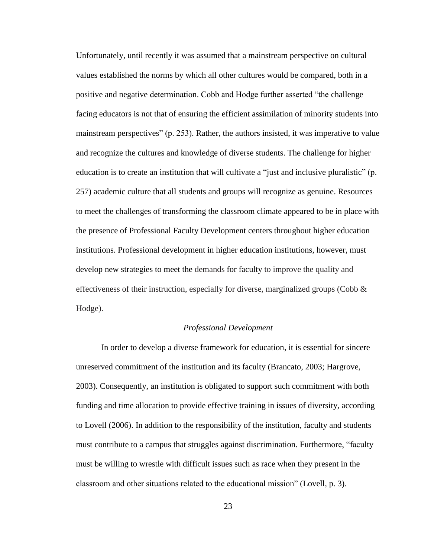Unfortunately, until recently it was assumed that a mainstream perspective on cultural values established the norms by which all other cultures would be compared, both in a positive and negative determination. Cobb and Hodge further asserted "the challenge" facing educators is not that of ensuring the efficient assimilation of minority students into mainstream perspectives" (p. 253). Rather, the authors insisted, it was imperative to value and recognize the cultures and knowledge of diverse students. The challenge for higher education is to create an institution that will cultivate a "just and inclusive pluralistic" (p. 257) academic culture that all students and groups will recognize as genuine. Resources to meet the challenges of transforming the classroom climate appeared to be in place with the presence of Professional Faculty Development centers throughout higher education institutions. Professional development in higher education institutions, however, must develop new strategies to meet the demands for faculty to improve the quality and effectiveness of their instruction, especially for diverse, marginalized groups (Cobb  $\&$ Hodge).

#### *Professional Development*

In order to develop a diverse framework for education, it is essential for sincere unreserved commitment of the institution and its faculty (Brancato, 2003; Hargrove, 2003). Consequently, an institution is obligated to support such commitment with both funding and time allocation to provide effective training in issues of diversity, according to Lovell (2006). In addition to the responsibility of the institution, faculty and students must contribute to a campus that struggles against discrimination. Furthermore, "faculty must be willing to wrestle with difficult issues such as race when they present in the classroom and other situations related to the educational mission‖ (Lovell, p. 3).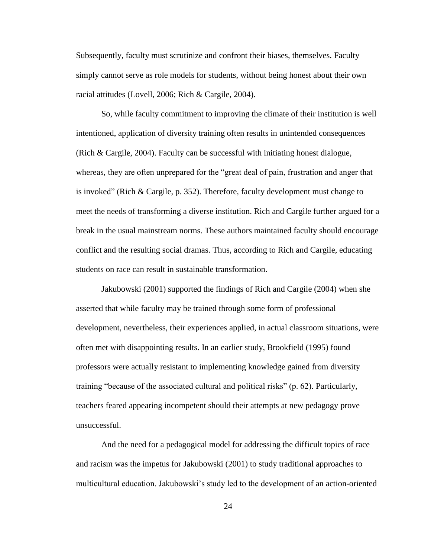Subsequently, faculty must scrutinize and confront their biases, themselves. Faculty simply cannot serve as role models for students, without being honest about their own racial attitudes (Lovell, 2006; Rich & Cargile, 2004).

So, while faculty commitment to improving the climate of their institution is well intentioned, application of diversity training often results in unintended consequences (Rich & Cargile, 2004). Faculty can be successful with initiating honest dialogue, whereas, they are often unprepared for the "great deal of pain, frustration and anger that is invoked" (Rich  $&$  Cargile, p. 352). Therefore, faculty development must change to meet the needs of transforming a diverse institution. Rich and Cargile further argued for a break in the usual mainstream norms. These authors maintained faculty should encourage conflict and the resulting social dramas. Thus, according to Rich and Cargile, educating students on race can result in sustainable transformation.

Jakubowski (2001) supported the findings of Rich and Cargile (2004) when she asserted that while faculty may be trained through some form of professional development, nevertheless, their experiences applied, in actual classroom situations, were often met with disappointing results. In an earlier study, Brookfield (1995) found professors were actually resistant to implementing knowledge gained from diversity training "because of the associated cultural and political risks" (p. 62). Particularly, teachers feared appearing incompetent should their attempts at new pedagogy prove unsuccessful.

And the need for a pedagogical model for addressing the difficult topics of race and racism was the impetus for Jakubowski (2001) to study traditional approaches to multicultural education. Jakubowski's study led to the development of an action-oriented

24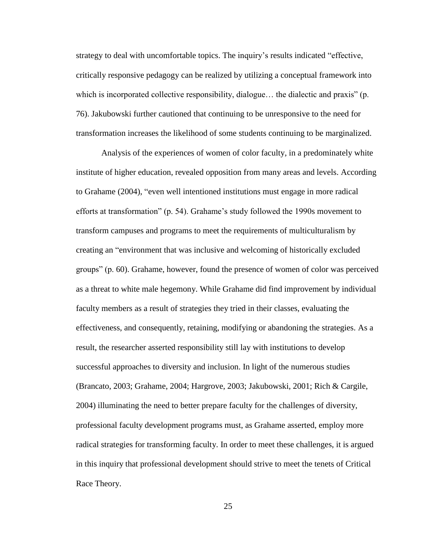strategy to deal with uncomfortable topics. The inquiry's results indicated "effective, critically responsive pedagogy can be realized by utilizing a conceptual framework into which is incorporated collective responsibility, dialogue... the dialectic and praxis"  $(p_1, p_2)$ 76). Jakubowski further cautioned that continuing to be unresponsive to the need for transformation increases the likelihood of some students continuing to be marginalized.

Analysis of the experiences of women of color faculty, in a predominately white institute of higher education, revealed opposition from many areas and levels. According to Grahame (2004), "even well intentioned institutions must engage in more radical efforts at transformation" (p. 54). Grahame's study followed the 1990s movement to transform campuses and programs to meet the requirements of multiculturalism by creating an "environment that was inclusive and welcoming of historically excluded groups‖ (p. 60). Grahame, however, found the presence of women of color was perceived as a threat to white male hegemony. While Grahame did find improvement by individual faculty members as a result of strategies they tried in their classes, evaluating the effectiveness, and consequently, retaining, modifying or abandoning the strategies. As a result, the researcher asserted responsibility still lay with institutions to develop successful approaches to diversity and inclusion. In light of the numerous studies (Brancato, 2003; Grahame, 2004; Hargrove, 2003; Jakubowski, 2001; Rich & Cargile, 2004) illuminating the need to better prepare faculty for the challenges of diversity, professional faculty development programs must, as Grahame asserted, employ more radical strategies for transforming faculty. In order to meet these challenges, it is argued in this inquiry that professional development should strive to meet the tenets of Critical Race Theory.

25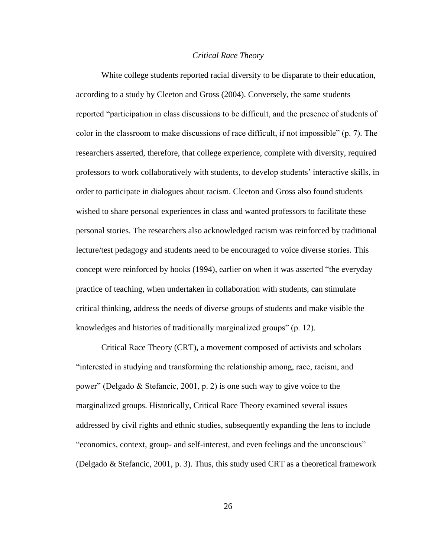### *Critical Race Theory*

White college students reported racial diversity to be disparate to their education, according to a study by Cleeton and Gross (2004). Conversely, the same students reported "participation in class discussions to be difficult, and the presence of students of color in the classroom to make discussions of race difficult, if not impossible" (p. 7). The researchers asserted, therefore, that college experience, complete with diversity, required professors to work collaboratively with students, to develop students' interactive skills, in order to participate in dialogues about racism. Cleeton and Gross also found students wished to share personal experiences in class and wanted professors to facilitate these personal stories. The researchers also acknowledged racism was reinforced by traditional lecture/test pedagogy and students need to be encouraged to voice diverse stories. This concept were reinforced by hooks (1994), earlier on when it was asserted "the everyday practice of teaching, when undertaken in collaboration with students, can stimulate critical thinking, address the needs of diverse groups of students and make visible the knowledges and histories of traditionally marginalized groups" (p. 12).

Critical Race Theory (CRT), a movement composed of activists and scholars ―interested in studying and transforming the relationship among, race, racism, and power" (Delgado & Stefancic, 2001, p. 2) is one such way to give voice to the marginalized groups. Historically, Critical Race Theory examined several issues addressed by civil rights and ethnic studies, subsequently expanding the lens to include "economics, context, group- and self-interest, and even feelings and the unconscious" (Delgado & Stefancic, 2001, p. 3). Thus, this study used CRT as a theoretical framework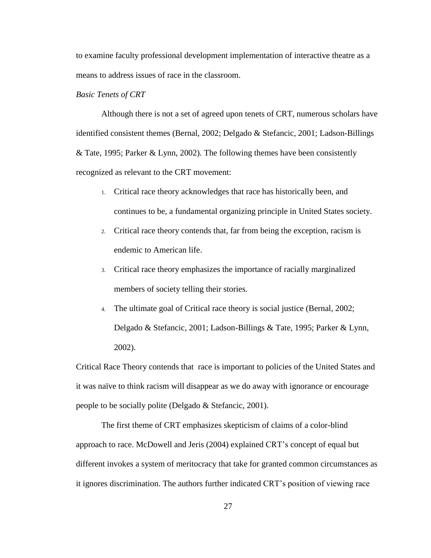to examine faculty professional development implementation of interactive theatre as a means to address issues of race in the classroom.

### *Basic Tenets of CRT*

Although there is not a set of agreed upon tenets of CRT, numerous scholars have identified consistent themes (Bernal, 2002; Delgado & Stefancic, 2001; Ladson-Billings & Tate, 1995; Parker & Lynn, 2002). The following themes have been consistently recognized as relevant to the CRT movement:

- 1. Critical race theory acknowledges that race has historically been, and continues to be, a fundamental organizing principle in United States society.
- 2. Critical race theory contends that, far from being the exception, racism is endemic to American life.
- 3. Critical race theory emphasizes the importance of racially marginalized members of society telling their stories.
- 4. The ultimate goal of Critical race theory is social justice (Bernal, 2002; Delgado & Stefancic, 2001; Ladson-Billings & Tate, 1995; Parker & Lynn, 2002).

Critical Race Theory contends that race is important to policies of the United States and it was naïve to think racism will disappear as we do away with ignorance or encourage people to be socially polite (Delgado & Stefancic, 2001).

The first theme of CRT emphasizes skepticism of claims of a color-blind approach to race. McDowell and Jeris (2004) explained CRT's concept of equal but different invokes a system of meritocracy that take for granted common circumstances as it ignores discrimination. The authors further indicated CRT's position of viewing race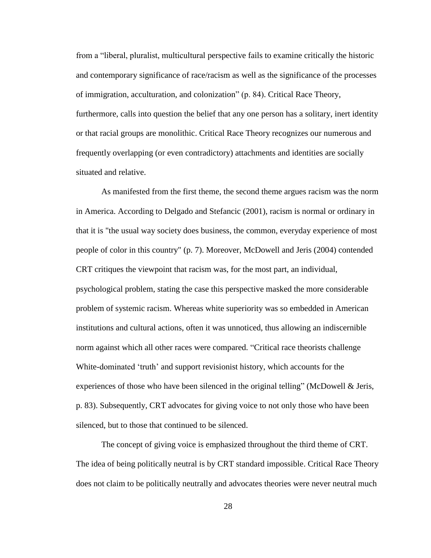from a "liberal, pluralist, multicultural perspective fails to examine critically the historic and contemporary significance of race/racism as well as the significance of the processes of immigration, acculturation, and colonization‖ (p. 84). Critical Race Theory, furthermore, calls into question the belief that any one person has a solitary, inert identity or that racial groups are monolithic. Critical Race Theory recognizes our numerous and frequently overlapping (or even contradictory) attachments and identities are socially situated and relative.

As manifested from the first theme, the second theme argues racism was the norm in America. According to Delgado and Stefancic (2001), racism is normal or ordinary in that it is "the usual way society does business, the common, everyday experience of most people of color in this country" (p. 7). Moreover, McDowell and Jeris (2004) contended CRT critiques the viewpoint that racism was, for the most part, an individual, psychological problem, stating the case this perspective masked the more considerable problem of systemic racism. Whereas white superiority was so embedded in American institutions and cultural actions, often it was unnoticed, thus allowing an indiscernible norm against which all other races were compared. "Critical race theorists challenge White-dominated 'truth' and support revisionist history, which accounts for the experiences of those who have been silenced in the original telling" (McDowell & Jeris, p. 83). Subsequently, CRT advocates for giving voice to not only those who have been silenced, but to those that continued to be silenced.

The concept of giving voice is emphasized throughout the third theme of CRT. The idea of being politically neutral is by CRT standard impossible. Critical Race Theory does not claim to be politically neutrally and advocates theories were never neutral much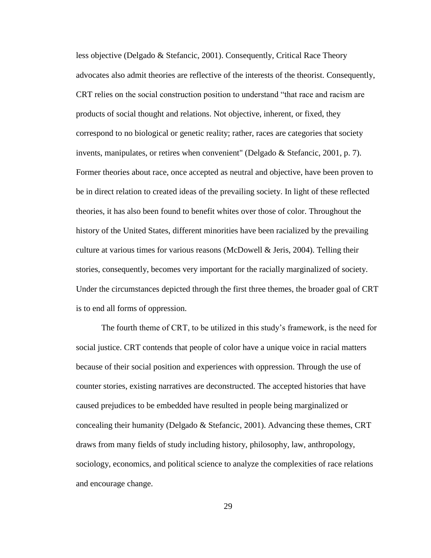less objective (Delgado & Stefancic, 2001). Consequently, Critical Race Theory advocates also admit theories are reflective of the interests of the theorist. Consequently, CRT relies on the social construction position to understand "that race and racism are products of social thought and relations. Not objective, inherent, or fixed, they correspond to no biological or genetic reality; rather, races are categories that society invents, manipulates, or retires when convenient" (Delgado & Stefancic, 2001, p. 7). Former theories about race, once accepted as neutral and objective, have been proven to be in direct relation to created ideas of the prevailing society. In light of these reflected theories, it has also been found to benefit whites over those of color. Throughout the history of the United States, different minorities have been racialized by the prevailing culture at various times for various reasons (McDowell & Jeris, 2004). Telling their stories, consequently, becomes very important for the racially marginalized of society. Under the circumstances depicted through the first three themes, the broader goal of CRT is to end all forms of oppression.

The fourth theme of CRT, to be utilized in this study's framework, is the need for social justice. CRT contends that people of color have a unique voice in racial matters because of their social position and experiences with oppression. Through the use of counter stories, existing narratives are deconstructed. The accepted histories that have caused prejudices to be embedded have resulted in people being marginalized or concealing their humanity (Delgado & Stefancic, 2001). Advancing these themes, CRT draws from many fields of study including history, philosophy, law, anthropology, sociology, economics, and political science to analyze the complexities of race relations and encourage change.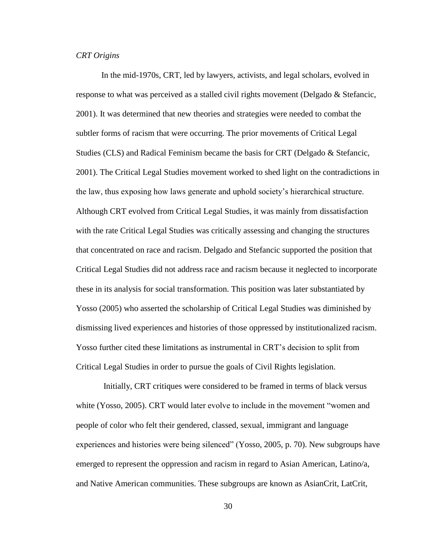# *CRT Origins*

In the mid-1970s, CRT, led by lawyers, activists, and legal scholars, evolved in response to what was perceived as a stalled civil rights movement (Delgado & Stefancic, 2001). It was determined that new theories and strategies were needed to combat the subtler forms of racism that were occurring. The prior movements of Critical Legal Studies (CLS) and Radical Feminism became the basis for CRT (Delgado & Stefancic, 2001). The Critical Legal Studies movement worked to shed light on the contradictions in the law, thus exposing how laws generate and uphold society's hierarchical structure. Although CRT evolved from Critical Legal Studies, it was mainly from dissatisfaction with the rate Critical Legal Studies was critically assessing and changing the structures that concentrated on race and racism. Delgado and Stefancic supported the position that Critical Legal Studies did not address race and racism because it neglected to incorporate these in its analysis for social transformation. This position was later substantiated by Yosso (2005) who asserted the scholarship of Critical Legal Studies was diminished by dismissing lived experiences and histories of those oppressed by institutionalized racism. Yosso further cited these limitations as instrumental in CRT's decision to split from Critical Legal Studies in order to pursue the goals of Civil Rights legislation.

Initially, CRT critiques were considered to be framed in terms of black versus white (Yosso, 2005). CRT would later evolve to include in the movement "women and people of color who felt their gendered, classed, sexual, immigrant and language experiences and histories were being silenced" (Yosso, 2005, p. 70). New subgroups have emerged to represent the oppression and racism in regard to Asian American, Latino/a, and Native American communities. These subgroups are known as AsianCrit, LatCrit,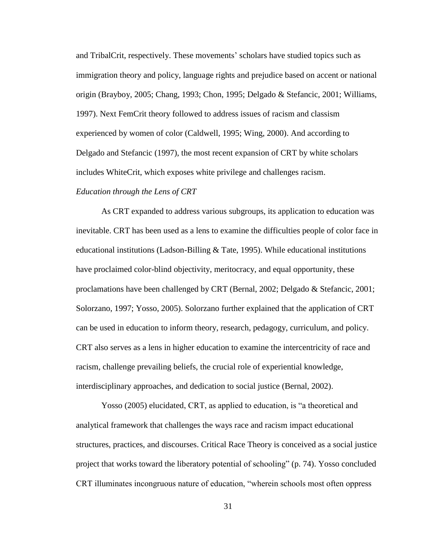and TribalCrit, respectively. These movements' scholars have studied topics such as immigration theory and policy, language rights and prejudice based on accent or national origin (Brayboy, 2005; Chang, 1993; Chon, 1995; Delgado & Stefancic, 2001; Williams, 1997). Next FemCrit theory followed to address issues of racism and classism experienced by women of color (Caldwell, 1995; Wing, 2000). And according to Delgado and Stefancic (1997), the most recent expansion of CRT by white scholars includes WhiteCrit, which exposes white privilege and challenges racism.

#### *Education through the Lens of CRT*

As CRT expanded to address various subgroups, its application to education was inevitable. CRT has been used as a lens to examine the difficulties people of color face in educational institutions (Ladson-Billing  $&$  Tate, 1995). While educational institutions have proclaimed color-blind objectivity, meritocracy, and equal opportunity, these proclamations have been challenged by CRT (Bernal, 2002; Delgado & Stefancic, 2001; Solorzano, 1997; Yosso, 2005). Solorzano further explained that the application of CRT can be used in education to inform theory, research, pedagogy, curriculum, and policy. CRT also serves as a lens in higher education to examine the intercentricity of race and racism, challenge prevailing beliefs, the crucial role of experiential knowledge, interdisciplinary approaches, and dedication to social justice (Bernal, 2002).

Yosso (2005) elucidated, CRT, as applied to education, is "a theoretical and analytical framework that challenges the ways race and racism impact educational structures, practices, and discourses. Critical Race Theory is conceived as a social justice project that works toward the liberatory potential of schooling"  $(p. 74)$ . Yosso concluded CRT illuminates incongruous nature of education, "wherein schools most often oppress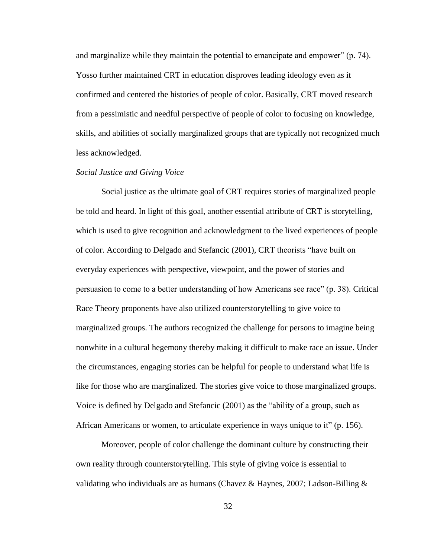and marginalize while they maintain the potential to emancipate and empower"  $(p. 74)$ . Yosso further maintained CRT in education disproves leading ideology even as it confirmed and centered the histories of people of color. Basically, CRT moved research from a pessimistic and needful perspective of people of color to focusing on knowledge, skills, and abilities of socially marginalized groups that are typically not recognized much less acknowledged.

## *Social Justice and Giving Voice*

Social justice as the ultimate goal of CRT requires stories of marginalized people be told and heard. In light of this goal, another essential attribute of CRT is storytelling, which is used to give recognition and acknowledgment to the lived experiences of people of color. According to Delgado and Stefancic (2001), CRT theorists "have built on everyday experiences with perspective, viewpoint, and the power of stories and persuasion to come to a better understanding of how Americans see race" (p. 38). Critical Race Theory proponents have also utilized counterstorytelling to give voice to marginalized groups. The authors recognized the challenge for persons to imagine being nonwhite in a cultural hegemony thereby making it difficult to make race an issue. Under the circumstances, engaging stories can be helpful for people to understand what life is like for those who are marginalized. The stories give voice to those marginalized groups. Voice is defined by Delgado and Stefancic (2001) as the "ability of a group, such as African Americans or women, to articulate experience in ways unique to it" (p. 156).

Moreover, people of color challenge the dominant culture by constructing their own reality through counterstorytelling. This style of giving voice is essential to validating who individuals are as humans (Chavez & Haynes, 2007; Ladson-Billing  $\&$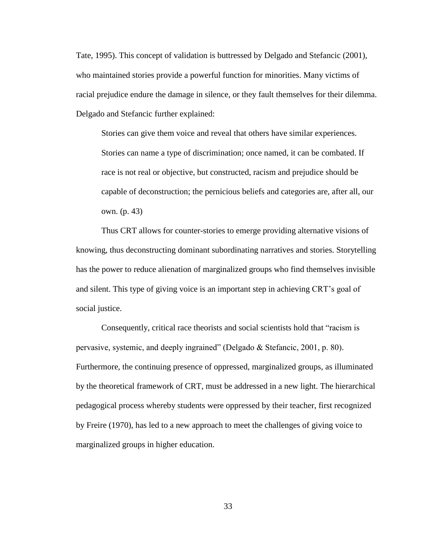Tate, 1995). This concept of validation is buttressed by Delgado and Stefancic (2001), who maintained stories provide a powerful function for minorities. Many victims of racial prejudice endure the damage in silence, or they fault themselves for their dilemma. Delgado and Stefancic further explained:

Stories can give them voice and reveal that others have similar experiences. Stories can name a type of discrimination; once named, it can be combated. If race is not real or objective, but constructed, racism and prejudice should be capable of deconstruction; the pernicious beliefs and categories are, after all, our own. (p. 43)

Thus CRT allows for counter-stories to emerge providing alternative visions of knowing, thus deconstructing dominant subordinating narratives and stories. Storytelling has the power to reduce alienation of marginalized groups who find themselves invisible and silent. This type of giving voice is an important step in achieving CRT's goal of social justice.

Consequently, critical race theorists and social scientists hold that "racism is pervasive, systemic, and deeply ingrained" (Delgado  $&$  Stefancic, 2001, p. 80). Furthermore, the continuing presence of oppressed, marginalized groups, as illuminated by the theoretical framework of CRT, must be addressed in a new light. The hierarchical pedagogical process whereby students were oppressed by their teacher, first recognized by Freire (1970), has led to a new approach to meet the challenges of giving voice to marginalized groups in higher education.

33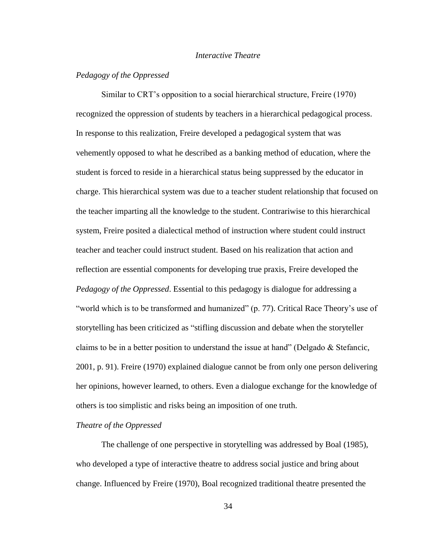# *Interactive Theatre*

# *Pedagogy of the Oppressed*

Similar to CRT's opposition to a social hierarchical structure, Freire (1970) recognized the oppression of students by teachers in a hierarchical pedagogical process. In response to this realization, Freire developed a pedagogical system that was vehemently opposed to what he described as a banking method of education, where the student is forced to reside in a hierarchical status being suppressed by the educator in charge. This hierarchical system was due to a teacher student relationship that focused on the teacher imparting all the knowledge to the student. Contrariwise to this hierarchical system, Freire posited a dialectical method of instruction where student could instruct teacher and teacher could instruct student. Based on his realization that action and reflection are essential components for developing true praxis, Freire developed the *Pedagogy of the Oppressed*. Essential to this pedagogy is dialogue for addressing a "world which is to be transformed and humanized" (p. 77). Critical Race Theory's use of storytelling has been criticized as "stifling discussion and debate when the storyteller claims to be in a better position to understand the issue at hand" (Delgado  $\&$  Stefancic, 2001, p. 91). Freire (1970) explained dialogue cannot be from only one person delivering her opinions, however learned, to others. Even a dialogue exchange for the knowledge of others is too simplistic and risks being an imposition of one truth.

### *Theatre of the Oppressed*

The challenge of one perspective in storytelling was addressed by Boal (1985), who developed a type of interactive theatre to address social justice and bring about change. Influenced by Freire (1970), Boal recognized traditional theatre presented the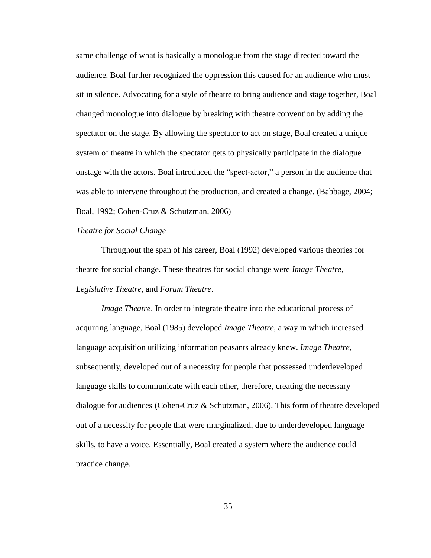same challenge of what is basically a monologue from the stage directed toward the audience. Boal further recognized the oppression this caused for an audience who must sit in silence. Advocating for a style of theatre to bring audience and stage together, Boal changed monologue into dialogue by breaking with theatre convention by adding the spectator on the stage. By allowing the spectator to act on stage, Boal created a unique system of theatre in which the spectator gets to physically participate in the dialogue onstage with the actors. Boal introduced the "spect-actor," a person in the audience that was able to intervene throughout the production, and created a change. (Babbage, 2004; Boal, 1992; Cohen-Cruz & Schutzman, 2006)

## *Theatre for Social Change*

Throughout the span of his career, Boal (1992) developed various theories for theatre for social change. These theatres for social change were *Image Theatre*, *Legislative Theatre*, and *Forum Theatre*.

*Image Theatre*. In order to integrate theatre into the educational process of acquiring language, Boal (1985) developed *Image Theatre*, a way in which increased language acquisition utilizing information peasants already knew. *Image Theatre*, subsequently, developed out of a necessity for people that possessed underdeveloped language skills to communicate with each other, therefore, creating the necessary dialogue for audiences (Cohen-Cruz & Schutzman, 2006). This form of theatre developed out of a necessity for people that were marginalized, due to underdeveloped language skills, to have a voice. Essentially, Boal created a system where the audience could practice change.

35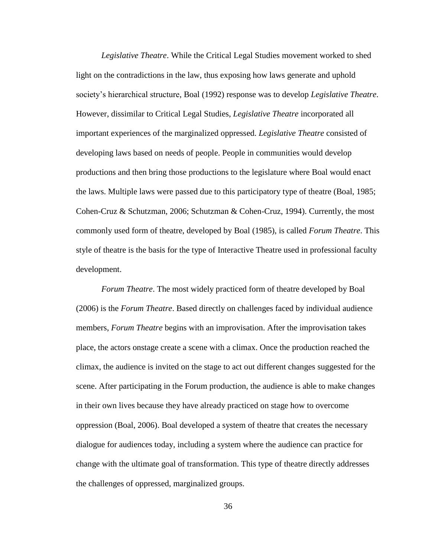*Legislative Theatre*. While the Critical Legal Studies movement worked to shed light on the contradictions in the law, thus exposing how laws generate and uphold society's hierarchical structure, Boal (1992) response was to develop *Legislative Theatre*. However, dissimilar to Critical Legal Studies, *Legislative Theatre* incorporated all important experiences of the marginalized oppressed. *Legislative Theatre* consisted of developing laws based on needs of people. People in communities would develop productions and then bring those productions to the legislature where Boal would enact the laws. Multiple laws were passed due to this participatory type of theatre (Boal, 1985; Cohen-Cruz & Schutzman, 2006; Schutzman & Cohen-Cruz, 1994). Currently, the most commonly used form of theatre, developed by Boal (1985), is called *Forum Theatre*. This style of theatre is the basis for the type of Interactive Theatre used in professional faculty development.

*Forum Theatre*. The most widely practiced form of theatre developed by Boal (2006) is the *Forum Theatre*. Based directly on challenges faced by individual audience members, *Forum Theatre* begins with an improvisation. After the improvisation takes place, the actors onstage create a scene with a climax. Once the production reached the climax, the audience is invited on the stage to act out different changes suggested for the scene. After participating in the Forum production, the audience is able to make changes in their own lives because they have already practiced on stage how to overcome oppression (Boal, 2006). Boal developed a system of theatre that creates the necessary dialogue for audiences today, including a system where the audience can practice for change with the ultimate goal of transformation. This type of theatre directly addresses the challenges of oppressed, marginalized groups.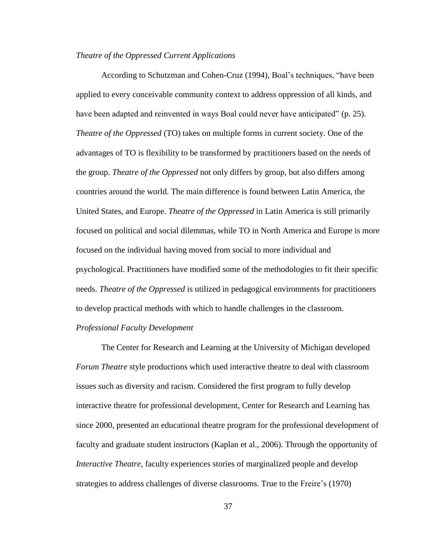### *Theatre of the Oppressed Current Applications*

According to Schutzman and Cohen-Cruz (1994), Boal's techniques, "have been applied to every conceivable community context to address oppression of all kinds, and have been adapted and reinvented in ways Boal could never have anticipated" (p. 25). *Theatre of the Oppressed* (TO) takes on multiple forms in current society. One of the advantages of TO is flexibility to be transformed by practitioners based on the needs of the group. *Theatre of the Oppressed* not only differs by group, but also differs among countries around the world. The main difference is found between Latin America, the United States, and Europe. *Theatre of the Oppressed* in Latin America is still primarily focused on political and social dilemmas, while TO in North America and Europe is more focused on the individual having moved from social to more individual and psychological. Practitioners have modified some of the methodologies to fit their specific needs. *Theatre of the Oppressed* is utilized in pedagogical environments for practitioners to develop practical methods with which to handle challenges in the classroom.

# *Professional Faculty Development*

The Center for Research and Learning at the University of Michigan developed *Forum Theatre* style productions which used interactive theatre to deal with classroom issues such as diversity and racism. Considered the first program to fully develop interactive theatre for professional development, Center for Research and Learning has since 2000, presented an educational theatre program for the professional development of faculty and graduate student instructors (Kaplan et al., 2006). Through the opportunity of *Interactive Theatre*, faculty experiences stories of marginalized people and develop strategies to address challenges of diverse classrooms. True to the Freire's (1970)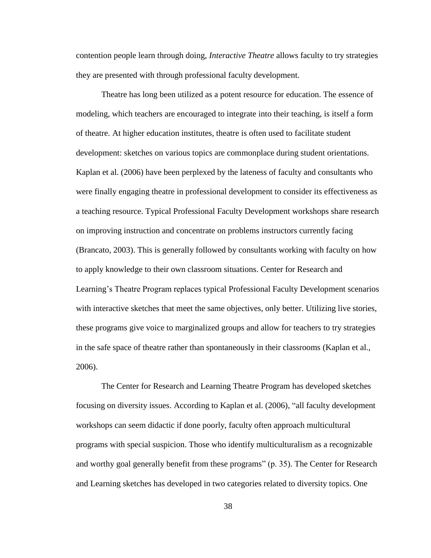contention people learn through doing, *Interactive Theatre* allows faculty to try strategies they are presented with through professional faculty development.

Theatre has long been utilized as a potent resource for education. The essence of modeling, which teachers are encouraged to integrate into their teaching, is itself a form of theatre. At higher education institutes, theatre is often used to facilitate student development: sketches on various topics are commonplace during student orientations. Kaplan et al. (2006) have been perplexed by the lateness of faculty and consultants who were finally engaging theatre in professional development to consider its effectiveness as a teaching resource. Typical Professional Faculty Development workshops share research on improving instruction and concentrate on problems instructors currently facing (Brancato, 2003). This is generally followed by consultants working with faculty on how to apply knowledge to their own classroom situations. Center for Research and Learning's Theatre Program replaces typical Professional Faculty Development scenarios with interactive sketches that meet the same objectives, only better. Utilizing live stories, these programs give voice to marginalized groups and allow for teachers to try strategies in the safe space of theatre rather than spontaneously in their classrooms (Kaplan et al., 2006).

The Center for Research and Learning Theatre Program has developed sketches focusing on diversity issues. According to Kaplan et al. (2006), "all faculty development workshops can seem didactic if done poorly, faculty often approach multicultural programs with special suspicion. Those who identify multiculturalism as a recognizable and worthy goal generally benefit from these programs" (p. 35). The Center for Research and Learning sketches has developed in two categories related to diversity topics. One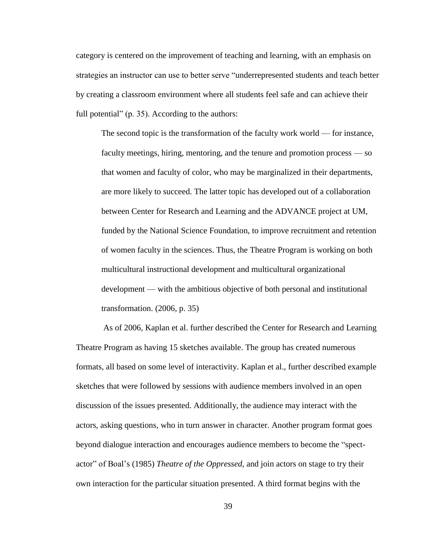category is centered on the improvement of teaching and learning, with an emphasis on strategies an instructor can use to better serve "underrepresented students and teach better by creating a classroom environment where all students feel safe and can achieve their full potential"  $(p. 35)$ . According to the authors:

The second topic is the transformation of the faculty work world — for instance, faculty meetings, hiring, mentoring, and the tenure and promotion process — so that women and faculty of color, who may be marginalized in their departments, are more likely to succeed. The latter topic has developed out of a collaboration between Center for Research and Learning and the ADVANCE project at UM, funded by the National Science Foundation, to improve recruitment and retention of women faculty in the sciences. Thus, the Theatre Program is working on both multicultural instructional development and multicultural organizational development — with the ambitious objective of both personal and institutional transformation. (2006, p. 35)

As of 2006, Kaplan et al. further described the Center for Research and Learning Theatre Program as having 15 sketches available. The group has created numerous formats, all based on some level of interactivity. Kaplan et al., further described example sketches that were followed by sessions with audience members involved in an open discussion of the issues presented. Additionally, the audience may interact with the actors, asking questions, who in turn answer in character. Another program format goes beyond dialogue interaction and encourages audience members to become the "spectactor‖ of Boal's (1985) *Theatre of the Oppressed*, and join actors on stage to try their own interaction for the particular situation presented. A third format begins with the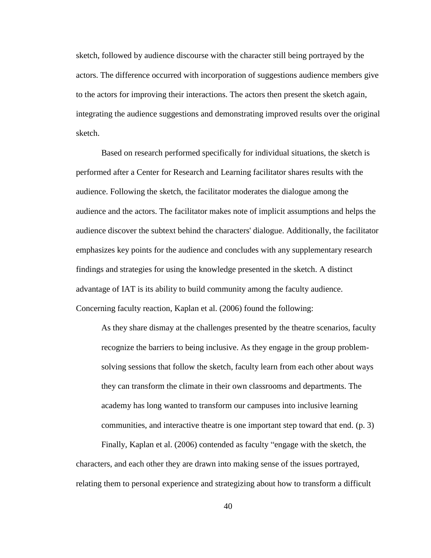sketch, followed by audience discourse with the character still being portrayed by the actors. The difference occurred with incorporation of suggestions audience members give to the actors for improving their interactions. The actors then present the sketch again, integrating the audience suggestions and demonstrating improved results over the original sketch.

Based on research performed specifically for individual situations, the sketch is performed after a Center for Research and Learning facilitator shares results with the audience. Following the sketch, the facilitator moderates the dialogue among the audience and the actors. The facilitator makes note of implicit assumptions and helps the audience discover the subtext behind the characters' dialogue. Additionally, the facilitator emphasizes key points for the audience and concludes with any supplementary research findings and strategies for using the knowledge presented in the sketch. A distinct advantage of IAT is its ability to build community among the faculty audience. Concerning faculty reaction, Kaplan et al. (2006) found the following:

As they share dismay at the challenges presented by the theatre scenarios, faculty recognize the barriers to being inclusive. As they engage in the group problemsolving sessions that follow the sketch, faculty learn from each other about ways they can transform the climate in their own classrooms and departments. The academy has long wanted to transform our campuses into inclusive learning communities, and interactive theatre is one important step toward that end. (p. 3)

Finally, Kaplan et al. (2006) contended as faculty "engage with the sketch, the characters, and each other they are drawn into making sense of the issues portrayed, relating them to personal experience and strategizing about how to transform a difficult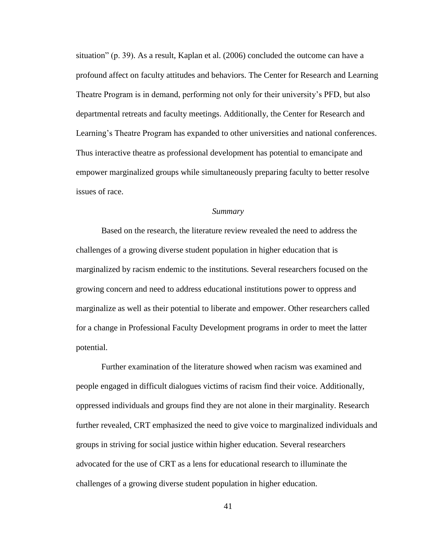situation" (p. 39). As a result, Kaplan et al.  $(2006)$  concluded the outcome can have a profound affect on faculty attitudes and behaviors. The Center for Research and Learning Theatre Program is in demand, performing not only for their university's PFD, but also departmental retreats and faculty meetings. Additionally, the Center for Research and Learning's Theatre Program has expanded to other universities and national conferences. Thus interactive theatre as professional development has potential to emancipate and empower marginalized groups while simultaneously preparing faculty to better resolve issues of race.

## *Summary*

Based on the research, the literature review revealed the need to address the challenges of a growing diverse student population in higher education that is marginalized by racism endemic to the institutions. Several researchers focused on the growing concern and need to address educational institutions power to oppress and marginalize as well as their potential to liberate and empower. Other researchers called for a change in Professional Faculty Development programs in order to meet the latter potential.

Further examination of the literature showed when racism was examined and people engaged in difficult dialogues victims of racism find their voice. Additionally, oppressed individuals and groups find they are not alone in their marginality. Research further revealed, CRT emphasized the need to give voice to marginalized individuals and groups in striving for social justice within higher education. Several researchers advocated for the use of CRT as a lens for educational research to illuminate the challenges of a growing diverse student population in higher education.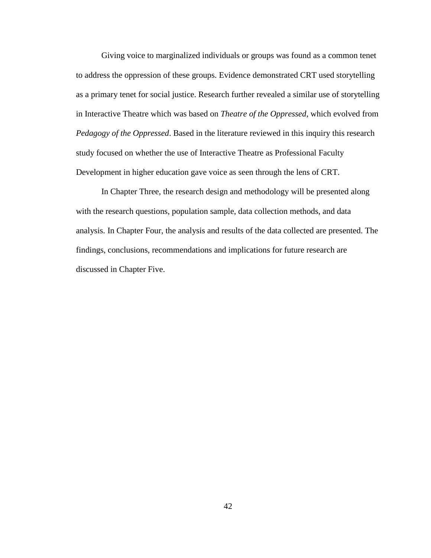Giving voice to marginalized individuals or groups was found as a common tenet to address the oppression of these groups. Evidence demonstrated CRT used storytelling as a primary tenet for social justice. Research further revealed a similar use of storytelling in Interactive Theatre which was based on *Theatre of the Oppressed*, which evolved from *Pedagogy of the Oppressed*. Based in the literature reviewed in this inquiry this research study focused on whether the use of Interactive Theatre as Professional Faculty Development in higher education gave voice as seen through the lens of CRT.

In Chapter Three, the research design and methodology will be presented along with the research questions, population sample, data collection methods, and data analysis. In Chapter Four, the analysis and results of the data collected are presented. The findings, conclusions, recommendations and implications for future research are discussed in Chapter Five.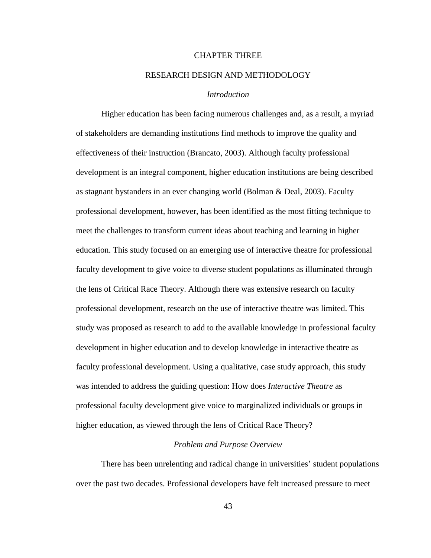## CHAPTER THREE

### RESEARCH DESIGN AND METHODOLOGY

## *Introduction*

Higher education has been facing numerous challenges and, as a result, a myriad of stakeholders are demanding institutions find methods to improve the quality and effectiveness of their instruction (Brancato, 2003). Although faculty professional development is an integral component, higher education institutions are being described as stagnant bystanders in an ever changing world (Bolman & Deal, 2003). Faculty professional development, however, has been identified as the most fitting technique to meet the challenges to transform current ideas about teaching and learning in higher education. This study focused on an emerging use of interactive theatre for professional faculty development to give voice to diverse student populations as illuminated through the lens of Critical Race Theory. Although there was extensive research on faculty professional development, research on the use of interactive theatre was limited. This study was proposed as research to add to the available knowledge in professional faculty development in higher education and to develop knowledge in interactive theatre as faculty professional development. Using a qualitative, case study approach, this study was intended to address the guiding question: How does *Interactive Theatre* as professional faculty development give voice to marginalized individuals or groups in higher education, as viewed through the lens of Critical Race Theory?

### *Problem and Purpose Overview*

There has been unrelenting and radical change in universities' student populations over the past two decades. Professional developers have felt increased pressure to meet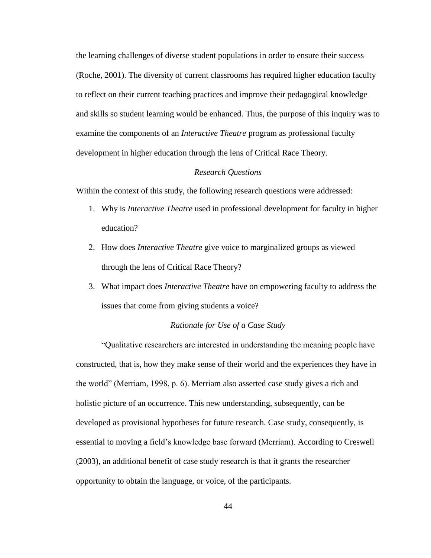the learning challenges of diverse student populations in order to ensure their success (Roche, 2001). The diversity of current classrooms has required higher education faculty to reflect on their current teaching practices and improve their pedagogical knowledge and skills so student learning would be enhanced. Thus, the purpose of this inquiry was to examine the components of an *Interactive Theatre* program as professional faculty development in higher education through the lens of Critical Race Theory.

## *Research Questions*

Within the context of this study, the following research questions were addressed:

- 1. Why is *Interactive Theatre* used in professional development for faculty in higher education?
- 2. How does *Interactive Theatre* give voice to marginalized groups as viewed through the lens of Critical Race Theory?
- 3. What impact does *Interactive Theatre* have on empowering faculty to address the issues that come from giving students a voice?

# *Rationale for Use of a Case Study*

―Qualitative researchers are interested in understanding the meaning people have constructed, that is, how they make sense of their world and the experiences they have in the world" (Merriam, 1998, p. 6). Merriam also asserted case study gives a rich and holistic picture of an occurrence. This new understanding, subsequently, can be developed as provisional hypotheses for future research. Case study, consequently, is essential to moving a field's knowledge base forward (Merriam). According to Creswell (2003), an additional benefit of case study research is that it grants the researcher opportunity to obtain the language, or voice, of the participants.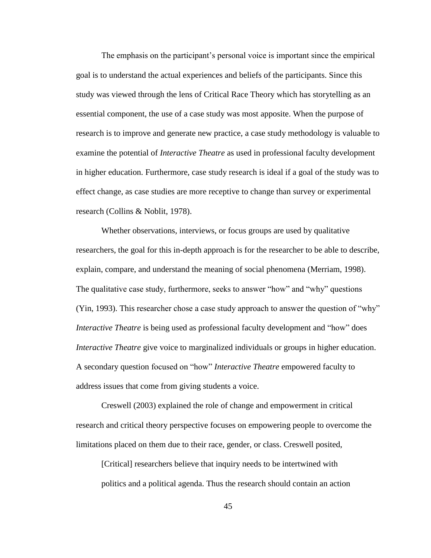The emphasis on the participant's personal voice is important since the empirical goal is to understand the actual experiences and beliefs of the participants. Since this study was viewed through the lens of Critical Race Theory which has storytelling as an essential component, the use of a case study was most apposite. When the purpose of research is to improve and generate new practice, a case study methodology is valuable to examine the potential of *Interactive Theatre* as used in professional faculty development in higher education. Furthermore, case study research is ideal if a goal of the study was to effect change, as case studies are more receptive to change than survey or experimental research (Collins & Noblit, 1978).

Whether observations, interviews, or focus groups are used by qualitative researchers, the goal for this in-depth approach is for the researcher to be able to describe, explain, compare, and understand the meaning of social phenomena (Merriam, 1998). The qualitative case study, furthermore, seeks to answer "how" and "why" questions  $(Yin, 1993)$ . This researcher chose a case study approach to answer the question of "why" *Interactive Theatre* is being used as professional faculty development and "how" does *Interactive Theatre* give voice to marginalized individuals or groups in higher education. A secondary question focused on "how" *Interactive Theatre* empowered faculty to address issues that come from giving students a voice.

Creswell (2003) explained the role of change and empowerment in critical research and critical theory perspective focuses on empowering people to overcome the limitations placed on them due to their race, gender, or class. Creswell posited,

[Critical] researchers believe that inquiry needs to be intertwined with politics and a political agenda. Thus the research should contain an action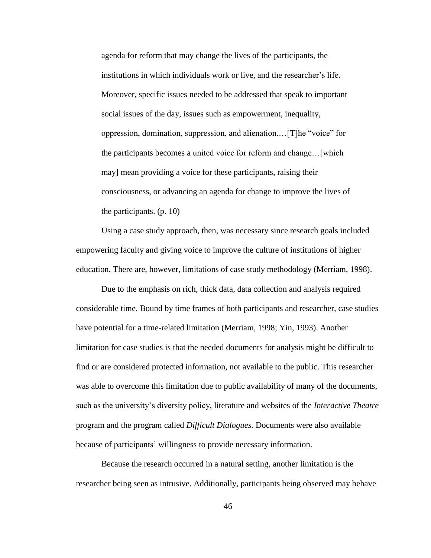agenda for reform that may change the lives of the participants, the institutions in which individuals work or live, and the researcher's life. Moreover, specific issues needed to be addressed that speak to important social issues of the day, issues such as empowerment, inequality, oppression, domination, suppression, and alienation.... [T]he "voice" for the participants becomes a united voice for reform and change…[which may] mean providing a voice for these participants, raising their consciousness, or advancing an agenda for change to improve the lives of the participants. (p. 10)

Using a case study approach, then, was necessary since research goals included empowering faculty and giving voice to improve the culture of institutions of higher education. There are, however, limitations of case study methodology (Merriam, 1998).

Due to the emphasis on rich, thick data, data collection and analysis required considerable time. Bound by time frames of both participants and researcher, case studies have potential for a time-related limitation (Merriam, 1998; Yin, 1993). Another limitation for case studies is that the needed documents for analysis might be difficult to find or are considered protected information, not available to the public. This researcher was able to overcome this limitation due to public availability of many of the documents, such as the university's diversity policy, literature and websites of the *Interactive Theatre* program and the program called *Difficult Dialogues*. Documents were also available because of participants' willingness to provide necessary information.

Because the research occurred in a natural setting, another limitation is the researcher being seen as intrusive. Additionally, participants being observed may behave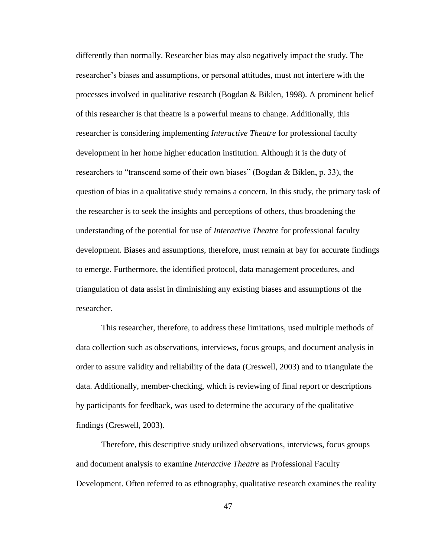differently than normally. Researcher bias may also negatively impact the study. The researcher's biases and assumptions, or personal attitudes, must not interfere with the processes involved in qualitative research (Bogdan & Biklen, 1998). A prominent belief of this researcher is that theatre is a powerful means to change. Additionally, this researcher is considering implementing *Interactive Theatre* for professional faculty development in her home higher education institution. Although it is the duty of researchers to "transcend some of their own biases" (Bogdan  $&$  Biklen, p. 33), the question of bias in a qualitative study remains a concern. In this study, the primary task of the researcher is to seek the insights and perceptions of others, thus broadening the understanding of the potential for use of *Interactive Theatre* for professional faculty development. Biases and assumptions, therefore, must remain at bay for accurate findings to emerge. Furthermore, the identified protocol, data management procedures, and triangulation of data assist in diminishing any existing biases and assumptions of the researcher.

This researcher, therefore, to address these limitations, used multiple methods of data collection such as observations, interviews, focus groups, and document analysis in order to assure validity and reliability of the data (Creswell, 2003) and to triangulate the data. Additionally, member-checking, which is reviewing of final report or descriptions by participants for feedback, was used to determine the accuracy of the qualitative findings (Creswell, 2003).

Therefore, this descriptive study utilized observations, interviews, focus groups and document analysis to examine *Interactive Theatre* as Professional Faculty Development. Often referred to as ethnography, qualitative research examines the reality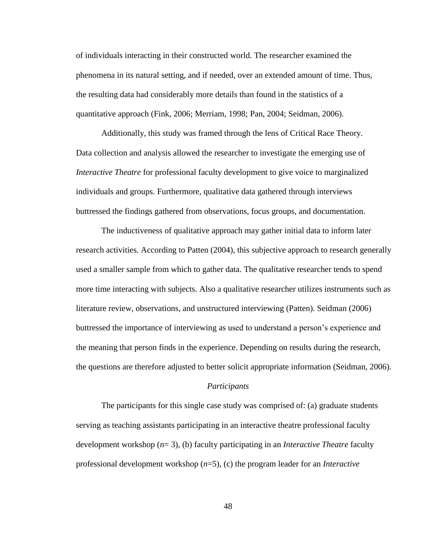of individuals interacting in their constructed world. The researcher examined the phenomena in its natural setting, and if needed, over an extended amount of time. Thus, the resulting data had considerably more details than found in the statistics of a quantitative approach (Fink, 2006; Merriam, 1998; Pan, 2004; Seidman, 2006).

Additionally, this study was framed through the lens of Critical Race Theory. Data collection and analysis allowed the researcher to investigate the emerging use of *Interactive Theatre* for professional faculty development to give voice to marginalized individuals and groups. Furthermore, qualitative data gathered through interviews buttressed the findings gathered from observations, focus groups, and documentation.

The inductiveness of qualitative approach may gather initial data to inform later research activities. According to Patten (2004), this subjective approach to research generally used a smaller sample from which to gather data. The qualitative researcher tends to spend more time interacting with subjects. Also a qualitative researcher utilizes instruments such as literature review, observations, and unstructured interviewing (Patten). Seidman (2006) buttressed the importance of interviewing as used to understand a person's experience and the meaning that person finds in the experience. Depending on results during the research, the questions are therefore adjusted to better solicit appropriate information (Seidman, 2006).

### *Participants*

The participants for this single case study was comprised of: (a) graduate students serving as teaching assistants participating in an interactive theatre professional faculty development workshop (*n*= 3), (b) faculty participating in an *Interactive Theatre* faculty professional development workshop (*n*=5), (c) the program leader for an *Interactive*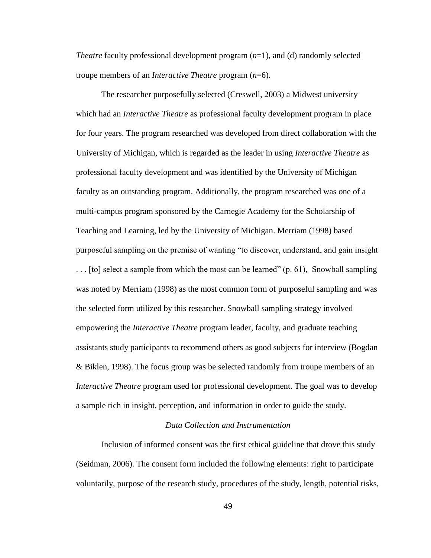*Theatre* faculty professional development program (*n*=1), and (d) randomly selected troupe members of an *Interactive Theatre* program (*n*=6).

The researcher purposefully selected (Creswell, 2003) a Midwest university which had an *Interactive Theatre* as professional faculty development program in place for four years. The program researched was developed from direct collaboration with the University of Michigan, which is regarded as the leader in using *Interactive Theatre* as professional faculty development and was identified by the University of Michigan faculty as an outstanding program. Additionally, the program researched was one of a multi-campus program sponsored by the Carnegie Academy for the Scholarship of Teaching and Learning, led by the University of Michigan. Merriam (1998) based purposeful sampling on the premise of wanting "to discover, understand, and gain insight  $\ldots$  [to] select a sample from which the most can be learned" (p. 61), Snowball sampling was noted by Merriam (1998) as the most common form of purposeful sampling and was the selected form utilized by this researcher. Snowball sampling strategy involved empowering the *Interactive Theatre* program leader, faculty, and graduate teaching assistants study participants to recommend others as good subjects for interview (Bogdan & Biklen, 1998). The focus group was be selected randomly from troupe members of an *Interactive Theatre* program used for professional development. The goal was to develop a sample rich in insight, perception, and information in order to guide the study.

# *Data Collection and Instrumentation*

Inclusion of informed consent was the first ethical guideline that drove this study (Seidman, 2006). The consent form included the following elements: right to participate voluntarily, purpose of the research study, procedures of the study, length, potential risks,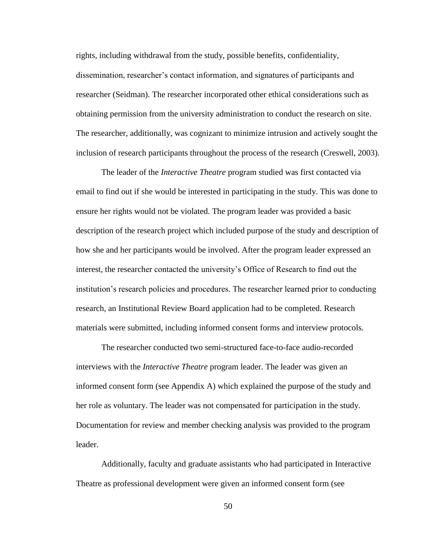rights, including withdrawal from the study, possible benefits, confidentiality, dissemination, researcher's contact information, and signatures of participants and researcher (Seidman). The researcher incorporated other ethical considerations such as obtaining permission from the university administration to conduct the research on site. The researcher, additionally, was cognizant to minimize intrusion and actively sought the inclusion of research participants throughout the process of the research (Creswell, 2003).

The leader of the *Interactive Theatre* program studied was first contacted via email to find out if she would be interested in participating in the study. This was done to ensure her rights would not be violated. The program leader was provided a basic description of the research project which included purpose of the study and description of how she and her participants would be involved. After the program leader expressed an interest, the researcher contacted the university's Office of Research to find out the institution's research policies and procedures. The researcher learned prior to conducting research, an Institutional Review Board application had to be completed. Research materials were submitted, including informed consent forms and interview protocols.

The researcher conducted two semi-structured face-to-face audio-recorded interviews with the *Interactive Theatre* program leader. The leader was given an informed consent form (see Appendix A) which explained the purpose of the study and her role as voluntary. The leader was not compensated for participation in the study. Documentation for review and member checking analysis was provided to the program leader.

Additionally, faculty and graduate assistants who had participated in Interactive Theatre as professional development were given an informed consent form (see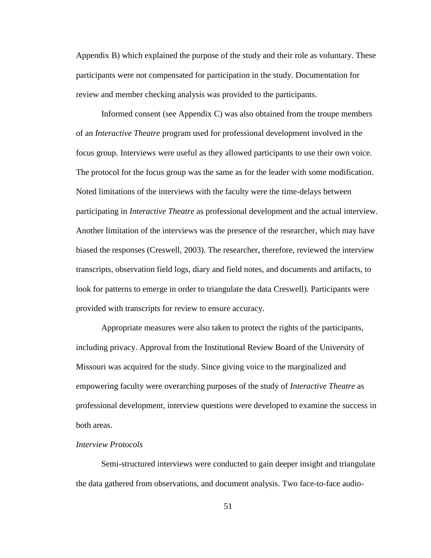Appendix B) which explained the purpose of the study and their role as voluntary. These participants were not compensated for participation in the study. Documentation for review and member checking analysis was provided to the participants.

Informed consent (see Appendix C) was also obtained from the troupe members of an *Interactive Theatre* program used for professional development involved in the focus group. Interviews were useful as they allowed participants to use their own voice. The protocol for the focus group was the same as for the leader with some modification. Noted limitations of the interviews with the faculty were the time-delays between participating in *Interactive Theatre* as professional development and the actual interview. Another limitation of the interviews was the presence of the researcher, which may have biased the responses (Creswell, 2003). The researcher, therefore, reviewed the interview transcripts, observation field logs, diary and field notes, and documents and artifacts, to look for patterns to emerge in order to triangulate the data Creswell). Participants were provided with transcripts for review to ensure accuracy.

Appropriate measures were also taken to protect the rights of the participants, including privacy. Approval from the Institutional Review Board of the University of Missouri was acquired for the study. Since giving voice to the marginalized and empowering faculty were overarching purposes of the study of *Interactive Theatre* as professional development, interview questions were developed to examine the success in both areas.

#### *Interview Protocols*

Semi-structured interviews were conducted to gain deeper insight and triangulate the data gathered from observations, and document analysis. Two face-to-face audio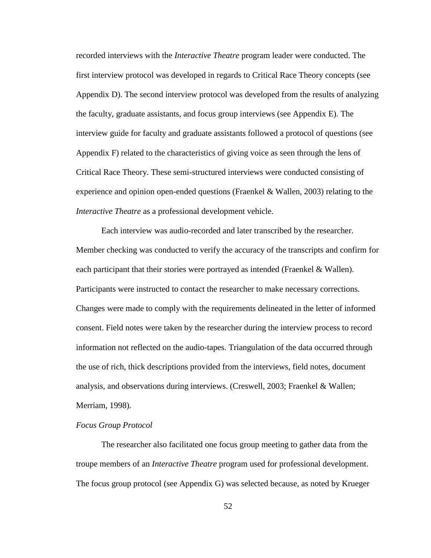recorded interviews with the *Interactive Theatre* program leader were conducted. The first interview protocol was developed in regards to Critical Race Theory concepts (see Appendix D). The second interview protocol was developed from the results of analyzing the faculty, graduate assistants, and focus group interviews (see Appendix E). The interview guide for faculty and graduate assistants followed a protocol of questions (see Appendix F) related to the characteristics of giving voice as seen through the lens of Critical Race Theory. These semi-structured interviews were conducted consisting of experience and opinion open-ended questions (Fraenkel & Wallen, 2003) relating to the *Interactive Theatre* as a professional development vehicle.

Each interview was audio-recorded and later transcribed by the researcher. Member checking was conducted to verify the accuracy of the transcripts and confirm for each participant that their stories were portrayed as intended (Fraenkel & Wallen). Participants were instructed to contact the researcher to make necessary corrections. Changes were made to comply with the requirements delineated in the letter of informed consent. Field notes were taken by the researcher during the interview process to record information not reflected on the audio-tapes. Triangulation of the data occurred through the use of rich, thick descriptions provided from the interviews, field notes, document analysis, and observations during interviews. (Creswell, 2003; Fraenkel & Wallen; Merriam, 1998).

### *Focus Group Protocol*

The researcher also facilitated one focus group meeting to gather data from the troupe members of an *Interactive Theatre* program used for professional development. The focus group protocol (see Appendix G) was selected because, as noted by Krueger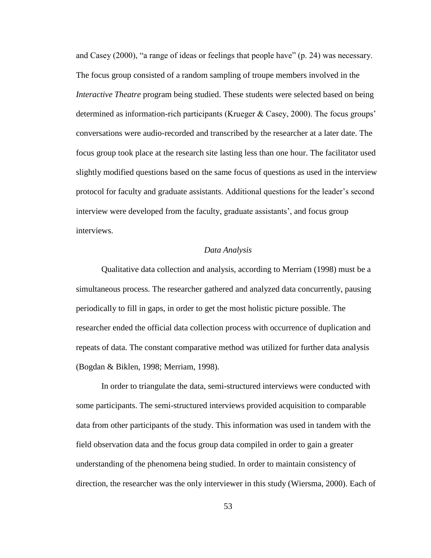and Casey  $(2000)$ , "a range of ideas or feelings that people have" (p. 24) was necessary. The focus group consisted of a random sampling of troupe members involved in the *Interactive Theatre* program being studied. These students were selected based on being determined as information-rich participants (Krueger & Casey, 2000). The focus groups' conversations were audio-recorded and transcribed by the researcher at a later date. The focus group took place at the research site lasting less than one hour. The facilitator used slightly modified questions based on the same focus of questions as used in the interview protocol for faculty and graduate assistants. Additional questions for the leader's second interview were developed from the faculty, graduate assistants', and focus group interviews.

### *Data Analysis*

Qualitative data collection and analysis, according to Merriam (1998) must be a simultaneous process. The researcher gathered and analyzed data concurrently, pausing periodically to fill in gaps, in order to get the most holistic picture possible. The researcher ended the official data collection process with occurrence of duplication and repeats of data. The constant comparative method was utilized for further data analysis (Bogdan & Biklen, 1998; Merriam, 1998).

In order to triangulate the data, semi-structured interviews were conducted with some participants. The semi-structured interviews provided acquisition to comparable data from other participants of the study. This information was used in tandem with the field observation data and the focus group data compiled in order to gain a greater understanding of the phenomena being studied. In order to maintain consistency of direction, the researcher was the only interviewer in this study (Wiersma, 2000). Each of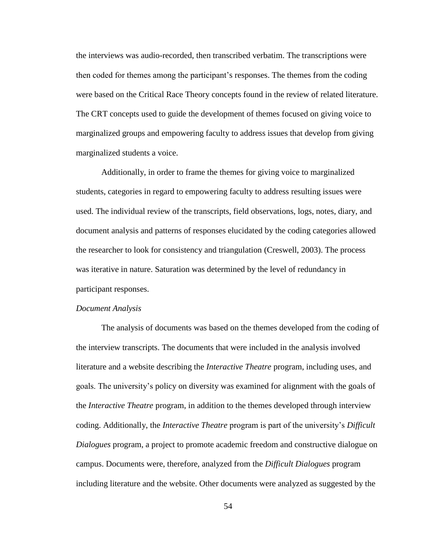the interviews was audio-recorded, then transcribed verbatim. The transcriptions were then coded for themes among the participant's responses. The themes from the coding were based on the Critical Race Theory concepts found in the review of related literature. The CRT concepts used to guide the development of themes focused on giving voice to marginalized groups and empowering faculty to address issues that develop from giving marginalized students a voice.

Additionally, in order to frame the themes for giving voice to marginalized students, categories in regard to empowering faculty to address resulting issues were used. The individual review of the transcripts, field observations, logs, notes, diary, and document analysis and patterns of responses elucidated by the coding categories allowed the researcher to look for consistency and triangulation (Creswell, 2003). The process was iterative in nature. Saturation was determined by the level of redundancy in participant responses.

### *Document Analysis*

The analysis of documents was based on the themes developed from the coding of the interview transcripts. The documents that were included in the analysis involved literature and a website describing the *Interactive Theatre* program, including uses, and goals. The university's policy on diversity was examined for alignment with the goals of the *Interactive Theatre* program, in addition to the themes developed through interview coding. Additionally, the *Interactive Theatre* program is part of the university's *Difficult Dialogues* program, a project to promote academic freedom and constructive dialogue on campus. Documents were, therefore, analyzed from the *Difficult Dialogues* program including literature and the website. Other documents were analyzed as suggested by the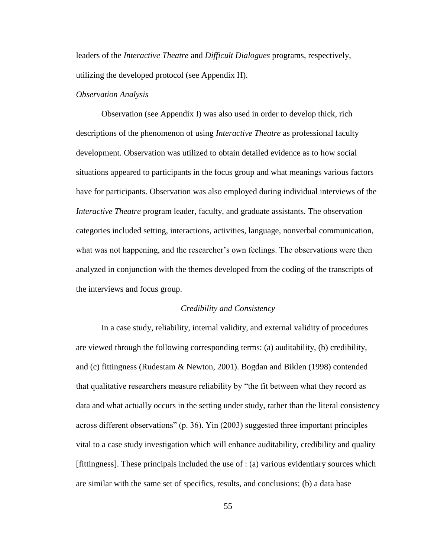leaders of the *Interactive Theatre* and *Difficult Dialogues* programs, respectively, utilizing the developed protocol (see Appendix H).

### *Observation Analysis*

Observation (see Appendix I) was also used in order to develop thick, rich descriptions of the phenomenon of using *Interactive Theatre* as professional faculty development. Observation was utilized to obtain detailed evidence as to how social situations appeared to participants in the focus group and what meanings various factors have for participants. Observation was also employed during individual interviews of the *Interactive Theatre* program leader, faculty, and graduate assistants. The observation categories included setting, interactions, activities, language, nonverbal communication, what was not happening, and the researcher's own feelings. The observations were then analyzed in conjunction with the themes developed from the coding of the transcripts of the interviews and focus group.

### *Credibility and Consistency*

In a case study, reliability, internal validity, and external validity of procedures are viewed through the following corresponding terms: (a) auditability, (b) credibility, and (c) fittingness (Rudestam & Newton, 2001). Bogdan and Biklen (1998) contended that qualitative researchers measure reliability by "the fit between what they record as data and what actually occurs in the setting under study, rather than the literal consistency across different observations" (p. 36). Yin (2003) suggested three important principles vital to a case study investigation which will enhance auditability, credibility and quality [fittingness]. These principals included the use of : (a) various evidentiary sources which are similar with the same set of specifics, results, and conclusions; (b) a data base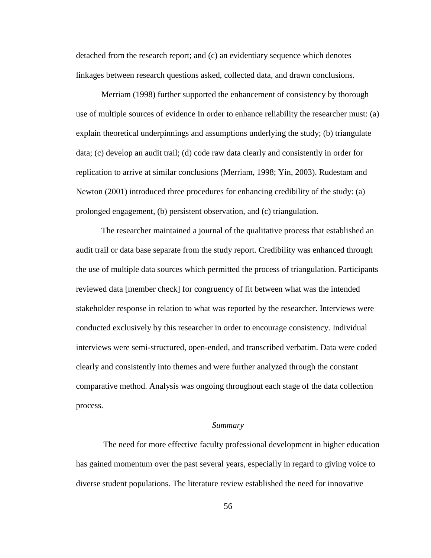detached from the research report; and (c) an evidentiary sequence which denotes linkages between research questions asked, collected data, and drawn conclusions.

Merriam (1998) further supported the enhancement of consistency by thorough use of multiple sources of evidence In order to enhance reliability the researcher must: (a) explain theoretical underpinnings and assumptions underlying the study; (b) triangulate data; (c) develop an audit trail; (d) code raw data clearly and consistently in order for replication to arrive at similar conclusions (Merriam, 1998; Yin, 2003). Rudestam and Newton (2001) introduced three procedures for enhancing credibility of the study: (a) prolonged engagement, (b) persistent observation, and (c) triangulation.

The researcher maintained a journal of the qualitative process that established an audit trail or data base separate from the study report. Credibility was enhanced through the use of multiple data sources which permitted the process of triangulation. Participants reviewed data [member check] for congruency of fit between what was the intended stakeholder response in relation to what was reported by the researcher. Interviews were conducted exclusively by this researcher in order to encourage consistency. Individual interviews were semi-structured, open-ended, and transcribed verbatim. Data were coded clearly and consistently into themes and were further analyzed through the constant comparative method. Analysis was ongoing throughout each stage of the data collection process.

#### *Summary*

The need for more effective faculty professional development in higher education has gained momentum over the past several years, especially in regard to giving voice to diverse student populations. The literature review established the need for innovative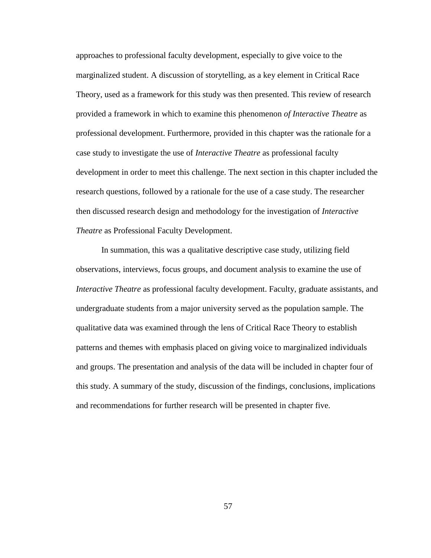approaches to professional faculty development, especially to give voice to the marginalized student. A discussion of storytelling, as a key element in Critical Race Theory, used as a framework for this study was then presented. This review of research provided a framework in which to examine this phenomenon *of Interactive Theatre* as professional development. Furthermore, provided in this chapter was the rationale for a case study to investigate the use of *Interactive Theatre* as professional faculty development in order to meet this challenge. The next section in this chapter included the research questions, followed by a rationale for the use of a case study. The researcher then discussed research design and methodology for the investigation of *Interactive Theatre* as Professional Faculty Development.

In summation, this was a qualitative descriptive case study, utilizing field observations, interviews, focus groups, and document analysis to examine the use of *Interactive Theatre* as professional faculty development. Faculty, graduate assistants, and undergraduate students from a major university served as the population sample. The qualitative data was examined through the lens of Critical Race Theory to establish patterns and themes with emphasis placed on giving voice to marginalized individuals and groups. The presentation and analysis of the data will be included in chapter four of this study. A summary of the study, discussion of the findings, conclusions, implications and recommendations for further research will be presented in chapter five.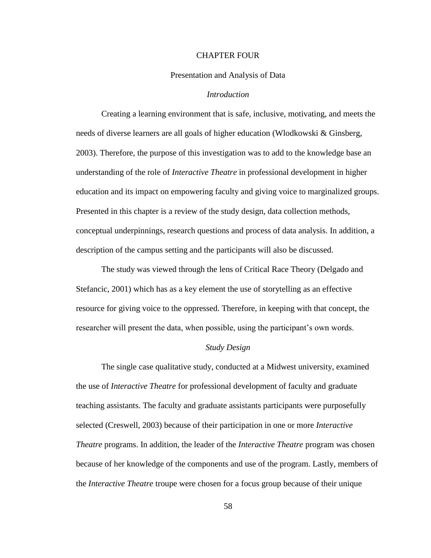#### CHAPTER FOUR

### Presentation and Analysis of Data

## *Introduction*

Creating a learning environment that is safe, inclusive, motivating, and meets the needs of diverse learners are all goals of higher education (Wlodkowski & Ginsberg, 2003). Therefore, the purpose of this investigation was to add to the knowledge base an understanding of the role of *Interactive Theatre* in professional development in higher education and its impact on empowering faculty and giving voice to marginalized groups. Presented in this chapter is a review of the study design, data collection methods, conceptual underpinnings, research questions and process of data analysis. In addition, a description of the campus setting and the participants will also be discussed.

The study was viewed through the lens of Critical Race Theory (Delgado and Stefancic, 2001) which has as a key element the use of storytelling as an effective resource for giving voice to the oppressed. Therefore, in keeping with that concept, the researcher will present the data, when possible, using the participant's own words.

## *Study Design*

The single case qualitative study, conducted at a Midwest university, examined the use of *Interactive Theatre* for professional development of faculty and graduate teaching assistants. The faculty and graduate assistants participants were purposefully selected (Creswell, 2003) because of their participation in one or more *Interactive Theatre* programs. In addition, the leader of the *Interactive Theatre* program was chosen because of her knowledge of the components and use of the program. Lastly, members of the *Interactive Theatre* troupe were chosen for a focus group because of their unique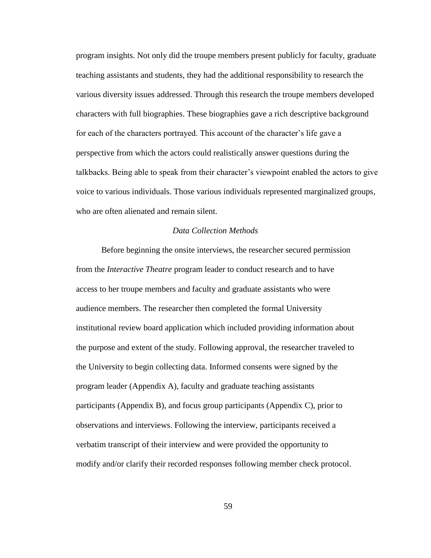program insights. Not only did the troupe members present publicly for faculty, graduate teaching assistants and students, they had the additional responsibility to research the various diversity issues addressed. Through this research the troupe members developed characters with full biographies. These biographies gave a rich descriptive background for each of the characters portrayed. This account of the character's life gave a perspective from which the actors could realistically answer questions during the talkbacks. Being able to speak from their character's viewpoint enabled the actors to give voice to various individuals. Those various individuals represented marginalized groups, who are often alienated and remain silent.

## *Data Collection Methods*

Before beginning the onsite interviews, the researcher secured permission from the *Interactive Theatre* program leader to conduct research and to have access to her troupe members and faculty and graduate assistants who were audience members. The researcher then completed the formal University institutional review board application which included providing information about the purpose and extent of the study. Following approval, the researcher traveled to the University to begin collecting data. Informed consents were signed by the program leader (Appendix A), faculty and graduate teaching assistants participants (Appendix B), and focus group participants (Appendix C), prior to observations and interviews. Following the interview, participants received a verbatim transcript of their interview and were provided the opportunity to modify and/or clarify their recorded responses following member check protocol.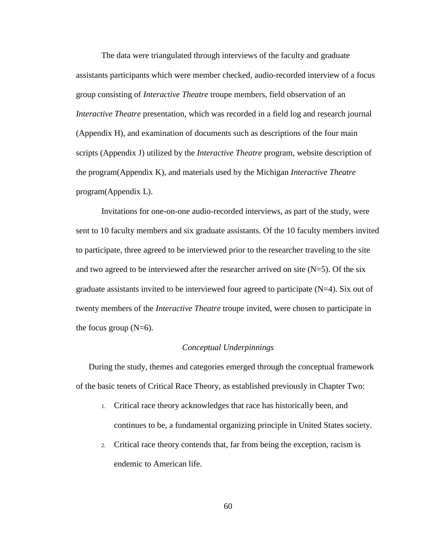The data were triangulated through interviews of the faculty and graduate assistants participants which were member checked, audio-recorded interview of a focus group consisting of *Interactive Theatre* troupe members, field observation of an *Interactive Theatre* presentation, which was recorded in a field log and research journal (Appendix H), and examination of documents such as descriptions of the four main scripts (Appendix J) utilized by the *Interactive Theatre* program, website description of the program(Appendix K), and materials used by the Michigan *Interactive Theatre*  program(Appendix L).

Invitations for one-on-one audio-recorded interviews, as part of the study, were sent to 10 faculty members and six graduate assistants. Of the 10 faculty members invited to participate, three agreed to be interviewed prior to the researcher traveling to the site and two agreed to be interviewed after the researcher arrived on site  $(N=5)$ . Of the six graduate assistants invited to be interviewed four agreed to participate  $(N=4)$ . Six out of twenty members of the *Interactive Theatre* troupe invited, were chosen to participate in the focus group  $(N=6)$ .

## *Conceptual Underpinnings*

During the study, themes and categories emerged through the conceptual framework of the basic tenets of Critical Race Theory, as established previously in Chapter Two:

- 1. Critical race theory acknowledges that race has historically been, and continues to be, a fundamental organizing principle in United States society.
- 2. Critical race theory contends that, far from being the exception, racism is endemic to American life.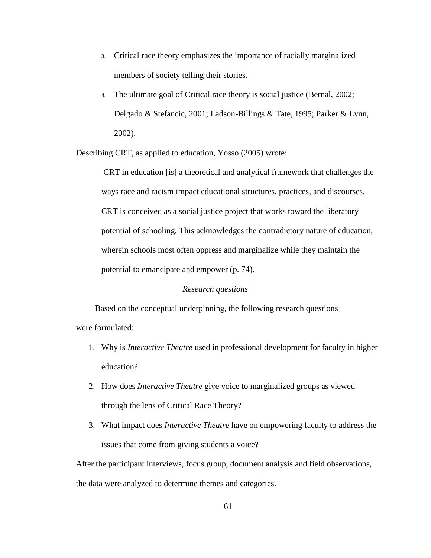- 3. Critical race theory emphasizes the importance of racially marginalized members of society telling their stories.
- 4. The ultimate goal of Critical race theory is social justice (Bernal, 2002; Delgado & Stefancic, 2001; Ladson-Billings & Tate, 1995; Parker & Lynn, 2002).

Describing CRT, as applied to education, Yosso (2005) wrote:

CRT in education [is] a theoretical and analytical framework that challenges the ways race and racism impact educational structures, practices, and discourses. CRT is conceived as a social justice project that works toward the liberatory potential of schooling. This acknowledges the contradictory nature of education, wherein schools most often oppress and marginalize while they maintain the potential to emancipate and empower (p. 74).

## *Research questions*

Based on the conceptual underpinning, the following research questions were formulated:

- 1. Why is *Interactive Theatre* used in professional development for faculty in higher education?
- 2. How does *Interactive Theatre* give voice to marginalized groups as viewed through the lens of Critical Race Theory?
- 3. What impact does *Interactive Theatre* have on empowering faculty to address the issues that come from giving students a voice?

After the participant interviews, focus group, document analysis and field observations, the data were analyzed to determine themes and categories.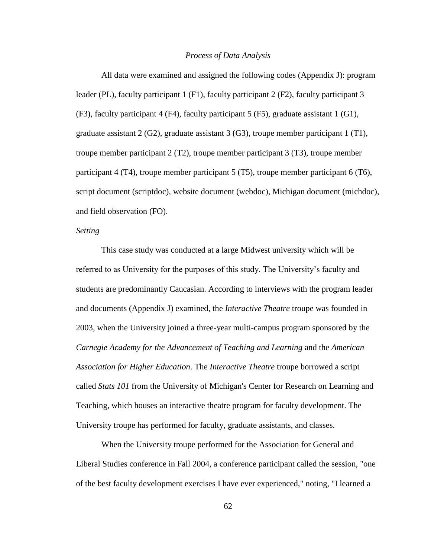### *Process of Data Analysis*

All data were examined and assigned the following codes (Appendix J): program leader (PL), faculty participant 1 (F1), faculty participant 2 (F2), faculty participant 3 (F3), faculty participant 4 (F4), faculty participant 5 (F5), graduate assistant 1 (G1), graduate assistant  $2(G2)$ , graduate assistant  $3(G3)$ , troupe member participant 1 (T1), troupe member participant 2 (T2), troupe member participant 3 (T3), troupe member participant 4 (T4), troupe member participant 5 (T5), troupe member participant 6 (T6), script document (scriptdoc), website document (webdoc), Michigan document (michdoc), and field observation (FO).

### *Setting*

This case study was conducted at a large Midwest university which will be referred to as University for the purposes of this study. The University's faculty and students are predominantly Caucasian. According to interviews with the program leader and documents (Appendix J) examined, the *Interactive Theatre* troupe was founded in 2003, when the University joined a three-year multi-campus program sponsored by the *Carnegie Academy for the Advancement of Teaching and Learning* and the *American Association for Higher Education*. The *Interactive Theatre* troupe borrowed a script called *Stats 101* from the University of Michigan's Center for Research on Learning and Teaching, which houses an interactive theatre program for faculty development. The University troupe has performed for faculty, graduate assistants, and classes.

When the University troupe performed for the Association for General and Liberal Studies conference in Fall 2004, a conference participant called the session, "one of the best faculty development exercises I have ever experienced," noting, "I learned a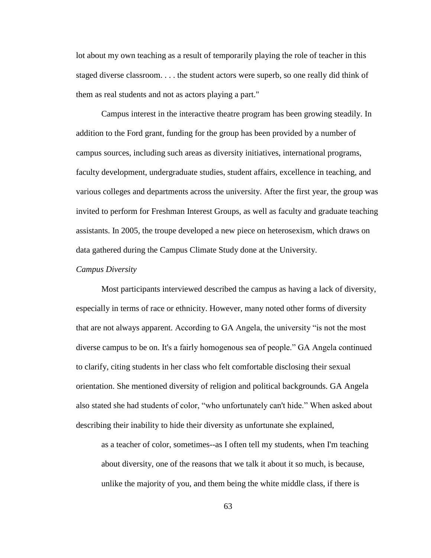lot about my own teaching as a result of temporarily playing the role of teacher in this staged diverse classroom. . . . the student actors were superb, so one really did think of them as real students and not as actors playing a part."

Campus interest in the interactive theatre program has been growing steadily. In addition to the Ford grant, funding for the group has been provided by a number of campus sources, including such areas as diversity initiatives, international programs, faculty development, undergraduate studies, student affairs, excellence in teaching, and various colleges and departments across the university. After the first year, the group was invited to perform for Freshman Interest Groups, as well as faculty and graduate teaching assistants. In 2005, the troupe developed a new piece on heterosexism, which draws on data gathered during the Campus Climate Study done at the University.

### *Campus Diversity*

Most participants interviewed described the campus as having a lack of diversity, especially in terms of race or ethnicity. However, many noted other forms of diversity that are not always apparent. According to GA Angela, the university "is not the most diverse campus to be on. It's a fairly homogenous sea of people." GA Angela continued to clarify, citing students in her class who felt comfortable disclosing their sexual orientation. She mentioned diversity of religion and political backgrounds. GA Angela also stated she had students of color, "who unfortunately can't hide." When asked about describing their inability to hide their diversity as unfortunate she explained,

as a teacher of color, sometimes--as I often tell my students, when I'm teaching about diversity, one of the reasons that we talk it about it so much, is because, unlike the majority of you, and them being the white middle class, if there is

63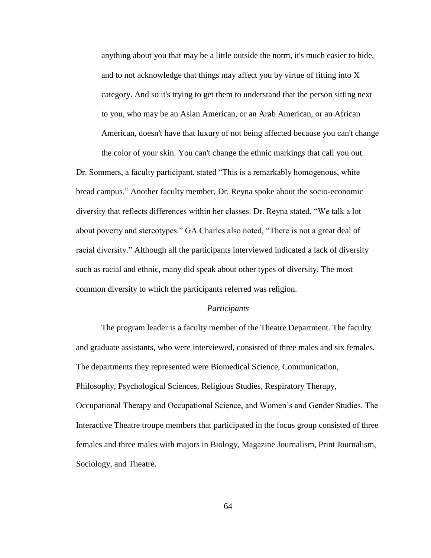anything about you that may be a little outside the norm, it's much easier to hide, and to not acknowledge that things may affect you by virtue of fitting into X category. And so it's trying to get them to understand that the person sitting next to you, who may be an Asian American, or an Arab American, or an African American, doesn't have that luxury of not being affected because you can't change the color of your skin. You can't change the ethnic markings that call you out.

Dr. Sommers, a faculty participant, stated "This is a remarkably homogenous, white bread campus.‖ Another faculty member, Dr. Reyna spoke about the socio-economic diversity that reflects differences within her classes. Dr. Reyna stated, "We talk a lot about poverty and stereotypes." GA Charles also noted, "There is not a great deal of racial diversity." Although all the participants interviewed indicated a lack of diversity such as racial and ethnic, many did speak about other types of diversity. The most common diversity to which the participants referred was religion.

## *Participants*

The program leader is a faculty member of the Theatre Department. The faculty and graduate assistants, who were interviewed, consisted of three males and six females. The departments they represented were Biomedical Science, Communication, Philosophy, Psychological Sciences, Religious Studies, Respiratory Therapy, Occupational Therapy and Occupational Science, and Women's and Gender Studies. The Interactive Theatre troupe members that participated in the focus group consisted of three females and three males with majors in Biology, Magazine Journalism, Print Journalism, Sociology, and Theatre.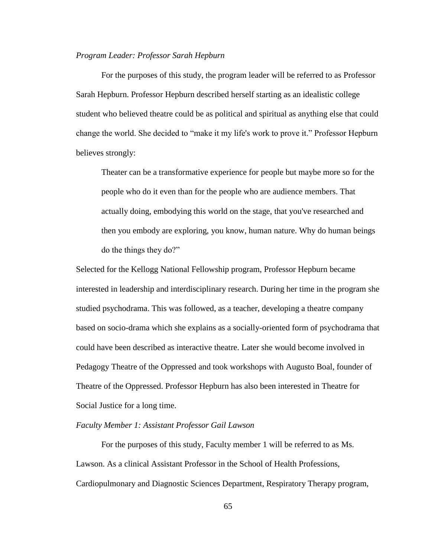### *Program Leader: Professor Sarah Hepburn*

For the purposes of this study, the program leader will be referred to as Professor Sarah Hepburn. Professor Hepburn described herself starting as an idealistic college student who believed theatre could be as political and spiritual as anything else that could change the world. She decided to "make it my life's work to prove it." Professor Hepburn believes strongly:

Theater can be a transformative experience for people but maybe more so for the people who do it even than for the people who are audience members. That actually doing, embodying this world on the stage, that you've researched and then you embody are exploring, you know, human nature. Why do human beings do the things they do?"

Selected for the Kellogg National Fellowship program, Professor Hepburn became interested in leadership and interdisciplinary research. During her time in the program she studied psychodrama. This was followed, as a teacher, developing a theatre company based on socio-drama which she explains as a socially-oriented form of psychodrama that could have been described as interactive theatre. Later she would become involved in Pedagogy Theatre of the Oppressed and took workshops with Augusto Boal, founder of Theatre of the Oppressed. Professor Hepburn has also been interested in Theatre for Social Justice for a long time.

## *Faculty Member 1: Assistant Professor Gail Lawson*

For the purposes of this study, Faculty member 1 will be referred to as Ms. Lawson. As a clinical Assistant Professor in the School of Health Professions, Cardiopulmonary and Diagnostic Sciences Department, Respiratory Therapy program,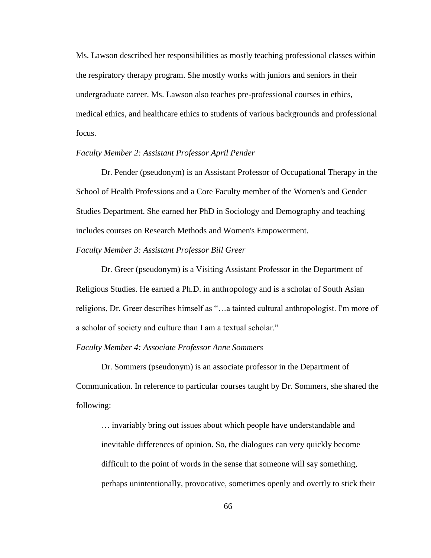Ms. Lawson described her responsibilities as mostly teaching professional classes within the respiratory therapy program. She mostly works with juniors and seniors in their undergraduate career. Ms. Lawson also teaches pre-professional courses in ethics, medical ethics, and healthcare ethics to students of various backgrounds and professional focus.

### *Faculty Member 2: Assistant Professor April Pender*

Dr. Pender (pseudonym) is an Assistant Professor of Occupational Therapy in the School of Health Professions and a Core Faculty member of the Women's and Gender Studies Department. She earned her PhD in Sociology and Demography and teaching includes courses on Research Methods and Women's Empowerment.

### *Faculty Member 3: Assistant Professor Bill Greer*

Dr. Greer (pseudonym) is a Visiting Assistant Professor in the Department of Religious Studies. He earned a Ph.D. in anthropology and is a scholar of South Asian religions, Dr. Greer describes himself as "...a tainted cultural anthropologist. I'm more of a scholar of society and culture than I am a textual scholar."

### *Faculty Member 4: Associate Professor Anne Sommers*

Dr. Sommers (pseudonym) is an associate professor in the Department of Communication. In reference to particular courses taught by Dr. Sommers, she shared the following:

… invariably bring out issues about which people have understandable and inevitable differences of opinion. So, the dialogues can very quickly become difficult to the point of words in the sense that someone will say something, perhaps unintentionally, provocative, sometimes openly and overtly to stick their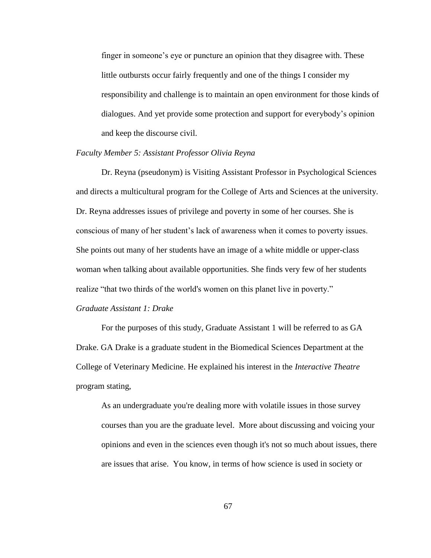finger in someone's eye or puncture an opinion that they disagree with. These little outbursts occur fairly frequently and one of the things I consider my responsibility and challenge is to maintain an open environment for those kinds of dialogues. And yet provide some protection and support for everybody's opinion and keep the discourse civil.

### *Faculty Member 5: Assistant Professor Olivia Reyna*

Dr. Reyna (pseudonym) is Visiting Assistant Professor in Psychological Sciences and directs a multicultural program for the College of Arts and Sciences at the university. Dr. Reyna addresses issues of privilege and poverty in some of her courses. She is conscious of many of her student's lack of awareness when it comes to poverty issues. She points out many of her students have an image of a white middle or upper-class woman when talking about available opportunities. She finds very few of her students realize "that two thirds of the world's women on this planet live in poverty."

### *Graduate Assistant 1: Drake*

For the purposes of this study, Graduate Assistant 1 will be referred to as GA Drake. GA Drake is a graduate student in the Biomedical Sciences Department at the College of Veterinary Medicine. He explained his interest in the *Interactive Theatre* program stating,

As an undergraduate you're dealing more with volatile issues in those survey courses than you are the graduate level. More about discussing and voicing your opinions and even in the sciences even though it's not so much about issues, there are issues that arise. You know, in terms of how science is used in society or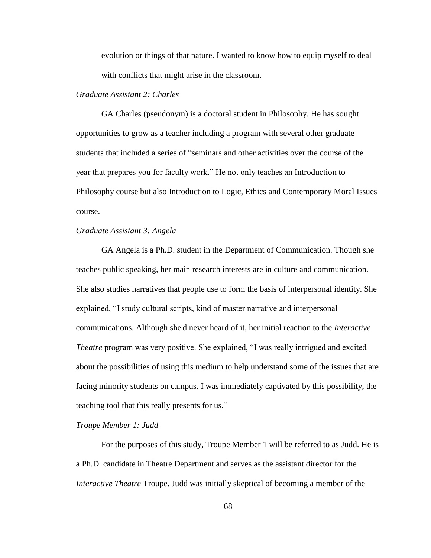evolution or things of that nature. I wanted to know how to equip myself to deal with conflicts that might arise in the classroom.

## *Graduate Assistant 2: Charles*

GA Charles (pseudonym) is a doctoral student in Philosophy. He has sought opportunities to grow as a teacher including a program with several other graduate students that included a series of "seminars and other activities over the course of the year that prepares you for faculty work." He not only teaches an Introduction to Philosophy course but also Introduction to Logic, Ethics and Contemporary Moral Issues course.

### *Graduate Assistant 3: Angela*

GA Angela is a Ph.D. student in the Department of Communication. Though she teaches public speaking, her main research interests are in culture and communication. She also studies narratives that people use to form the basis of interpersonal identity. She explained, "I study cultural scripts, kind of master narrative and interpersonal communications. Although she'd never heard of it, her initial reaction to the *Interactive Theatre* program was very positive. She explained, "I was really intrigued and excited about the possibilities of using this medium to help understand some of the issues that are facing minority students on campus. I was immediately captivated by this possibility, the teaching tool that this really presents for us."

### *Troupe Member 1: Judd*

For the purposes of this study, Troupe Member 1 will be referred to as Judd. He is a Ph.D. candidate in Theatre Department and serves as the assistant director for the *Interactive Theatre* Troupe. Judd was initially skeptical of becoming a member of the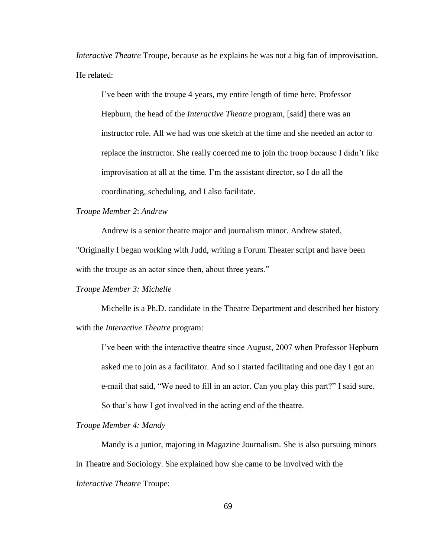*Interactive Theatre* Troupe, because as he explains he was not a big fan of improvisation. He related:

I've been with the troupe 4 years, my entire length of time here. Professor Hepburn, the head of the *Interactive Theatre* program, [said] there was an instructor role. All we had was one sketch at the time and she needed an actor to replace the instructor. She really coerced me to join the troop because I didn't like improvisation at all at the time. I'm the assistant director, so I do all the coordinating, scheduling, and I also facilitate.

## *Troupe Member 2*: *Andrew*

Andrew is a senior theatre major and journalism minor. Andrew stated,

"Originally I began working with Judd, writing a Forum Theater script and have been with the troupe as an actor since then, about three years."

## *Troupe Member 3: Michelle*

Michelle is a Ph.D. candidate in the Theatre Department and described her history with the *Interactive Theatre* program:

I've been with the interactive theatre since August, 2007 when Professor Hepburn asked me to join as a facilitator. And so I started facilitating and one day I got an e-mail that said, "We need to fill in an actor. Can you play this part?" I said sure. So that's how I got involved in the acting end of the theatre.

## *Troupe Member 4: Mandy*

Mandy is a junior, majoring in Magazine Journalism. She is also pursuing minors in Theatre and Sociology. She explained how she came to be involved with the *Interactive Theatre* Troupe: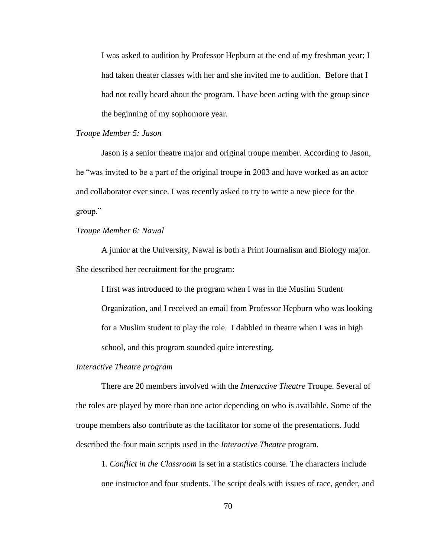I was asked to audition by Professor Hepburn at the end of my freshman year; I had taken theater classes with her and she invited me to audition. Before that I had not really heard about the program. I have been acting with the group since the beginning of my sophomore year.

## *Troupe Member 5: Jason*

Jason is a senior theatre major and original troupe member. According to Jason, he "was invited to be a part of the original troupe in 2003 and have worked as an actor and collaborator ever since. I was recently asked to try to write a new piece for the group."

## *Troupe Member 6: Nawal*

A junior at the University, Nawal is both a Print Journalism and Biology major. She described her recruitment for the program:

I first was introduced to the program when I was in the Muslim Student Organization, and I received an email from Professor Hepburn who was looking for a Muslim student to play the role. I dabbled in theatre when I was in high school, and this program sounded quite interesting.

### *Interactive Theatre program*

There are 20 members involved with the *Interactive Theatre* Troupe. Several of the roles are played by more than one actor depending on who is available. Some of the troupe members also contribute as the facilitator for some of the presentations. Judd described the four main scripts used in the *Interactive Theatre* program.

1. *Conflict in the Classroom* is set in a statistics course. The characters include one instructor and four students. The script deals with issues of race, gender, and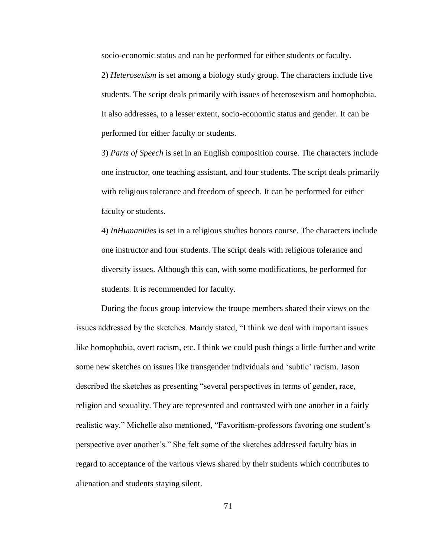socio-economic status and can be performed for either students or faculty.

2) *Heterosexism* is set among a biology study group. The characters include five students. The script deals primarily with issues of heterosexism and homophobia. It also addresses, to a lesser extent, socio-economic status and gender. It can be performed for either faculty or students.

3) *Parts of Speech* is set in an English composition course. The characters include one instructor, one teaching assistant, and four students. The script deals primarily with religious tolerance and freedom of speech. It can be performed for either faculty or students.

4) *InHumanities* is set in a religious studies honors course. The characters include one instructor and four students. The script deals with religious tolerance and diversity issues. Although this can, with some modifications, be performed for students. It is recommended for faculty.

During the focus group interview the troupe members shared their views on the issues addressed by the sketches. Mandy stated, "I think we deal with important issues like homophobia, overt racism, etc. I think we could push things a little further and write some new sketches on issues like transgender individuals and 'subtle' racism. Jason described the sketches as presenting "several perspectives in terms of gender, race, religion and sexuality. They are represented and contrasted with one another in a fairly realistic way." Michelle also mentioned, "Favoritism-professors favoring one student's perspective over another's.‖ She felt some of the sketches addressed faculty bias in regard to acceptance of the various views shared by their students which contributes to alienation and students staying silent.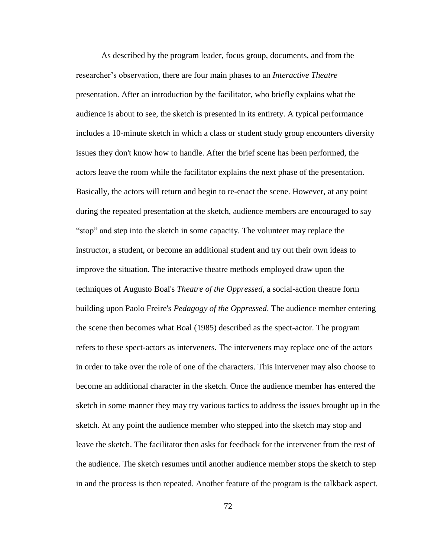As described by the program leader, focus group, documents, and from the researcher's observation, there are four main phases to an *Interactive Theatre* presentation. After an introduction by the facilitator, who briefly explains what the audience is about to see, the sketch is presented in its entirety. A typical performance includes a 10-minute sketch in which a class or student study group encounters diversity issues they don't know how to handle. After the brief scene has been performed, the actors leave the room while the facilitator explains the next phase of the presentation. Basically, the actors will return and begin to re-enact the scene. However, at any point during the repeated presentation at the sketch, audience members are encouraged to say ―stop‖ and step into the sketch in some capacity. The volunteer may replace the instructor, a student, or become an additional student and try out their own ideas to improve the situation. The interactive theatre methods employed draw upon the techniques of Augusto Boal's *Theatre of the Oppressed*, a social-action theatre form building upon Paolo Freire's *Pedagogy of the Oppressed*. The audience member entering the scene then becomes what Boal (1985) described as the spect-actor. The program refers to these spect-actors as interveners. The interveners may replace one of the actors in order to take over the role of one of the characters. This intervener may also choose to become an additional character in the sketch. Once the audience member has entered the sketch in some manner they may try various tactics to address the issues brought up in the sketch. At any point the audience member who stepped into the sketch may stop and leave the sketch. The facilitator then asks for feedback for the intervener from the rest of the audience. The sketch resumes until another audience member stops the sketch to step in and the process is then repeated. Another feature of the program is the talkback aspect.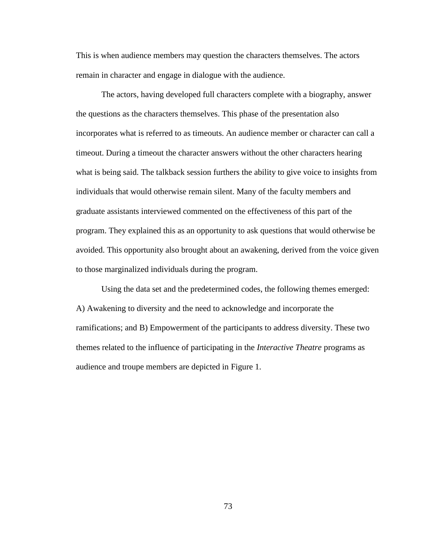This is when audience members may question the characters themselves. The actors remain in character and engage in dialogue with the audience.

The actors, having developed full characters complete with a biography, answer the questions as the characters themselves. This phase of the presentation also incorporates what is referred to as timeouts. An audience member or character can call a timeout. During a timeout the character answers without the other characters hearing what is being said. The talkback session furthers the ability to give voice to insights from individuals that would otherwise remain silent. Many of the faculty members and graduate assistants interviewed commented on the effectiveness of this part of the program. They explained this as an opportunity to ask questions that would otherwise be avoided. This opportunity also brought about an awakening, derived from the voice given to those marginalized individuals during the program.

Using the data set and the predetermined codes, the following themes emerged: A) Awakening to diversity and the need to acknowledge and incorporate the ramifications; and B) Empowerment of the participants to address diversity. These two themes related to the influence of participating in the *Interactive Theatre* programs as audience and troupe members are depicted in Figure 1.

73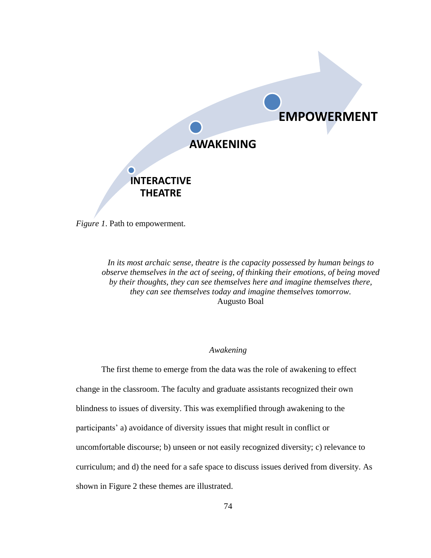

*Figure 1*. Path to empowerment.

*In its most archaic sense, theatre is the capacity possessed by human beings to observe themselves in the act of seeing, of thinking their emotions, of being moved by their thoughts, they can see themselves here and imagine themselves there, they can see themselves today and imagine themselves tomorrow.* Augusto Boal

# *Awakening*

The first theme to emerge from the data was the role of awakening to effect change in the classroom. The faculty and graduate assistants recognized their own blindness to issues of diversity. This was exemplified through awakening to the participants' a) avoidance of diversity issues that might result in conflict or uncomfortable discourse; b) unseen or not easily recognized diversity; c) relevance to curriculum; and d) the need for a safe space to discuss issues derived from diversity. As shown in Figure 2 these themes are illustrated.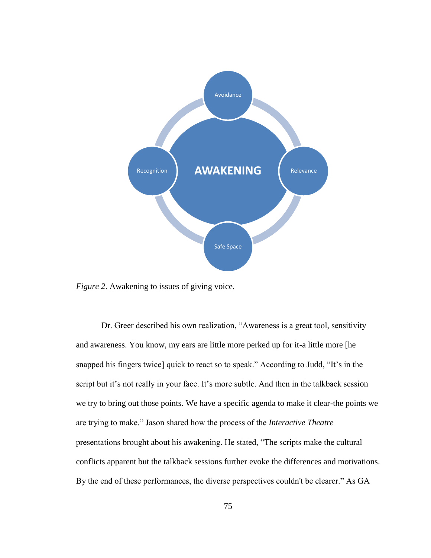

*Figure 2*. Awakening to issues of giving voice.

Dr. Greer described his own realization, "Awareness is a great tool, sensitivity and awareness. You know, my ears are little more perked up for it-a little more [he snapped his fingers twice] quick to react so to speak." According to Judd, "It's in the script but it's not really in your face. It's more subtle. And then in the talkback session we try to bring out those points. We have a specific agenda to make it clear-the points we are trying to make.‖ Jason shared how the process of the *Interactive Theatre*  presentations brought about his awakening. He stated, "The scripts make the cultural conflicts apparent but the talkback sessions further evoke the differences and motivations. By the end of these performances, the diverse perspectives couldn't be clearer." As GA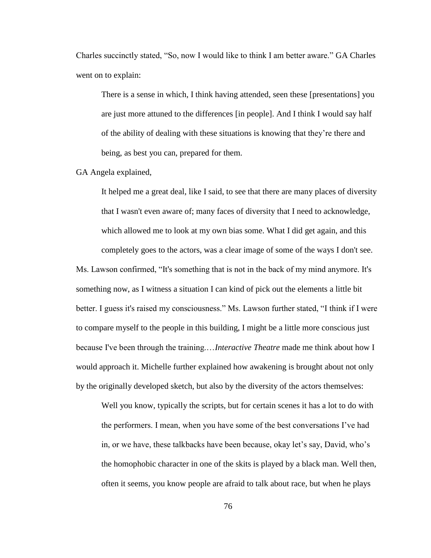Charles succinctly stated, "So, now I would like to think I am better aware." GA Charles went on to explain:

There is a sense in which, I think having attended, seen these [presentations] you are just more attuned to the differences [in people]. And I think I would say half of the ability of dealing with these situations is knowing that they're there and being, as best you can, prepared for them.

## GA Angela explained,

It helped me a great deal, like I said, to see that there are many places of diversity that I wasn't even aware of; many faces of diversity that I need to acknowledge, which allowed me to look at my own bias some. What I did get again, and this completely goes to the actors, was a clear image of some of the ways I don't see.

Ms. Lawson confirmed, "It's something that is not in the back of my mind anymore. It's something now, as I witness a situation I can kind of pick out the elements a little bit better. I guess it's raised my consciousness." Ms. Lawson further stated, "I think if I were to compare myself to the people in this building, I might be a little more conscious just because I've been through the training.…*Interactive Theatre* made me think about how I would approach it. Michelle further explained how awakening is brought about not only by the originally developed sketch, but also by the diversity of the actors themselves:

Well you know, typically the scripts, but for certain scenes it has a lot to do with the performers. I mean, when you have some of the best conversations I've had in, or we have, these talkbacks have been because, okay let's say, David, who's the homophobic character in one of the skits is played by a black man. Well then, often it seems, you know people are afraid to talk about race, but when he plays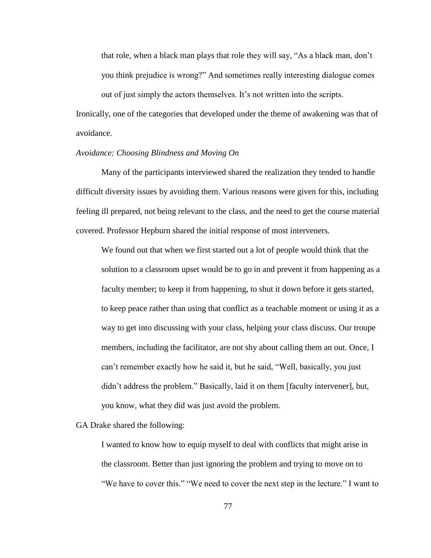that role, when a black man plays that role they will say, "As a black man, don't you think prejudice is wrong?" And sometimes really interesting dialogue comes

out of just simply the actors themselves. It's not written into the scripts. Ironically, one of the categories that developed under the theme of awakening was that of avoidance.

## *Avoidance: Choosing Blindness and Moving On*

Many of the participants interviewed shared the realization they tended to handle difficult diversity issues by avoiding them. Various reasons were given for this, including feeling ill prepared, not being relevant to the class, and the need to get the course material covered. Professor Hepburn shared the initial response of most interveners.

We found out that when we first started out a lot of people would think that the solution to a classroom upset would be to go in and prevent it from happening as a faculty member; to keep it from happening, to shut it down before it gets started, to keep peace rather than using that conflict as a teachable moment or using it as a way to get into discussing with your class, helping your class discuss. Our troupe members, including the facilitator, are not shy about calling them an out. Once, I can't remember exactly how he said it, but he said, "Well, basically, you just didn't address the problem." Basically, laid it on them [faculty intervener], but, you know, what they did was just avoid the problem.

GA Drake shared the following:

I wanted to know how to equip myself to deal with conflicts that might arise in the classroom. Better than just ignoring the problem and trying to move on to "We have to cover this." "We need to cover the next step in the lecture." I want to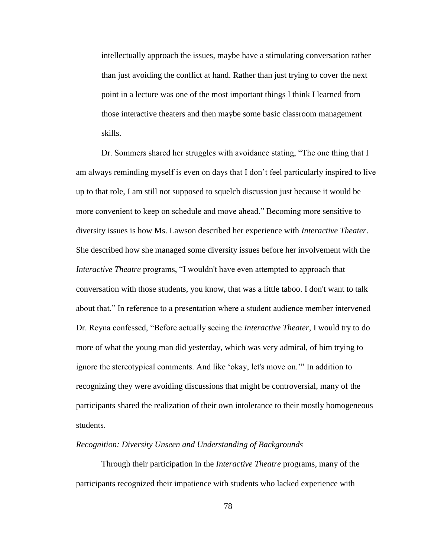intellectually approach the issues, maybe have a stimulating conversation rather than just avoiding the conflict at hand. Rather than just trying to cover the next point in a lecture was one of the most important things I think I learned from those interactive theaters and then maybe some basic classroom management skills.

Dr. Sommers shared her struggles with avoidance stating, "The one thing that I am always reminding myself is even on days that I don't feel particularly inspired to live up to that role, I am still not supposed to squelch discussion just because it would be more convenient to keep on schedule and move ahead." Becoming more sensitive to diversity issues is how Ms. Lawson described her experience with *Interactive Theater*. She described how she managed some diversity issues before her involvement with the *Interactive Theatre* programs, "I wouldn't have even attempted to approach that conversation with those students, you know, that was a little taboo. I don't want to talk about that." In reference to a presentation where a student audience member intervened Dr. Reyna confessed, "Before actually seeing the *Interactive Theater*, I would try to do more of what the young man did yesterday, which was very admiral, of him trying to ignore the stereotypical comments. And like 'okay, let's move on.'" In addition to recognizing they were avoiding discussions that might be controversial, many of the participants shared the realization of their own intolerance to their mostly homogeneous students.

### *Recognition: Diversity Unseen and Understanding of Backgrounds*

Through their participation in the *Interactive Theatre* programs, many of the participants recognized their impatience with students who lacked experience with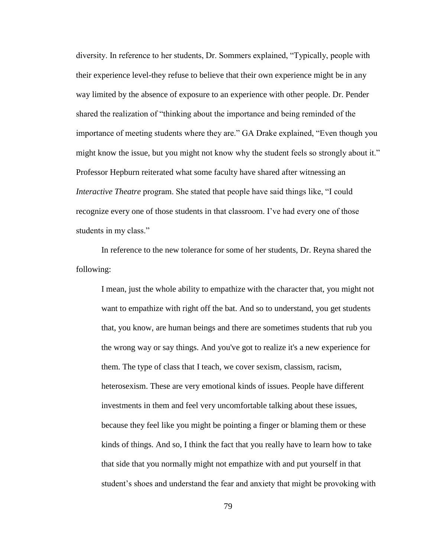diversity. In reference to her students, Dr. Sommers explained, "Typically, people with their experience level-they refuse to believe that their own experience might be in any way limited by the absence of exposure to an experience with other people. Dr. Pender shared the realization of "thinking about the importance and being reminded of the importance of meeting students where they are." GA Drake explained, "Even though you might know the issue, but you might not know why the student feels so strongly about it." Professor Hepburn reiterated what some faculty have shared after witnessing an *Interactive Theatre* program. She stated that people have said things like, "I could recognize every one of those students in that classroom. I've had every one of those students in my class."

In reference to the new tolerance for some of her students, Dr. Reyna shared the following:

I mean, just the whole ability to empathize with the character that, you might not want to empathize with right off the bat. And so to understand, you get students that, you know, are human beings and there are sometimes students that rub you the wrong way or say things. And you've got to realize it's a new experience for them. The type of class that I teach, we cover sexism, classism, racism, heterosexism. These are very emotional kinds of issues. People have different investments in them and feel very uncomfortable talking about these issues, because they feel like you might be pointing a finger or blaming them or these kinds of things. And so, I think the fact that you really have to learn how to take that side that you normally might not empathize with and put yourself in that student's shoes and understand the fear and anxiety that might be provoking with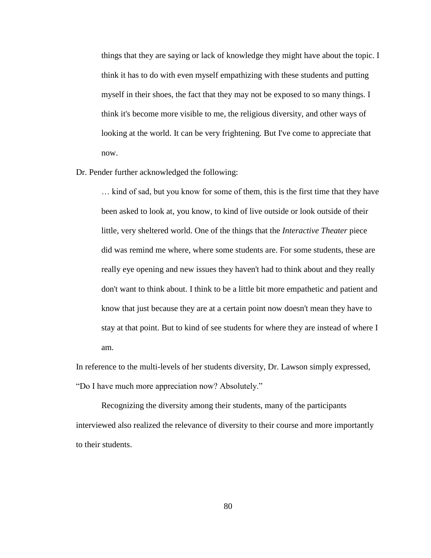things that they are saying or lack of knowledge they might have about the topic. I think it has to do with even myself empathizing with these students and putting myself in their shoes, the fact that they may not be exposed to so many things. I think it's become more visible to me, the religious diversity, and other ways of looking at the world. It can be very frightening. But I've come to appreciate that now.

Dr. Pender further acknowledged the following:

… kind of sad, but you know for some of them, this is the first time that they have been asked to look at, you know, to kind of live outside or look outside of their little, very sheltered world. One of the things that the *Interactive Theater* piece did was remind me where, where some students are. For some students, these are really eye opening and new issues they haven't had to think about and they really don't want to think about. I think to be a little bit more empathetic and patient and know that just because they are at a certain point now doesn't mean they have to stay at that point. But to kind of see students for where they are instead of where I am.

In reference to the multi-levels of her students diversity, Dr. Lawson simply expressed, "Do I have much more appreciation now? Absolutely."

Recognizing the diversity among their students, many of the participants interviewed also realized the relevance of diversity to their course and more importantly to their students.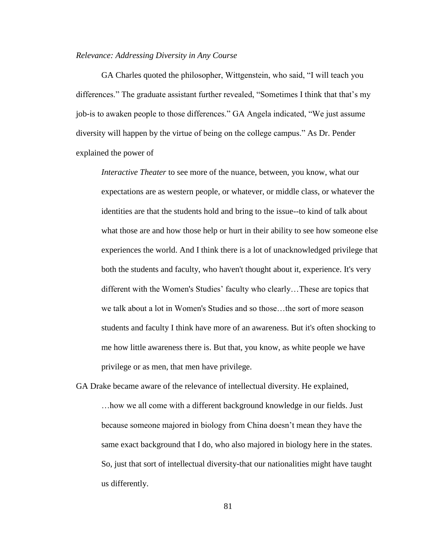### *Relevance: Addressing Diversity in Any Course*

GA Charles quoted the philosopher, Wittgenstein, who said, "I will teach you differences." The graduate assistant further revealed, "Sometimes I think that that's my job-is to awaken people to those differences." GA Angela indicated, "We just assume diversity will happen by the virtue of being on the college campus.‖ As Dr. Pender explained the power of

*Interactive Theater* to see more of the nuance, between, you know, what our expectations are as western people, or whatever, or middle class, or whatever the identities are that the students hold and bring to the issue--to kind of talk about what those are and how those help or hurt in their ability to see how someone else experiences the world. And I think there is a lot of unacknowledged privilege that both the students and faculty, who haven't thought about it, experience. It's very different with the Women's Studies' faculty who clearly…These are topics that we talk about a lot in Women's Studies and so those…the sort of more season students and faculty I think have more of an awareness. But it's often shocking to me how little awareness there is. But that, you know, as white people we have privilege or as men, that men have privilege.

GA Drake became aware of the relevance of intellectual diversity. He explained, …how we all come with a different background knowledge in our fields. Just because someone majored in biology from China doesn't mean they have the same exact background that I do, who also majored in biology here in the states. So, just that sort of intellectual diversity-that our nationalities might have taught us differently.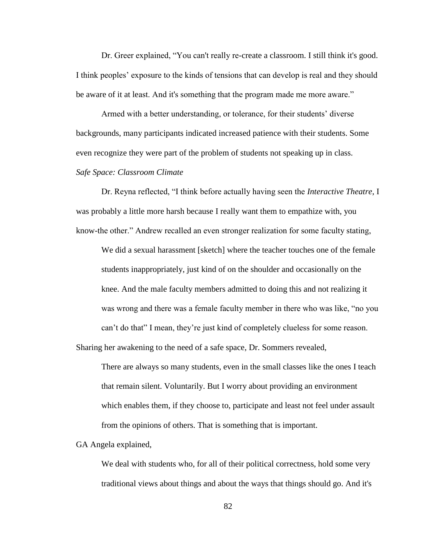Dr. Greer explained, "You can't really re-create a classroom. I still think it's good. I think peoples' exposure to the kinds of tensions that can develop is real and they should be aware of it at least. And it's something that the program made me more aware."

Armed with a better understanding, or tolerance, for their students' diverse backgrounds, many participants indicated increased patience with their students. Some even recognize they were part of the problem of students not speaking up in class.

# *Safe Space: Classroom Climate*

Dr. Reyna reflected, "I think before actually having seen the *Interactive Theatre*, I was probably a little more harsh because I really want them to empathize with, you know-the other." Andrew recalled an even stronger realization for some faculty stating,

We did a sexual harassment [sketch] where the teacher touches one of the female students inappropriately, just kind of on the shoulder and occasionally on the knee. And the male faculty members admitted to doing this and not realizing it was wrong and there was a female faculty member in there who was like, "no you can't do that" I mean, they're just kind of completely clueless for some reason.

Sharing her awakening to the need of a safe space, Dr. Sommers revealed,

There are always so many students, even in the small classes like the ones I teach that remain silent. Voluntarily. But I worry about providing an environment which enables them, if they choose to, participate and least not feel under assault from the opinions of others. That is something that is important.

GA Angela explained,

We deal with students who, for all of their political correctness, hold some very traditional views about things and about the ways that things should go. And it's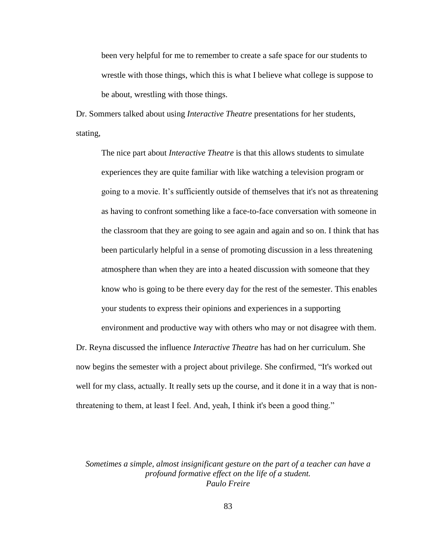been very helpful for me to remember to create a safe space for our students to wrestle with those things, which this is what I believe what college is suppose to be about, wrestling with those things.

Dr. Sommers talked about using *Interactive Theatre* presentations for her students, stating,

The nice part about *Interactive Theatre* is that this allows students to simulate experiences they are quite familiar with like watching a television program or going to a movie. It's sufficiently outside of themselves that it's not as threatening as having to confront something like a face-to-face conversation with someone in the classroom that they are going to see again and again and so on. I think that has been particularly helpful in a sense of promoting discussion in a less threatening atmosphere than when they are into a heated discussion with someone that they know who is going to be there every day for the rest of the semester. This enables your students to express their opinions and experiences in a supporting environment and productive way with others who may or not disagree with them.

Dr. Reyna discussed the influence *Interactive Theatre* has had on her curriculum. She now begins the semester with a project about privilege. She confirmed, "It's worked out well for my class, actually. It really sets up the course, and it done it in a way that is nonthreatening to them, at least I feel. And, yeah, I think it's been a good thing."

*Sometimes a simple, almost insignificant gesture on the part of a teacher can have a profound formative effect on the life of a student. Paulo Freire*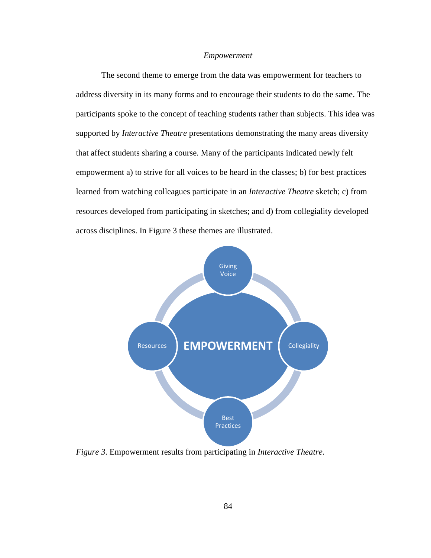## *Empowerment*

The second theme to emerge from the data was empowerment for teachers to address diversity in its many forms and to encourage their students to do the same. The participants spoke to the concept of teaching students rather than subjects. This idea was supported by *Interactive Theatre* presentations demonstrating the many areas diversity that affect students sharing a course. Many of the participants indicated newly felt empowerment a) to strive for all voices to be heard in the classes; b) for best practices learned from watching colleagues participate in an *Interactive Theatre* sketch; c) from resources developed from participating in sketches; and d) from collegiality developed across disciplines. In Figure 3 these themes are illustrated.



*Figure 3*. Empowerment results from participating in *Interactive Theatre*.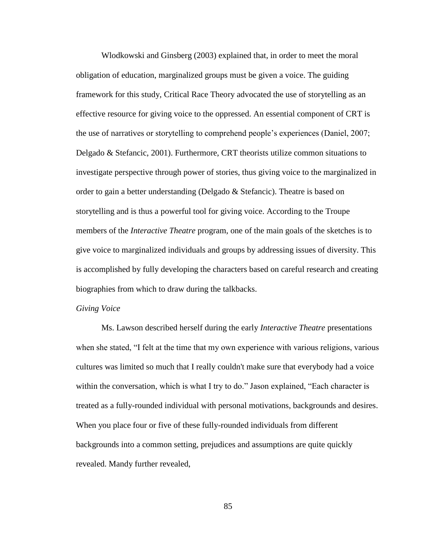Wlodkowski and Ginsberg (2003) explained that, in order to meet the moral obligation of education, marginalized groups must be given a voice. The guiding framework for this study, Critical Race Theory advocated the use of storytelling as an effective resource for giving voice to the oppressed. An essential component of CRT is the use of narratives or storytelling to comprehend people's experiences (Daniel, 2007; Delgado & Stefancic, 2001). Furthermore, CRT theorists utilize common situations to investigate perspective through power of stories, thus giving voice to the marginalized in order to gain a better understanding (Delgado  $\&$  Stefancic). Theatre is based on storytelling and is thus a powerful tool for giving voice. According to the Troupe members of the *Interactive Theatre* program, one of the main goals of the sketches is to give voice to marginalized individuals and groups by addressing issues of diversity. This is accomplished by fully developing the characters based on careful research and creating biographies from which to draw during the talkbacks.

#### *Giving Voice*

Ms. Lawson described herself during the early *Interactive Theatre* presentations when she stated, "I felt at the time that my own experience with various religions, various cultures was limited so much that I really couldn't make sure that everybody had a voice within the conversation, which is what I try to do." Jason explained, "Each character is treated as a fully-rounded individual with personal motivations, backgrounds and desires. When you place four or five of these fully-rounded individuals from different backgrounds into a common setting, prejudices and assumptions are quite quickly revealed. Mandy further revealed,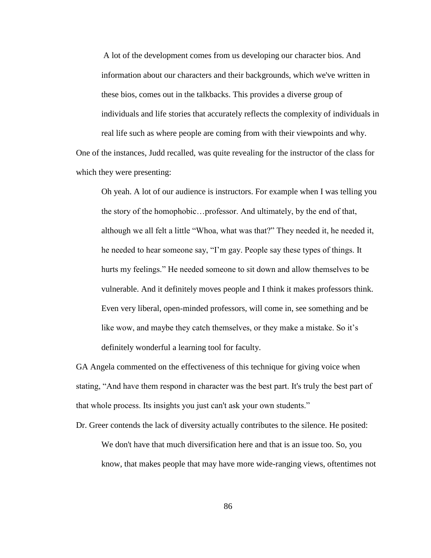A lot of the development comes from us developing our character bios. And information about our characters and their backgrounds, which we've written in these bios, comes out in the talkbacks. This provides a diverse group of individuals and life stories that accurately reflects the complexity of individuals in real life such as where people are coming from with their viewpoints and why.

One of the instances, Judd recalled, was quite revealing for the instructor of the class for which they were presenting:

Oh yeah. A lot of our audience is instructors. For example when I was telling you the story of the homophobic…professor. And ultimately, by the end of that, although we all felt a little "Whoa, what was that?" They needed it, he needed it, he needed to hear someone say, "I'm gay. People say these types of things. It hurts my feelings." He needed someone to sit down and allow themselves to be vulnerable. And it definitely moves people and I think it makes professors think. Even very liberal, open-minded professors, will come in, see something and be like wow, and maybe they catch themselves, or they make a mistake. So it's definitely wonderful a learning tool for faculty.

GA Angela commented on the effectiveness of this technique for giving voice when stating, "And have them respond in character was the best part. It's truly the best part of that whole process. Its insights you just can't ask your own students."

Dr. Greer contends the lack of diversity actually contributes to the silence. He posited:

We don't have that much diversification here and that is an issue too. So, you know, that makes people that may have more wide-ranging views, oftentimes not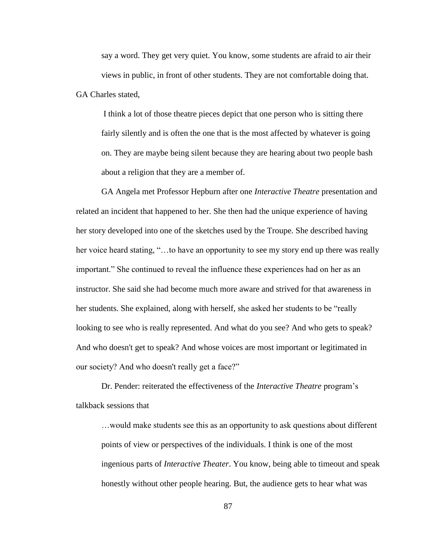say a word. They get very quiet. You know, some students are afraid to air their views in public, in front of other students. They are not comfortable doing that. GA Charles stated,

I think a lot of those theatre pieces depict that one person who is sitting there fairly silently and is often the one that is the most affected by whatever is going on. They are maybe being silent because they are hearing about two people bash about a religion that they are a member of.

GA Angela met Professor Hepburn after one *Interactive Theatre* presentation and related an incident that happened to her. She then had the unique experience of having her story developed into one of the sketches used by the Troupe. She described having her voice heard stating, "...to have an opportunity to see my story end up there was really important." She continued to reveal the influence these experiences had on her as an instructor. She said she had become much more aware and strived for that awareness in her students. She explained, along with herself, she asked her students to be "really" looking to see who is really represented. And what do you see? And who gets to speak? And who doesn't get to speak? And whose voices are most important or legitimated in our society? And who doesn't really get a face?"

Dr. Pender: reiterated the effectiveness of the *Interactive Theatre* program's talkback sessions that

…would make students see this as an opportunity to ask questions about different points of view or perspectives of the individuals. I think is one of the most ingenious parts of *Interactive Theater*. You know, being able to timeout and speak honestly without other people hearing. But, the audience gets to hear what was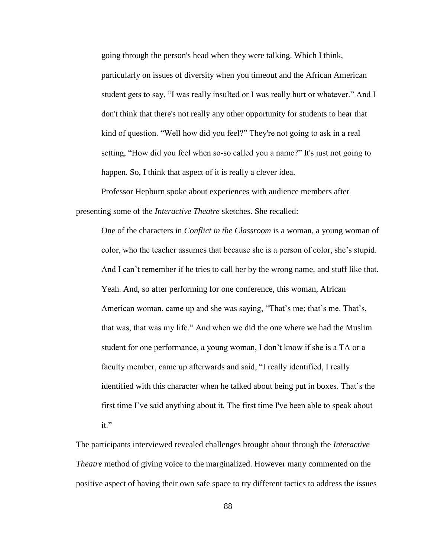going through the person's head when they were talking. Which I think, particularly on issues of diversity when you timeout and the African American student gets to say, "I was really insulted or I was really hurt or whatever." And I don't think that there's not really any other opportunity for students to hear that kind of question. "Well how did you feel?" They're not going to ask in a real setting, "How did you feel when so-so called you a name?" It's just not going to happen. So, I think that aspect of it is really a clever idea.

Professor Hepburn spoke about experiences with audience members after presenting some of the *Interactive Theatre* sketches. She recalled:

One of the characters in *Conflict in the Classroom* is a woman, a young woman of color, who the teacher assumes that because she is a person of color, she's stupid. And I can't remember if he tries to call her by the wrong name, and stuff like that. Yeah. And, so after performing for one conference, this woman, African American woman, came up and she was saying, "That's me; that's me. That's, that was, that was my life." And when we did the one where we had the Muslim student for one performance, a young woman, I don't know if she is a TA or a faculty member, came up afterwards and said, "I really identified, I really identified with this character when he talked about being put in boxes. That's the first time I've said anything about it. The first time I've been able to speak about it."

The participants interviewed revealed challenges brought about through the *Interactive Theatre* method of giving voice to the marginalized. However many commented on the positive aspect of having their own safe space to try different tactics to address the issues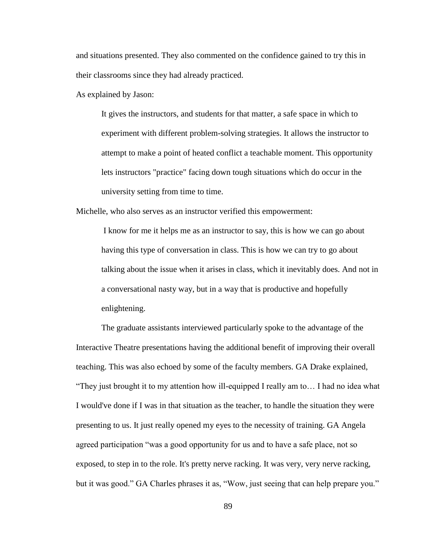and situations presented. They also commented on the confidence gained to try this in their classrooms since they had already practiced.

As explained by Jason:

It gives the instructors, and students for that matter, a safe space in which to experiment with different problem-solving strategies. It allows the instructor to attempt to make a point of heated conflict a teachable moment. This opportunity lets instructors "practice" facing down tough situations which do occur in the university setting from time to time.

Michelle, who also serves as an instructor verified this empowerment:

I know for me it helps me as an instructor to say, this is how we can go about having this type of conversation in class. This is how we can try to go about talking about the issue when it arises in class, which it inevitably does. And not in a conversational nasty way, but in a way that is productive and hopefully enlightening.

The graduate assistants interviewed particularly spoke to the advantage of the Interactive Theatre presentations having the additional benefit of improving their overall teaching. This was also echoed by some of the faculty members. GA Drake explained, ―They just brought it to my attention how ill-equipped I really am to… I had no idea what I would've done if I was in that situation as the teacher, to handle the situation they were presenting to us. It just really opened my eyes to the necessity of training. GA Angela agreed participation "was a good opportunity for us and to have a safe place, not so exposed, to step in to the role. It's pretty nerve racking. It was very, very nerve racking, but it was good." GA Charles phrases it as, "Wow, just seeing that can help prepare you."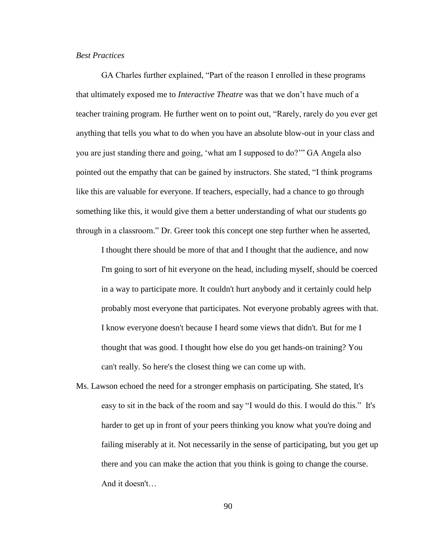## *Best Practices*

GA Charles further explained, "Part of the reason I enrolled in these programs that ultimately exposed me to *Interactive Theatre* was that we don't have much of a teacher training program. He further went on to point out, "Rarely, rarely do you ever get anything that tells you what to do when you have an absolute blow-out in your class and you are just standing there and going, 'what am I supposed to do?'" GA Angela also pointed out the empathy that can be gained by instructors. She stated, "I think programs like this are valuable for everyone. If teachers, especially, had a chance to go through something like this, it would give them a better understanding of what our students go through in a classroom.‖ Dr. Greer took this concept one step further when he asserted,

I thought there should be more of that and I thought that the audience, and now I'm going to sort of hit everyone on the head, including myself, should be coerced in a way to participate more. It couldn't hurt anybody and it certainly could help probably most everyone that participates. Not everyone probably agrees with that. I know everyone doesn't because I heard some views that didn't. But for me I thought that was good. I thought how else do you get hands-on training? You can't really. So here's the closest thing we can come up with.

Ms. Lawson echoed the need for a stronger emphasis on participating. She stated, It's easy to sit in the back of the room and say "I would do this. I would do this." It's harder to get up in front of your peers thinking you know what you're doing and failing miserably at it. Not necessarily in the sense of participating, but you get up there and you can make the action that you think is going to change the course. And it doesn't…

90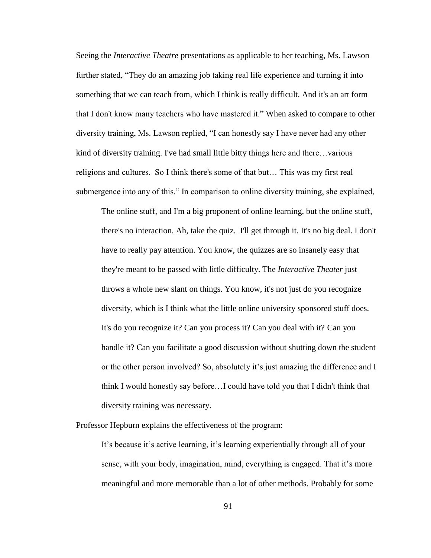Seeing the *Interactive Theatre* presentations as applicable to her teaching, Ms. Lawson further stated, "They do an amazing job taking real life experience and turning it into something that we can teach from, which I think is really difficult. And it's an art form that I don't know many teachers who have mastered it." When asked to compare to other diversity training, Ms. Lawson replied, "I can honestly say I have never had any other kind of diversity training. I've had small little bitty things here and there…various religions and cultures. So I think there's some of that but… This was my first real submergence into any of this." In comparison to online diversity training, she explained,

The online stuff, and I'm a big proponent of online learning, but the online stuff, there's no interaction. Ah, take the quiz. I'll get through it. It's no big deal. I don't have to really pay attention. You know, the quizzes are so insanely easy that they're meant to be passed with little difficulty. The *Interactive Theater* just throws a whole new slant on things. You know, it's not just do you recognize diversity, which is I think what the little online university sponsored stuff does. It's do you recognize it? Can you process it? Can you deal with it? Can you handle it? Can you facilitate a good discussion without shutting down the student or the other person involved? So, absolutely it's just amazing the difference and I think I would honestly say before…I could have told you that I didn't think that diversity training was necessary.

Professor Hepburn explains the effectiveness of the program:

It's because it's active learning, it's learning experientially through all of your sense, with your body, imagination, mind, everything is engaged. That it's more meaningful and more memorable than a lot of other methods. Probably for some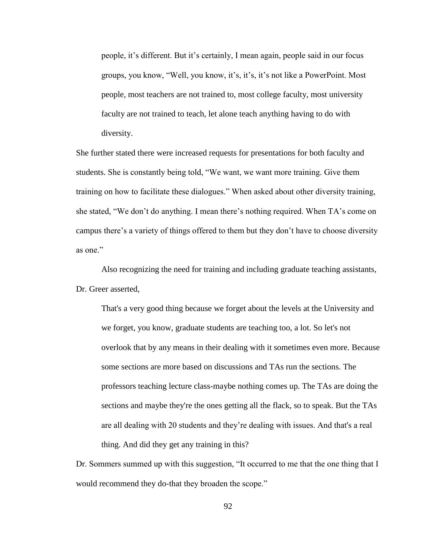people, it's different. But it's certainly, I mean again, people said in our focus groups, you know, "Well, you know, it's, it's, it's not like a PowerPoint. Most people, most teachers are not trained to, most college faculty, most university faculty are not trained to teach, let alone teach anything having to do with diversity.

She further stated there were increased requests for presentations for both faculty and students. She is constantly being told, "We want, we want more training. Give them training on how to facilitate these dialogues." When asked about other diversity training, she stated, "We don't do anything. I mean there's nothing required. When TA's come on campus there's a variety of things offered to them but they don't have to choose diversity as one."

Also recognizing the need for training and including graduate teaching assistants, Dr. Greer asserted,

That's a very good thing because we forget about the levels at the University and we forget, you know, graduate students are teaching too, a lot. So let's not overlook that by any means in their dealing with it sometimes even more. Because some sections are more based on discussions and TAs run the sections. The professors teaching lecture class-maybe nothing comes up. The TAs are doing the sections and maybe they're the ones getting all the flack, so to speak. But the TAs are all dealing with 20 students and they're dealing with issues. And that's a real thing. And did they get any training in this?

Dr. Sommers summed up with this suggestion, "It occurred to me that the one thing that I would recommend they do-that they broaden the scope."

92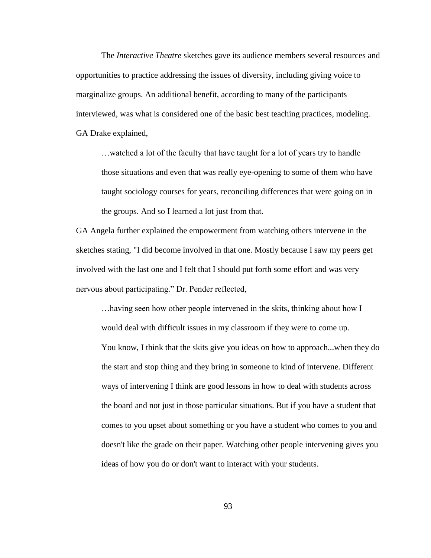The *Interactive Theatre* sketches gave its audience members several resources and opportunities to practice addressing the issues of diversity, including giving voice to marginalize groups. An additional benefit, according to many of the participants interviewed, was what is considered one of the basic best teaching practices, modeling. GA Drake explained,

…watched a lot of the faculty that have taught for a lot of years try to handle those situations and even that was really eye-opening to some of them who have taught sociology courses for years, reconciling differences that were going on in the groups. And so I learned a lot just from that.

GA Angela further explained the empowerment from watching others intervene in the sketches stating, "I did become involved in that one. Mostly because I saw my peers get involved with the last one and I felt that I should put forth some effort and was very nervous about participating." Dr. Pender reflected,

…having seen how other people intervened in the skits, thinking about how I would deal with difficult issues in my classroom if they were to come up. You know, I think that the skits give you ideas on how to approach...when they do the start and stop thing and they bring in someone to kind of intervene. Different ways of intervening I think are good lessons in how to deal with students across the board and not just in those particular situations. But if you have a student that comes to you upset about something or you have a student who comes to you and doesn't like the grade on their paper. Watching other people intervening gives you ideas of how you do or don't want to interact with your students.

93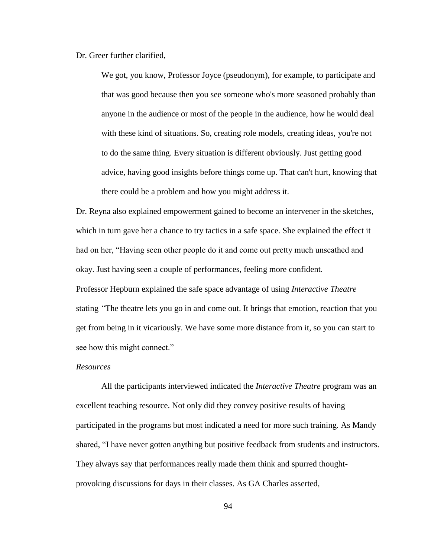Dr. Greer further clarified,

We got, you know, Professor Joyce (pseudonym), for example, to participate and that was good because then you see someone who's more seasoned probably than anyone in the audience or most of the people in the audience, how he would deal with these kind of situations. So, creating role models, creating ideas, you're not to do the same thing. Every situation is different obviously. Just getting good advice, having good insights before things come up. That can't hurt, knowing that there could be a problem and how you might address it.

Dr. Reyna also explained empowerment gained to become an intervener in the sketches, which in turn gave her a chance to try tactics in a safe space. She explained the effect it had on her, "Having seen other people do it and come out pretty much unscathed and okay. Just having seen a couple of performances, feeling more confident.

Professor Hepburn explained the safe space advantage of using *Interactive Theatre* stating *"*The theatre lets you go in and come out. It brings that emotion, reaction that you get from being in it vicariously. We have some more distance from it, so you can start to see how this might connect."

### *Resources*

All the participants interviewed indicated the *Interactive Theatre* program was an excellent teaching resource. Not only did they convey positive results of having participated in the programs but most indicated a need for more such training. As Mandy shared, "I have never gotten anything but positive feedback from students and instructors. They always say that performances really made them think and spurred thoughtprovoking discussions for days in their classes. As GA Charles asserted,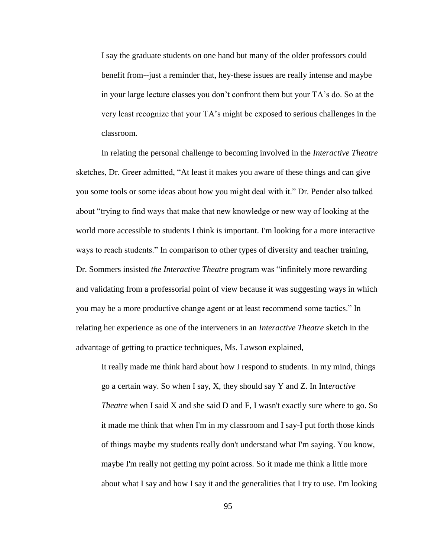I say the graduate students on one hand but many of the older professors could benefit from--just a reminder that, hey-these issues are really intense and maybe in your large lecture classes you don't confront them but your TA's do. So at the very least recognize that your TA's might be exposed to serious challenges in the classroom.

In relating the personal challenge to becoming involved in the *Interactive Theatre*  sketches, Dr. Greer admitted, "At least it makes you aware of these things and can give you some tools or some ideas about how you might deal with it." Dr. Pender also talked about "trying to find ways that make that new knowledge or new way of looking at the world more accessible to students I think is important. I'm looking for a more interactive ways to reach students." In comparison to other types of diversity and teacher training, Dr. Sommers insisted *the Interactive Theatre* program was "infinitely more rewarding and validating from a professorial point of view because it was suggesting ways in which you may be a more productive change agent or at least recommend some tactics." In relating her experience as one of the interveners in an *Interactive Theatre* sketch in the advantage of getting to practice techniques, Ms. Lawson explained,

It really made me think hard about how I respond to students. In my mind, things go a certain way. So when I say, X, they should say Y and Z. In Int*eractive Theatre* when I said X and she said D and F, I wasn't exactly sure where to go. So it made me think that when I'm in my classroom and I say-I put forth those kinds of things maybe my students really don't understand what I'm saying. You know, maybe I'm really not getting my point across. So it made me think a little more about what I say and how I say it and the generalities that I try to use. I'm looking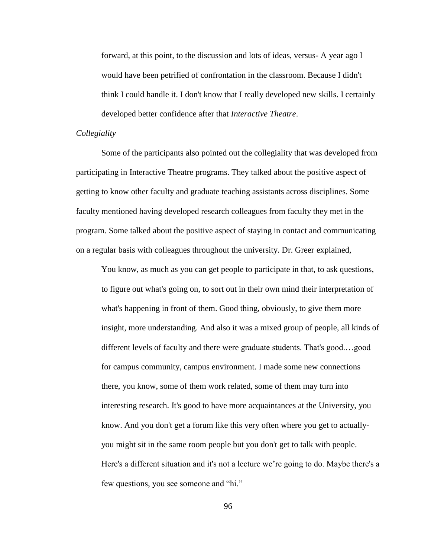forward, at this point, to the discussion and lots of ideas, versus- A year ago I would have been petrified of confrontation in the classroom. Because I didn't think I could handle it. I don't know that I really developed new skills. I certainly developed better confidence after that *Interactive Theatre*.

## *Collegiality*

Some of the participants also pointed out the collegiality that was developed from participating in Interactive Theatre programs. They talked about the positive aspect of getting to know other faculty and graduate teaching assistants across disciplines. Some faculty mentioned having developed research colleagues from faculty they met in the program. Some talked about the positive aspect of staying in contact and communicating on a regular basis with colleagues throughout the university. Dr. Greer explained,

You know, as much as you can get people to participate in that, to ask questions, to figure out what's going on, to sort out in their own mind their interpretation of what's happening in front of them. Good thing, obviously, to give them more insight, more understanding. And also it was a mixed group of people, all kinds of different levels of faculty and there were graduate students. That's good.…good for campus community, campus environment. I made some new connections there, you know, some of them work related, some of them may turn into interesting research. It's good to have more acquaintances at the University, you know. And you don't get a forum like this very often where you get to actuallyyou might sit in the same room people but you don't get to talk with people. Here's a different situation and it's not a lecture we're going to do. Maybe there's a few questions, you see someone and "hi."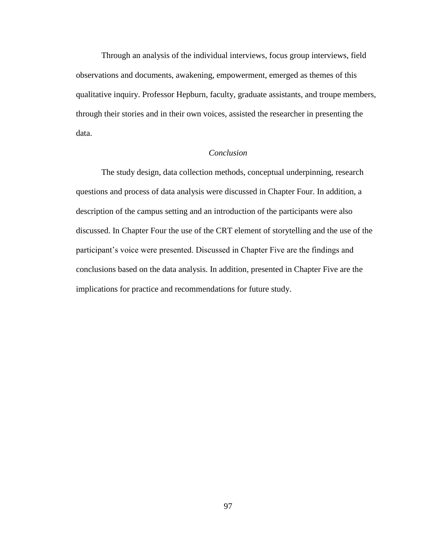Through an analysis of the individual interviews, focus group interviews, field observations and documents, awakening, empowerment, emerged as themes of this qualitative inquiry. Professor Hepburn, faculty, graduate assistants, and troupe members, through their stories and in their own voices, assisted the researcher in presenting the data.

# *Conclusion*

The study design, data collection methods, conceptual underpinning, research questions and process of data analysis were discussed in Chapter Four. In addition, a description of the campus setting and an introduction of the participants were also discussed. In Chapter Four the use of the CRT element of storytelling and the use of the participant's voice were presented. Discussed in Chapter Five are the findings and conclusions based on the data analysis. In addition, presented in Chapter Five are the implications for practice and recommendations for future study.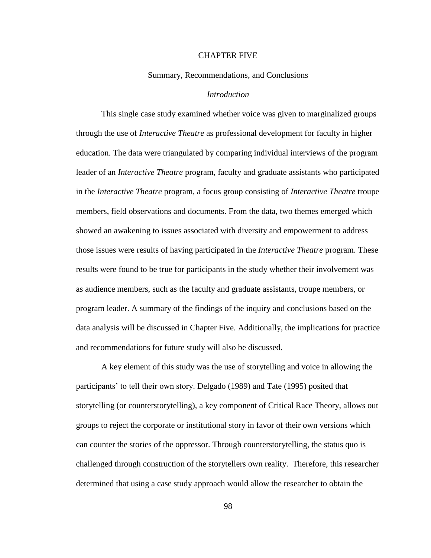#### CHAPTER FIVE

## Summary, Recommendations, and Conclusions

## *Introduction*

This single case study examined whether voice was given to marginalized groups through the use of *Interactive Theatre* as professional development for faculty in higher education. The data were triangulated by comparing individual interviews of the program leader of an *Interactive Theatre* program, faculty and graduate assistants who participated in the *Interactive Theatre* program, a focus group consisting of *Interactive Theatre* troupe members, field observations and documents. From the data, two themes emerged which showed an awakening to issues associated with diversity and empowerment to address those issues were results of having participated in the *Interactive Theatre* program. These results were found to be true for participants in the study whether their involvement was as audience members, such as the faculty and graduate assistants, troupe members, or program leader. A summary of the findings of the inquiry and conclusions based on the data analysis will be discussed in Chapter Five. Additionally, the implications for practice and recommendations for future study will also be discussed.

A key element of this study was the use of storytelling and voice in allowing the participants' to tell their own story. Delgado (1989) and Tate (1995) posited that storytelling (or counterstorytelling), a key component of Critical Race Theory, allows out groups to reject the corporate or institutional story in favor of their own versions which can counter the stories of the oppressor. Through counterstorytelling, the status quo is challenged through construction of the storytellers own reality. Therefore, this researcher determined that using a case study approach would allow the researcher to obtain the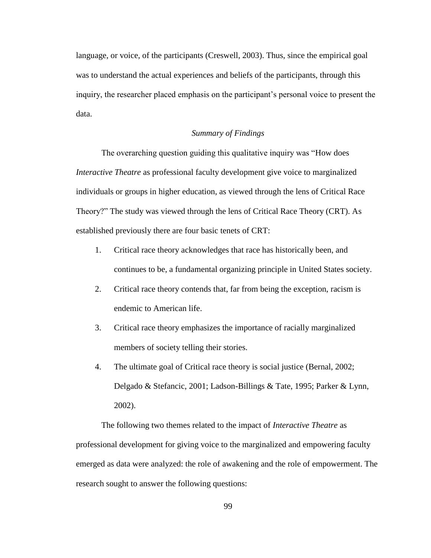language, or voice, of the participants (Creswell, 2003). Thus, since the empirical goal was to understand the actual experiences and beliefs of the participants, through this inquiry, the researcher placed emphasis on the participant's personal voice to present the data.

## *Summary of Findings*

The overarching question guiding this qualitative inquiry was "How does" *Interactive Theatre* as professional faculty development give voice to marginalized individuals or groups in higher education, as viewed through the lens of Critical Race Theory?" The study was viewed through the lens of Critical Race Theory (CRT). As established previously there are four basic tenets of CRT:

- 1. Critical race theory acknowledges that race has historically been, and continues to be, a fundamental organizing principle in United States society.
- 2. Critical race theory contends that, far from being the exception, racism is endemic to American life.
- 3. Critical race theory emphasizes the importance of racially marginalized members of society telling their stories.
- 4. The ultimate goal of Critical race theory is social justice (Bernal, 2002; Delgado & Stefancic, 2001; Ladson-Billings & Tate, 1995; Parker & Lynn, 2002).

The following two themes related to the impact of *Interactive Theatre* as professional development for giving voice to the marginalized and empowering faculty emerged as data were analyzed: the role of awakening and the role of empowerment. The research sought to answer the following questions: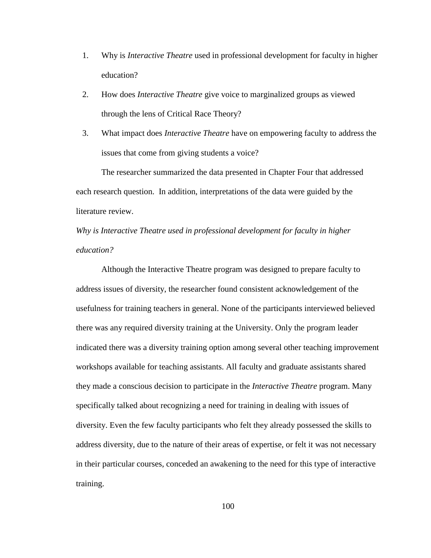- 1. Why is *Interactive Theatre* used in professional development for faculty in higher education?
- 2. How does *Interactive Theatre* give voice to marginalized groups as viewed through the lens of Critical Race Theory?
- 3. What impact does *Interactive Theatre* have on empowering faculty to address the issues that come from giving students a voice?

The researcher summarized the data presented in Chapter Four that addressed each research question. In addition, interpretations of the data were guided by the literature review.

# *Why is Interactive Theatre used in professional development for faculty in higher education?*

Although the Interactive Theatre program was designed to prepare faculty to address issues of diversity, the researcher found consistent acknowledgement of the usefulness for training teachers in general. None of the participants interviewed believed there was any required diversity training at the University. Only the program leader indicated there was a diversity training option among several other teaching improvement workshops available for teaching assistants. All faculty and graduate assistants shared they made a conscious decision to participate in the *Interactive Theatre* program. Many specifically talked about recognizing a need for training in dealing with issues of diversity. Even the few faculty participants who felt they already possessed the skills to address diversity, due to the nature of their areas of expertise, or felt it was not necessary in their particular courses, conceded an awakening to the need for this type of interactive training.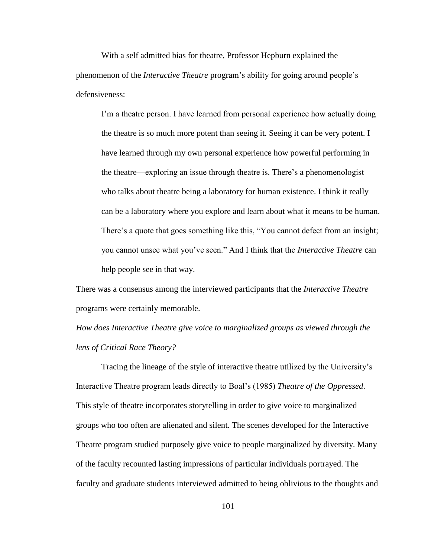With a self admitted bias for theatre, Professor Hepburn explained the phenomenon of the *Interactive Theatre* program's ability for going around people's defensiveness:

I'm a theatre person. I have learned from personal experience how actually doing the theatre is so much more potent than seeing it. Seeing it can be very potent. I have learned through my own personal experience how powerful performing in the theatre—exploring an issue through theatre is. There's a phenomenologist who talks about theatre being a laboratory for human existence. I think it really can be a laboratory where you explore and learn about what it means to be human. There's a quote that goes something like this, "You cannot defect from an insight; you cannot unsee what you've seen.‖ And I think that the *Interactive Theatre* can help people see in that way.

There was a consensus among the interviewed participants that the *Interactive Theatre* programs were certainly memorable.

*How does Interactive Theatre give voice to marginalized groups as viewed through the lens of Critical Race Theory?*

Tracing the lineage of the style of interactive theatre utilized by the University's Interactive Theatre program leads directly to Boal's (1985) *Theatre of the Oppressed*. This style of theatre incorporates storytelling in order to give voice to marginalized groups who too often are alienated and silent. The scenes developed for the Interactive Theatre program studied purposely give voice to people marginalized by diversity. Many of the faculty recounted lasting impressions of particular individuals portrayed. The faculty and graduate students interviewed admitted to being oblivious to the thoughts and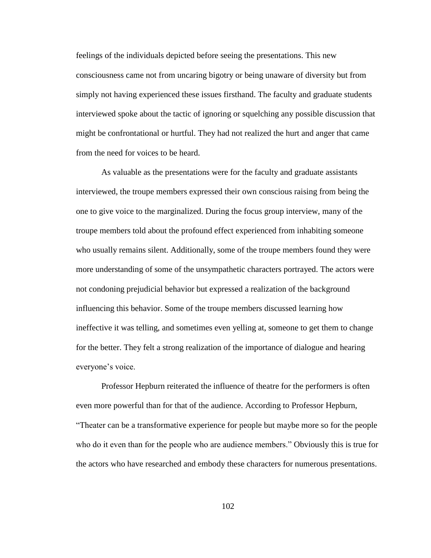feelings of the individuals depicted before seeing the presentations. This new consciousness came not from uncaring bigotry or being unaware of diversity but from simply not having experienced these issues firsthand. The faculty and graduate students interviewed spoke about the tactic of ignoring or squelching any possible discussion that might be confrontational or hurtful. They had not realized the hurt and anger that came from the need for voices to be heard.

As valuable as the presentations were for the faculty and graduate assistants interviewed, the troupe members expressed their own conscious raising from being the one to give voice to the marginalized. During the focus group interview, many of the troupe members told about the profound effect experienced from inhabiting someone who usually remains silent. Additionally, some of the troupe members found they were more understanding of some of the unsympathetic characters portrayed. The actors were not condoning prejudicial behavior but expressed a realization of the background influencing this behavior. Some of the troupe members discussed learning how ineffective it was telling, and sometimes even yelling at, someone to get them to change for the better. They felt a strong realization of the importance of dialogue and hearing everyone's voice.

Professor Hepburn reiterated the influence of theatre for the performers is often even more powerful than for that of the audience. According to Professor Hepburn, ―Theater can be a transformative experience for people but maybe more so for the people who do it even than for the people who are audience members." Obviously this is true for the actors who have researched and embody these characters for numerous presentations.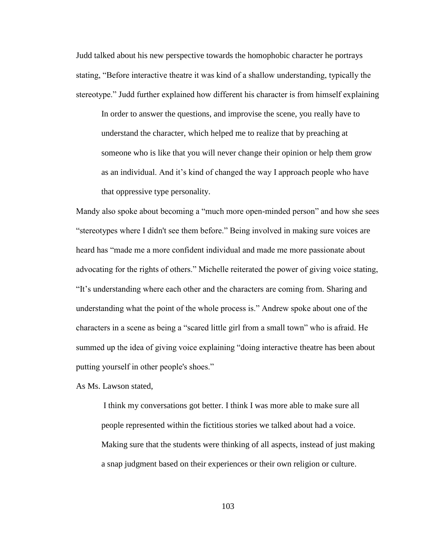Judd talked about his new perspective towards the homophobic character he portrays stating, "Before interactive theatre it was kind of a shallow understanding, typically the stereotype." Judd further explained how different his character is from himself explaining In order to answer the questions, and improvise the scene, you really have to understand the character, which helped me to realize that by preaching at someone who is like that you will never change their opinion or help them grow as an individual. And it's kind of changed the way I approach people who have that oppressive type personality.

Mandy also spoke about becoming a "much more open-minded person" and how she sees ―stereotypes where I didn't see them before.‖ Being involved in making sure voices are heard has "made me a more confident individual and made me more passionate about advocating for the rights of others." Michelle reiterated the power of giving voice stating, ―It's understanding where each other and the characters are coming from. Sharing and understanding what the point of the whole process is.‖ Andrew spoke about one of the characters in a scene as being a "scared little girl from a small town" who is afraid. He summed up the idea of giving voice explaining "doing interactive theatre has been about putting yourself in other people's shoes."

As Ms. Lawson stated,

I think my conversations got better. I think I was more able to make sure all people represented within the fictitious stories we talked about had a voice. Making sure that the students were thinking of all aspects, instead of just making a snap judgment based on their experiences or their own religion or culture.

103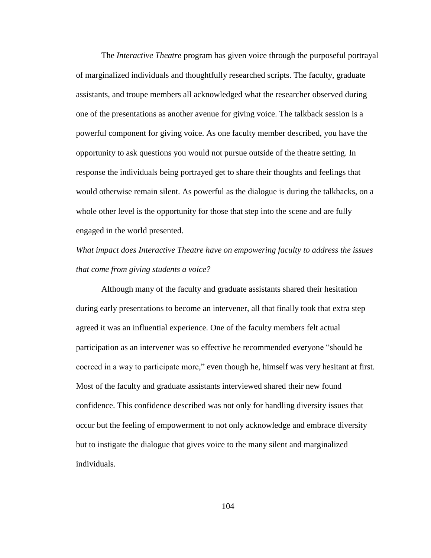The *Interactive Theatre* program has given voice through the purposeful portrayal of marginalized individuals and thoughtfully researched scripts. The faculty, graduate assistants, and troupe members all acknowledged what the researcher observed during one of the presentations as another avenue for giving voice. The talkback session is a powerful component for giving voice. As one faculty member described, you have the opportunity to ask questions you would not pursue outside of the theatre setting. In response the individuals being portrayed get to share their thoughts and feelings that would otherwise remain silent. As powerful as the dialogue is during the talkbacks, on a whole other level is the opportunity for those that step into the scene and are fully engaged in the world presented.

*What impact does Interactive Theatre have on empowering faculty to address the issues that come from giving students a voice?*

Although many of the faculty and graduate assistants shared their hesitation during early presentations to become an intervener, all that finally took that extra step agreed it was an influential experience. One of the faculty members felt actual participation as an intervener was so effective he recommended everyone "should be coerced in a way to participate more," even though he, himself was very hesitant at first. Most of the faculty and graduate assistants interviewed shared their new found confidence. This confidence described was not only for handling diversity issues that occur but the feeling of empowerment to not only acknowledge and embrace diversity but to instigate the dialogue that gives voice to the many silent and marginalized individuals.

104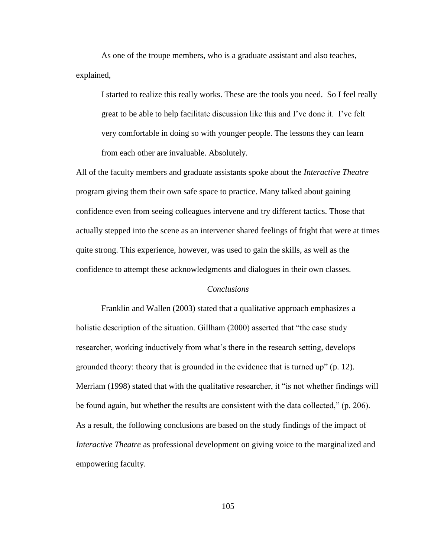As one of the troupe members, who is a graduate assistant and also teaches, explained,

I started to realize this really works. These are the tools you need. So I feel really great to be able to help facilitate discussion like this and I've done it. I've felt very comfortable in doing so with younger people. The lessons they can learn from each other are invaluable. Absolutely.

All of the faculty members and graduate assistants spoke about the *Interactive Theatre* program giving them their own safe space to practice. Many talked about gaining confidence even from seeing colleagues intervene and try different tactics. Those that actually stepped into the scene as an intervener shared feelings of fright that were at times quite strong. This experience, however, was used to gain the skills, as well as the confidence to attempt these acknowledgments and dialogues in their own classes.

## *Conclusions*

Franklin and Wallen (2003) stated that a qualitative approach emphasizes a holistic description of the situation. Gillham (2000) asserted that "the case study researcher, working inductively from what's there in the research setting, develops grounded theory: theory that is grounded in the evidence that is turned up"  $(p. 12)$ . Merriam (1998) stated that with the qualitative researcher, it "is not whether findings will be found again, but whether the results are consistent with the data collected,"  $(p. 206)$ . As a result, the following conclusions are based on the study findings of the impact of *Interactive Theatre* as professional development on giving voice to the marginalized and empowering faculty.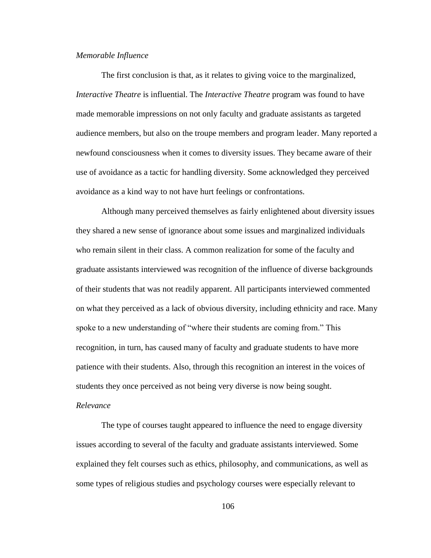## *Memorable Influence*

The first conclusion is that, as it relates to giving voice to the marginalized, *Interactive Theatre* is influential. The *Interactive Theatre* program was found to have made memorable impressions on not only faculty and graduate assistants as targeted audience members, but also on the troupe members and program leader. Many reported a newfound consciousness when it comes to diversity issues. They became aware of their use of avoidance as a tactic for handling diversity. Some acknowledged they perceived avoidance as a kind way to not have hurt feelings or confrontations.

Although many perceived themselves as fairly enlightened about diversity issues they shared a new sense of ignorance about some issues and marginalized individuals who remain silent in their class. A common realization for some of the faculty and graduate assistants interviewed was recognition of the influence of diverse backgrounds of their students that was not readily apparent. All participants interviewed commented on what they perceived as a lack of obvious diversity, including ethnicity and race. Many spoke to a new understanding of "where their students are coming from." This recognition, in turn, has caused many of faculty and graduate students to have more patience with their students. Also, through this recognition an interest in the voices of students they once perceived as not being very diverse is now being sought.

## *Relevance*

The type of courses taught appeared to influence the need to engage diversity issues according to several of the faculty and graduate assistants interviewed. Some explained they felt courses such as ethics, philosophy, and communications, as well as some types of religious studies and psychology courses were especially relevant to

106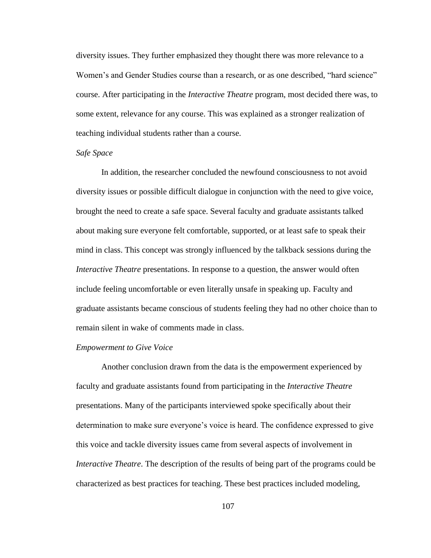diversity issues. They further emphasized they thought there was more relevance to a Women's and Gender Studies course than a research, or as one described, "hard science" course. After participating in the *Interactive Theatre* program, most decided there was, to some extent, relevance for any course. This was explained as a stronger realization of teaching individual students rather than a course.

#### *Safe Space*

In addition, the researcher concluded the newfound consciousness to not avoid diversity issues or possible difficult dialogue in conjunction with the need to give voice, brought the need to create a safe space. Several faculty and graduate assistants talked about making sure everyone felt comfortable, supported, or at least safe to speak their mind in class. This concept was strongly influenced by the talkback sessions during the *Interactive Theatre* presentations. In response to a question, the answer would often include feeling uncomfortable or even literally unsafe in speaking up. Faculty and graduate assistants became conscious of students feeling they had no other choice than to remain silent in wake of comments made in class.

#### *Empowerment to Give Voice*

Another conclusion drawn from the data is the empowerment experienced by faculty and graduate assistants found from participating in the *Interactive Theatre* presentations. Many of the participants interviewed spoke specifically about their determination to make sure everyone's voice is heard. The confidence expressed to give this voice and tackle diversity issues came from several aspects of involvement in *Interactive Theatre*. The description of the results of being part of the programs could be characterized as best practices for teaching. These best practices included modeling,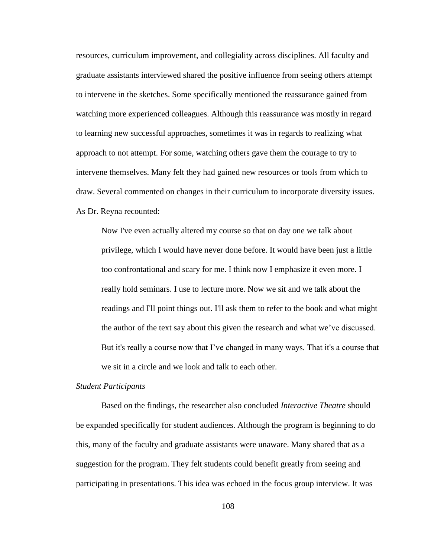resources, curriculum improvement, and collegiality across disciplines. All faculty and graduate assistants interviewed shared the positive influence from seeing others attempt to intervene in the sketches. Some specifically mentioned the reassurance gained from watching more experienced colleagues. Although this reassurance was mostly in regard to learning new successful approaches, sometimes it was in regards to realizing what approach to not attempt. For some, watching others gave them the courage to try to intervene themselves. Many felt they had gained new resources or tools from which to draw. Several commented on changes in their curriculum to incorporate diversity issues. As Dr. Reyna recounted:

Now I've even actually altered my course so that on day one we talk about privilege, which I would have never done before. It would have been just a little too confrontational and scary for me. I think now I emphasize it even more. I really hold seminars. I use to lecture more. Now we sit and we talk about the readings and I'll point things out. I'll ask them to refer to the book and what might the author of the text say about this given the research and what we've discussed. But it's really a course now that I've changed in many ways. That it's a course that we sit in a circle and we look and talk to each other.

#### *Student Participants*

Based on the findings, the researcher also concluded *Interactive Theatre* should be expanded specifically for student audiences. Although the program is beginning to do this, many of the faculty and graduate assistants were unaware. Many shared that as a suggestion for the program. They felt students could benefit greatly from seeing and participating in presentations. This idea was echoed in the focus group interview. It was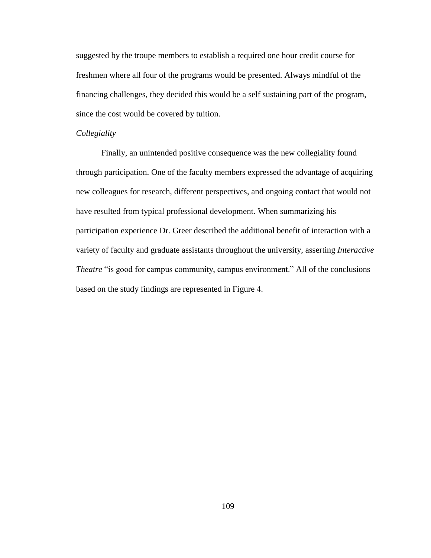suggested by the troupe members to establish a required one hour credit course for freshmen where all four of the programs would be presented. Always mindful of the financing challenges, they decided this would be a self sustaining part of the program, since the cost would be covered by tuition.

## *Collegiality*

Finally, an unintended positive consequence was the new collegiality found through participation. One of the faculty members expressed the advantage of acquiring new colleagues for research, different perspectives, and ongoing contact that would not have resulted from typical professional development. When summarizing his participation experience Dr. Greer described the additional benefit of interaction with a variety of faculty and graduate assistants throughout the university, asserting *Interactive Theatre* "is good for campus community, campus environment." All of the conclusions based on the study findings are represented in Figure 4.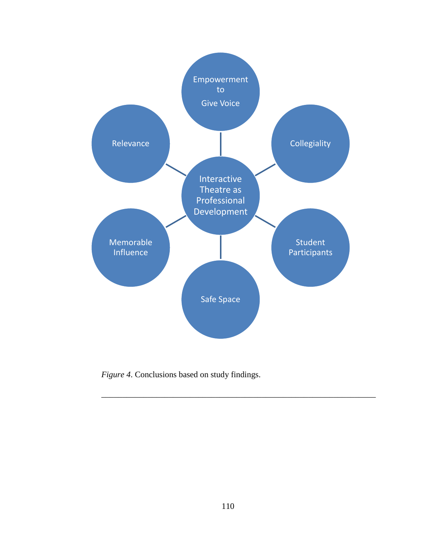

*Figure 4*. Conclusions based on study findings.

\_\_\_\_\_\_\_\_\_\_\_\_\_\_\_\_\_\_\_\_\_\_\_\_\_\_\_\_\_\_\_\_\_\_\_\_\_\_\_\_\_\_\_\_\_\_\_\_\_\_\_\_\_\_\_\_\_\_\_\_\_\_\_\_\_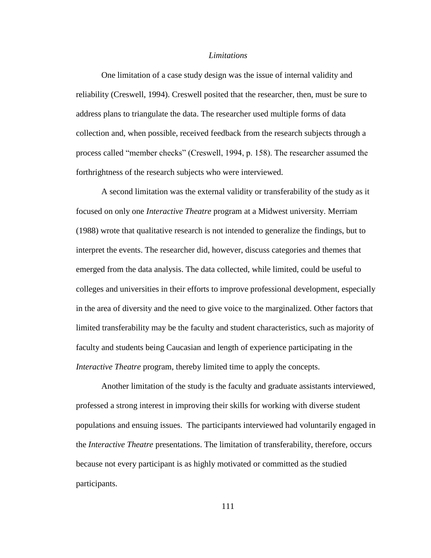## *Limitations*

One limitation of a case study design was the issue of internal validity and reliability (Creswell, 1994). Creswell posited that the researcher, then, must be sure to address plans to triangulate the data. The researcher used multiple forms of data collection and, when possible, received feedback from the research subjects through a process called "member checks" (Creswell, 1994, p. 158). The researcher assumed the forthrightness of the research subjects who were interviewed.

A second limitation was the external validity or transferability of the study as it focused on only one *Interactive Theatre* program at a Midwest university. Merriam (1988) wrote that qualitative research is not intended to generalize the findings, but to interpret the events. The researcher did, however, discuss categories and themes that emerged from the data analysis. The data collected, while limited, could be useful to colleges and universities in their efforts to improve professional development, especially in the area of diversity and the need to give voice to the marginalized. Other factors that limited transferability may be the faculty and student characteristics, such as majority of faculty and students being Caucasian and length of experience participating in the *Interactive Theatre* program, thereby limited time to apply the concepts.

Another limitation of the study is the faculty and graduate assistants interviewed, professed a strong interest in improving their skills for working with diverse student populations and ensuing issues. The participants interviewed had voluntarily engaged in the *Interactive Theatre* presentations. The limitation of transferability, therefore, occurs because not every participant is as highly motivated or committed as the studied participants.

111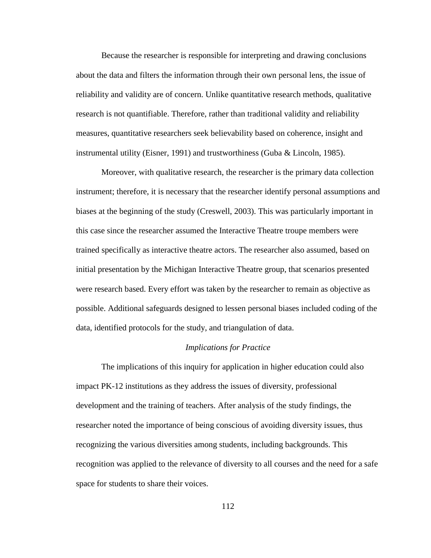Because the researcher is responsible for interpreting and drawing conclusions about the data and filters the information through their own personal lens, the issue of reliability and validity are of concern. Unlike quantitative research methods, qualitative research is not quantifiable. Therefore, rather than traditional validity and reliability measures, quantitative researchers seek believability based on coherence, insight and instrumental utility (Eisner, 1991) and trustworthiness (Guba & Lincoln, 1985).

Moreover, with qualitative research, the researcher is the primary data collection instrument; therefore, it is necessary that the researcher identify personal assumptions and biases at the beginning of the study (Creswell, 2003). This was particularly important in this case since the researcher assumed the Interactive Theatre troupe members were trained specifically as interactive theatre actors. The researcher also assumed, based on initial presentation by the Michigan Interactive Theatre group, that scenarios presented were research based. Every effort was taken by the researcher to remain as objective as possible. Additional safeguards designed to lessen personal biases included coding of the data, identified protocols for the study, and triangulation of data.

## *Implications for Practice*

The implications of this inquiry for application in higher education could also impact PK-12 institutions as they address the issues of diversity, professional development and the training of teachers. After analysis of the study findings, the researcher noted the importance of being conscious of avoiding diversity issues, thus recognizing the various diversities among students, including backgrounds. This recognition was applied to the relevance of diversity to all courses and the need for a safe space for students to share their voices.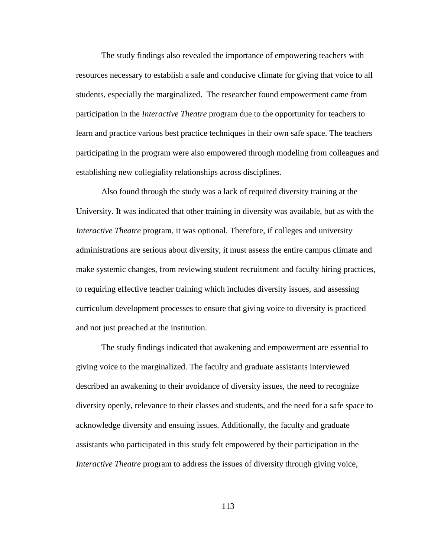The study findings also revealed the importance of empowering teachers with resources necessary to establish a safe and conducive climate for giving that voice to all students, especially the marginalized. The researcher found empowerment came from participation in the *Interactive Theatre* program due to the opportunity for teachers to learn and practice various best practice techniques in their own safe space. The teachers participating in the program were also empowered through modeling from colleagues and establishing new collegiality relationships across disciplines.

Also found through the study was a lack of required diversity training at the University. It was indicated that other training in diversity was available, but as with the *Interactive Theatre* program, it was optional. Therefore, if colleges and university administrations are serious about diversity, it must assess the entire campus climate and make systemic changes, from reviewing student recruitment and faculty hiring practices, to requiring effective teacher training which includes diversity issues, and assessing curriculum development processes to ensure that giving voice to diversity is practiced and not just preached at the institution.

The study findings indicated that awakening and empowerment are essential to giving voice to the marginalized. The faculty and graduate assistants interviewed described an awakening to their avoidance of diversity issues, the need to recognize diversity openly, relevance to their classes and students, and the need for a safe space to acknowledge diversity and ensuing issues. Additionally, the faculty and graduate assistants who participated in this study felt empowered by their participation in the *Interactive Theatre* program to address the issues of diversity through giving voice,

113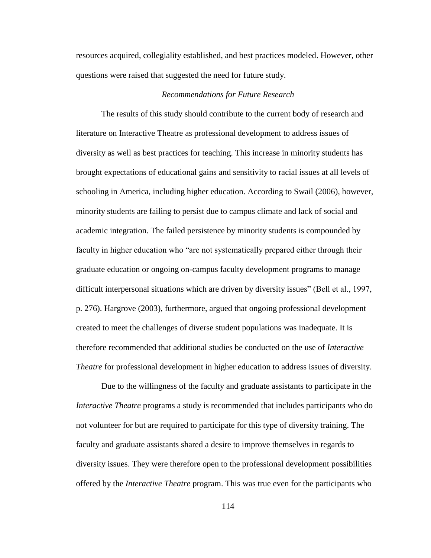resources acquired, collegiality established, and best practices modeled. However, other questions were raised that suggested the need for future study.

## *Recommendations for Future Research*

The results of this study should contribute to the current body of research and literature on Interactive Theatre as professional development to address issues of diversity as well as best practices for teaching. This increase in minority students has brought expectations of educational gains and sensitivity to racial issues at all levels of schooling in America, including higher education. According to Swail (2006), however, minority students are failing to persist due to campus climate and lack of social and academic integration. The failed persistence by minority students is compounded by faculty in higher education who "are not systematically prepared either through their graduate education or ongoing on-campus faculty development programs to manage difficult interpersonal situations which are driven by diversity issues" (Bell et al., 1997, p. 276). Hargrove (2003), furthermore, argued that ongoing professional development created to meet the challenges of diverse student populations was inadequate. It is therefore recommended that additional studies be conducted on the use of *Interactive Theatre* for professional development in higher education to address issues of diversity.

Due to the willingness of the faculty and graduate assistants to participate in the *Interactive Theatre* programs a study is recommended that includes participants who do not volunteer for but are required to participate for this type of diversity training. The faculty and graduate assistants shared a desire to improve themselves in regards to diversity issues. They were therefore open to the professional development possibilities offered by the *Interactive Theatre* program. This was true even for the participants who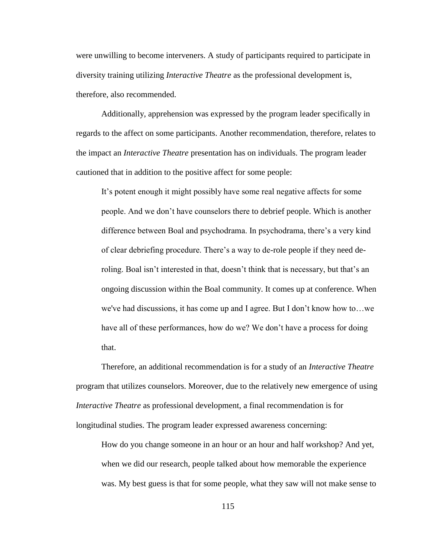were unwilling to become interveners. A study of participants required to participate in diversity training utilizing *Interactive Theatre* as the professional development is, therefore, also recommended.

Additionally, apprehension was expressed by the program leader specifically in regards to the affect on some participants. Another recommendation, therefore, relates to the impact an *Interactive Theatre* presentation has on individuals. The program leader cautioned that in addition to the positive affect for some people:

It's potent enough it might possibly have some real negative affects for some people. And we don't have counselors there to debrief people. Which is another difference between Boal and psychodrama. In psychodrama, there's a very kind of clear debriefing procedure. There's a way to de-role people if they need deroling. Boal isn't interested in that, doesn't think that is necessary, but that's an ongoing discussion within the Boal community. It comes up at conference. When we've had discussions, it has come up and I agree. But I don't know how to…we have all of these performances, how do we? We don't have a process for doing that.

Therefore, an additional recommendation is for a study of an *Interactive Theatre* program that utilizes counselors. Moreover, due to the relatively new emergence of using *Interactive Theatre* as professional development, a final recommendation is for longitudinal studies. The program leader expressed awareness concerning:

How do you change someone in an hour or an hour and half workshop? And yet, when we did our research, people talked about how memorable the experience was. My best guess is that for some people, what they saw will not make sense to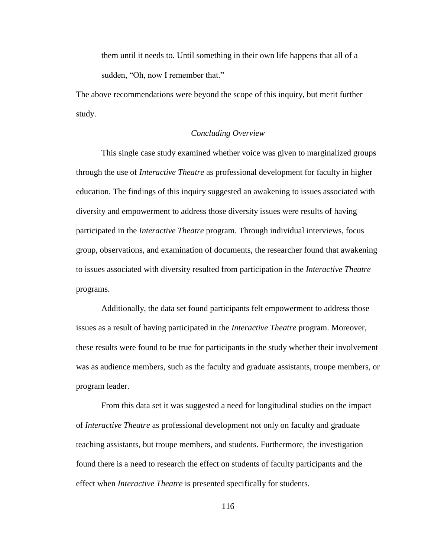them until it needs to. Until something in their own life happens that all of a sudden, "Oh, now I remember that."

The above recommendations were beyond the scope of this inquiry, but merit further study.

## *Concluding Overview*

This single case study examined whether voice was given to marginalized groups through the use of *Interactive Theatre* as professional development for faculty in higher education. The findings of this inquiry suggested an awakening to issues associated with diversity and empowerment to address those diversity issues were results of having participated in the *Interactive Theatre* program. Through individual interviews, focus group, observations, and examination of documents, the researcher found that awakening to issues associated with diversity resulted from participation in the *Interactive Theatre* programs.

Additionally, the data set found participants felt empowerment to address those issues as a result of having participated in the *Interactive Theatre* program. Moreover, these results were found to be true for participants in the study whether their involvement was as audience members, such as the faculty and graduate assistants, troupe members, or program leader.

From this data set it was suggested a need for longitudinal studies on the impact of *Interactive Theatre* as professional development not only on faculty and graduate teaching assistants, but troupe members, and students. Furthermore, the investigation found there is a need to research the effect on students of faculty participants and the effect when *Interactive Theatre* is presented specifically for students.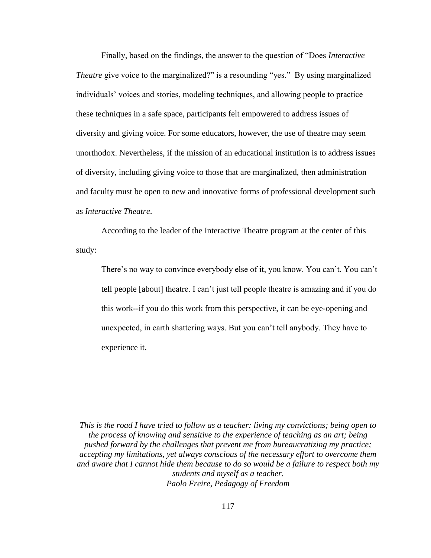Finally, based on the findings, the answer to the question of "Does *Interactive*" *Theatre* give voice to the marginalized?" is a resounding "yes." By using marginalized individuals' voices and stories, modeling techniques, and allowing people to practice these techniques in a safe space, participants felt empowered to address issues of diversity and giving voice. For some educators, however, the use of theatre may seem unorthodox. Nevertheless, if the mission of an educational institution is to address issues of diversity, including giving voice to those that are marginalized, then administration and faculty must be open to new and innovative forms of professional development such as *Interactive Theatre*.

According to the leader of the Interactive Theatre program at the center of this study:

There's no way to convince everybody else of it, you know. You can't. You can't tell people [about] theatre. I can't just tell people theatre is amazing and if you do this work--if you do this work from this perspective, it can be eye-opening and unexpected, in earth shattering ways. But you can't tell anybody. They have to experience it.

*This is the road I have tried to follow as a teacher: living my convictions; being open to the process of knowing and sensitive to the experience of teaching as an art; being pushed forward by the challenges that prevent me from bureaucratizing my practice; accepting my limitations, yet always conscious of the necessary effort to overcome them and aware that I cannot hide them because to do so would be a failure to respect both my students and myself as a teacher. Paolo Freire, Pedagogy of Freedom*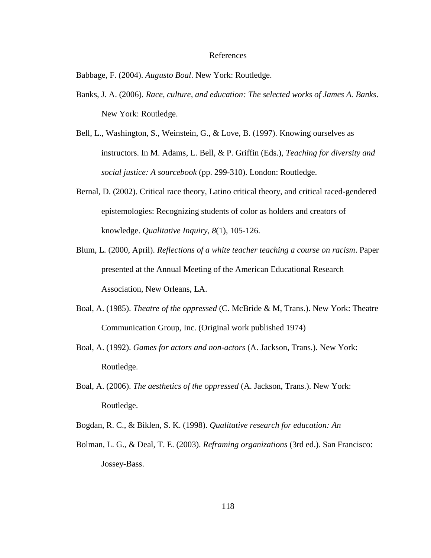#### References

Babbage, F. (2004). *Augusto Boal*. New York: Routledge.

- Banks, J. A. (2006). *Race, culture, and education: The selected works of James A. Banks*. New York: Routledge.
- Bell, L., Washington, S., Weinstein, G., & Love, B. (1997). Knowing ourselves as instructors. In M. Adams, L. Bell, & P. Griffin (Eds.), *Teaching for diversity and social justice: A sourcebook* (pp. 299-310). London: Routledge.
- Bernal, D. (2002). Critical race theory, Latino critical theory, and critical raced-gendered epistemologies: Recognizing students of color as holders and creators of knowledge. *Qualitative Inquiry, 8*(1), 105-126.
- Blum, L. (2000, April). *Reflections of a white teacher teaching a course on racism*. Paper presented at the Annual Meeting of the American Educational Research Association, New Orleans, LA.
- Boal, A. (1985). *Theatre of the oppressed* (C. McBride & M, Trans.). New York: Theatre Communication Group, Inc. (Original work published 1974)
- Boal, A. (1992). *Games for actors and non-actors* (A. Jackson, Trans.). New York: Routledge.
- Boal, A. (2006). *The aesthetics of the oppressed* (A. Jackson, Trans.). New York: Routledge.
- Bogdan, R. C., & Biklen, S. K. (1998). *Qualitative research for education: An*
- Bolman, L. G., & Deal, T. E. (2003). *Reframing organizations* (3rd ed.). San Francisco: Jossey-Bass.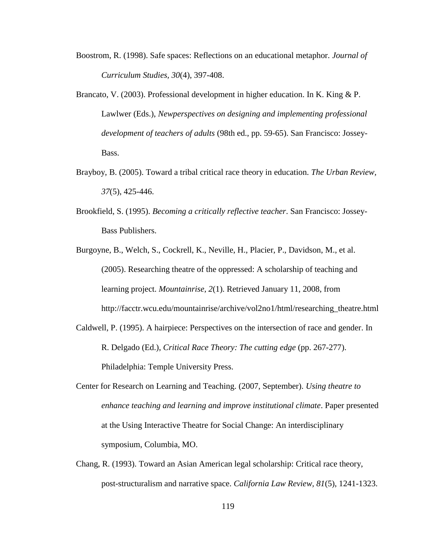- Boostrom, R. (1998). Safe spaces: Reflections on an educational metaphor. *Journal of Curriculum Studies, 30*(4), 397-408.
- Brancato, V. (2003). Professional development in higher education. In K. King & P. Lawlwer (Eds.), *Newperspectives on designing and implementing professional development of teachers of adults* (98th ed., pp. 59-65). San Francisco: Jossey-Bass.
- Brayboy, B. (2005). Toward a tribal critical race theory in education. *The Urban Review, 37*(5), 425-446.
- Brookfield, S. (1995). *Becoming a critically reflective teacher*. San Francisco: Jossey-Bass Publishers.
- Burgoyne, B., Welch, S., Cockrell, K., Neville, H., Placier, P., Davidson, M., et al. (2005). Researching theatre of the oppressed: A scholarship of teaching and learning project. *Mountainrise, 2*(1). Retrieved January 11, 2008, from http://facctr.wcu.edu/mountainrise/archive/vol2no1/html/researching\_theatre.html
- Caldwell, P. (1995). A hairpiece: Perspectives on the intersection of race and gender. In R. Delgado (Ed.), *Critical Race Theory: The cutting edge* (pp. 267-277). Philadelphia: Temple University Press.
- Center for Research on Learning and Teaching. (2007, September). *Using theatre to enhance teaching and learning and improve institutional climate*. Paper presented at the Using Interactive Theatre for Social Change: An interdisciplinary symposium, Columbia, MO.
- Chang, R. (1993). Toward an Asian American legal scholarship: Critical race theory, post-structuralism and narrative space. *California Law Review, 81*(5), 1241-1323.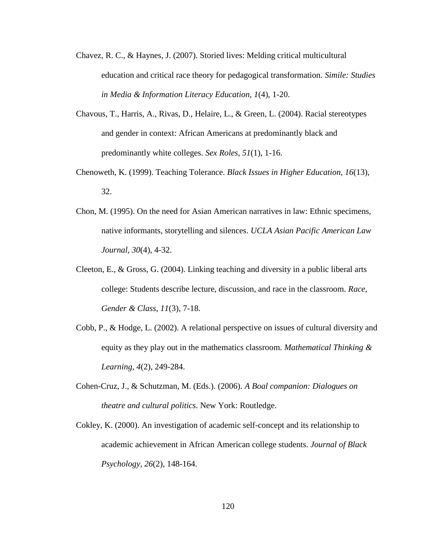- Chavez, R. C., & Haynes, J. (2007). Storied lives: Melding critical multicultural education and critical race theory for pedagogical transformation. *Simile: Studies in Media & Information Literacy Education, 1*(4), 1-20.
- Chavous, T., Harris, A., Rivas, D., Helaire, L., & Green, L. (2004). Racial stereotypes and gender in context: African Americans at predominantly black and predominantly white colleges. *Sex Roles, 51*(1), 1-16.
- Chenoweth, K. (1999). Teaching Tolerance. *Black Issues in Higher Education, 16*(13), 32.
- Chon, M. (1995). On the need for Asian American narratives in law: Ethnic specimens, native informants, storytelling and silences. *UCLA Asian Pacific American Law Journal, 30*(4), 4-32.
- Cleeton, E., & Gross, G.  $(2004)$ . Linking teaching and diversity in a public liberal arts college: Students describe lecture, discussion, and race in the classroom. *Race, Gender & Class, 11*(3), 7-18.
- Cobb, P., & Hodge, L. (2002). A relational perspective on issues of cultural diversity and equity as they play out in the mathematics classroom. *Mathematical Thinking & Learning, 4*(2), 249-284.
- Cohen-Cruz, J., & Schutzman, M. (Eds.). (2006). *A Boal companion: Dialogues on theatre and cultural politics*. New York: Routledge.
- Cokley, K. (2000). An investigation of academic self-concept and its relationship to academic achievement in African American college students. *Journal of Black Psychology, 26*(2), 148-164.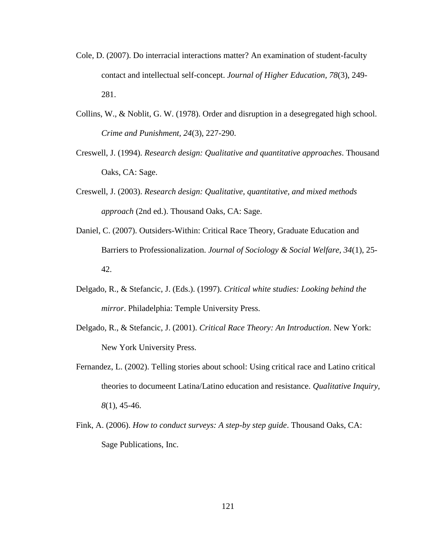- Cole, D. (2007). Do interracial interactions matter? An examination of student-faculty contact and intellectual self-concept. *Journal of Higher Education, 78*(3), 249- 281.
- Collins, W., & Noblit, G. W. (1978). Order and disruption in a desegregated high school. *Crime and Punishment, 24*(3), 227-290.
- Creswell, J. (1994). *Research design: Qualitative and quantitative approaches*. Thousand Oaks, CA: Sage.
- Creswell, J. (2003). *Research design: Qualitative, quantitative, and mixed methods approach* (2nd ed.). Thousand Oaks, CA: Sage.
- Daniel, C. (2007). Outsiders-Within: Critical Race Theory, Graduate Education and Barriers to Professionalization. *Journal of Sociology & Social Welfare, 34*(1), 25- 42.
- Delgado, R., & Stefancic, J. (Eds.). (1997). *Critical white studies: Looking behind the mirror*. Philadelphia: Temple University Press.
- Delgado, R., & Stefancic, J. (2001). *Critical Race Theory: An Introduction*. New York: New York University Press.
- Fernandez, L. (2002). Telling stories about school: Using critical race and Latino critical theories to documeent Latina/Latino education and resistance. *Qualitative Inquiry, 8*(1), 45-46.
- Fink, A. (2006). *How to conduct surveys: A step-by step guide*. Thousand Oaks, CA: Sage Publications, Inc.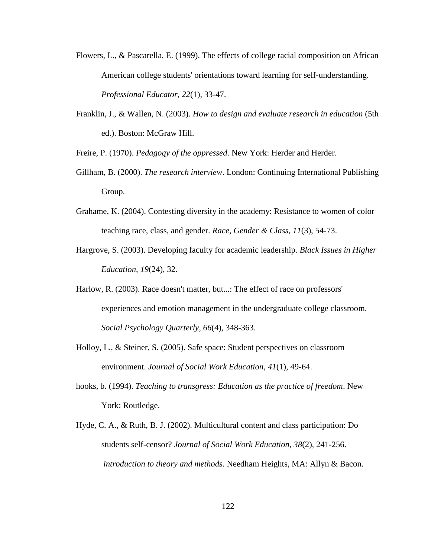- Flowers, L., & Pascarella, E. (1999). The effects of college racial composition on African American college students' orientations toward learning for self-understanding. *Professional Educator, 22*(1), 33-47.
- Franklin, J., & Wallen, N. (2003). *How to design and evaluate research in education* (5th ed.). Boston: McGraw Hill.

Freire, P. (1970). *Pedagogy of the oppressed*. New York: Herder and Herder.

- Gillham, B. (2000). *The research interview*. London: Continuing International Publishing Group.
- Grahame, K. (2004). Contesting diversity in the academy: Resistance to women of color teaching race, class, and gender. *Race, Gender & Class, 11*(3), 54-73.
- Hargrove, S. (2003). Developing faculty for academic leadership. *Black Issues in Higher Education, 19*(24), 32.
- Harlow, R. (2003). Race doesn't matter, but...: The effect of race on professors' experiences and emotion management in the undergraduate college classroom. *Social Psychology Quarterly, 66*(4), 348-363.
- Holloy, L., & Steiner, S. (2005). Safe space: Student perspectives on classroom environment. *Journal of Social Work Education, 41*(1), 49-64.
- hooks, b. (1994). *Teaching to transgress: Education as the practice of freedom*. New York: Routledge.
- Hyde, C. A., & Ruth, B. J. (2002). Multicultural content and class participation: Do students self-censor? *Journal of Social Work Education, 38*(2), 241-256. *introduction to theory and methods.* Needham Heights, MA: Allyn & Bacon.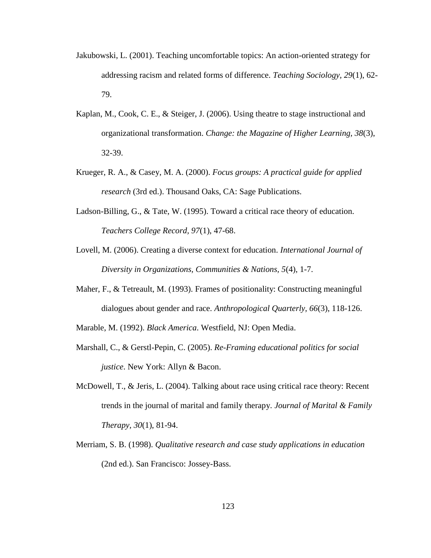- Jakubowski, L. (2001). Teaching uncomfortable topics: An action-oriented strategy for addressing racism and related forms of difference. *Teaching Sociology, 29*(1), 62- 79.
- Kaplan, M., Cook, C. E., & Steiger, J. (2006). Using theatre to stage instructional and organizational transformation. *Change: the Magazine of Higher Learning, 38*(3), 32-39.
- Krueger, R. A., & Casey, M. A. (2000). *Focus groups: A practical guide for applied research* (3rd ed.). Thousand Oaks, CA: Sage Publications.
- Ladson-Billing, G., & Tate, W. (1995). Toward a critical race theory of education. *Teachers College Record, 97*(1), 47-68.
- Lovell, M. (2006). Creating a diverse context for education. *International Journal of Diversity in Organizations, Communities & Nations, 5*(4), 1-7.
- Maher, F., & Tetreault, M. (1993). Frames of positionality: Constructing meaningful dialogues about gender and race. *Anthropological Quarterly, 66*(3), 118-126.
- Marable, M. (1992). *Black America*. Westfield, NJ: Open Media.
- Marshall, C., & Gerstl-Pepin, C. (2005). *Re-Framing educational politics for social justice*. New York: Allyn & Bacon.
- McDowell, T., & Jeris, L. (2004). Talking about race using critical race theory: Recent trends in the journal of marital and family therapy. *Journal of Marital & Family Therapy, 30*(1), 81-94.
- Merriam, S. B. (1998). *Qualitative research and case study applications in education* (2nd ed.). San Francisco: Jossey-Bass.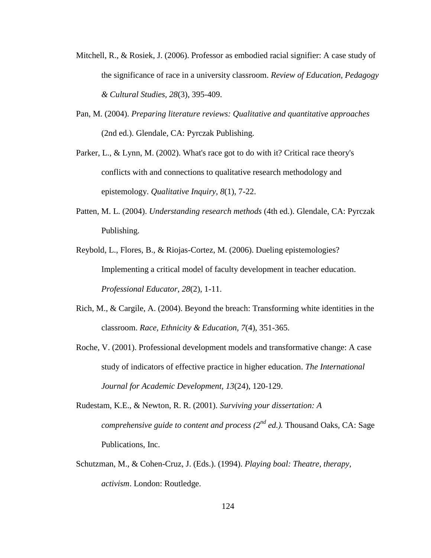- Mitchell, R., & Rosiek, J. (2006). Professor as embodied racial signifier: A case study of the significance of race in a university classroom. *Review of Education, Pedagogy & Cultural Studies, 28*(3), 395-409.
- Pan, M. (2004). *Preparing literature reviews: Qualitative and quantitative approaches* (2nd ed.). Glendale, CA: Pyrczak Publishing.
- Parker, L., & Lynn, M. (2002). What's race got to do with it? Critical race theory's conflicts with and connections to qualitative research methodology and epistemology. *Qualitative Inquiry, 8*(1), 7-22.
- Patten, M. L. (2004). *Understanding research methods* (4th ed.). Glendale, CA: Pyrczak Publishing.
- Reybold, L., Flores, B., & Riojas-Cortez, M. (2006). Dueling epistemologies? Implementing a critical model of faculty development in teacher education. *Professional Educator, 28*(2), 1-11.
- Rich, M., & Cargile, A. (2004). Beyond the breach: Transforming white identities in the classroom. *Race, Ethnicity & Education, 7*(4), 351-365.
- Roche, V. (2001). Professional development models and transformative change: A case study of indicators of effective practice in higher education. *The International Journal for Academic Development, 13*(24), 120-129.
- Rudestam, K.E., & Newton, R. R. (2001). *Surviving your dissertation: A comprehensive guide to content and process (2nd ed.).* Thousand Oaks, CA: Sage Publications, Inc.
- Schutzman, M., & Cohen-Cruz, J. (Eds.). (1994). *Playing boal: Theatre, therapy, activism*. London: Routledge.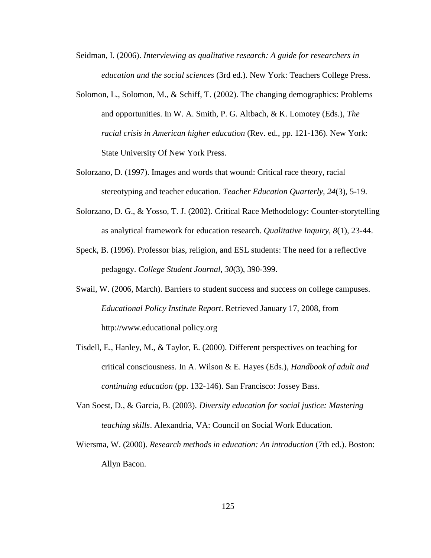- Seidman, I. (2006). *Interviewing as qualitative research: A guide for researchers in education and the social sciences* (3rd ed.). New York: Teachers College Press.
- Solomon, L., Solomon, M., & Schiff, T. (2002). The changing demographics: Problems and opportunities. In W. A. Smith, P. G. Altbach, & K. Lomotey (Eds.), *The racial crisis in American higher education* (Rev. ed., pp. 121-136). New York: State University Of New York Press.
- Solorzano, D. (1997). Images and words that wound: Critical race theory, racial stereotyping and teacher education. *Teacher Education Quarterly, 24*(3), 5-19.
- Solorzano, D. G., & Yosso, T. J. (2002). Critical Race Methodology: Counter-storytelling as analytical framework for education research. *Qualitative Inquiry, 8*(1), 23-44.
- Speck, B. (1996). Professor bias, religion, and ESL students: The need for a reflective pedagogy. *College Student Journal, 30*(3), 390-399.
- Swail, W. (2006, March). Barriers to student success and success on college campuses. *Educational Policy Institute Report*. Retrieved January 17, 2008, from http://www.educational policy.org
- Tisdell, E., Hanley, M., & Taylor, E. (2000). Different perspectives on teaching for critical consciousness. In A. Wilson & E. Hayes (Eds.), *Handbook of adult and continuing education* (pp. 132-146). San Francisco: Jossey Bass.
- Van Soest, D., & Garcia, B. (2003). *Diversity education for social justice: Mastering teaching skills*. Alexandria, VA: Council on Social Work Education.
- Wiersma, W. (2000). *Research methods in education: An introduction* (7th ed.). Boston: Allyn Bacon.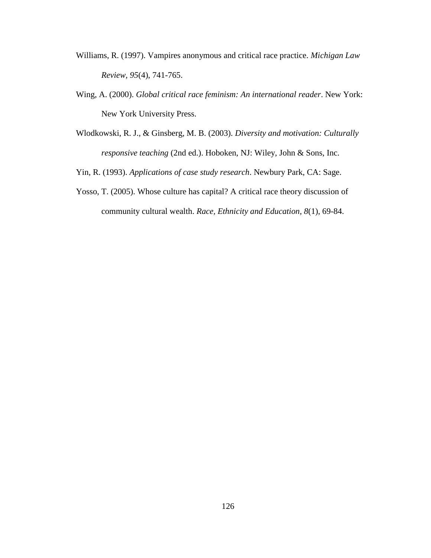- Williams, R. (1997). Vampires anonymous and critical race practice. *Michigan Law Review, 95*(4), 741-765.
- Wing, A. (2000). *Global critical race feminism: An international reader*. New York: New York University Press.
- Wlodkowski, R. J., & Ginsberg, M. B. (2003). *Diversity and motivation: Culturally responsive teaching* (2nd ed.). Hoboken, NJ: Wiley, John & Sons, Inc.
- Yin, R. (1993). *Applications of case study research*. Newbury Park, CA: Sage.
- Yosso, T. (2005). Whose culture has capital? A critical race theory discussion of community cultural wealth. *Race, Ethnicity and Education, 8*(1), 69-84.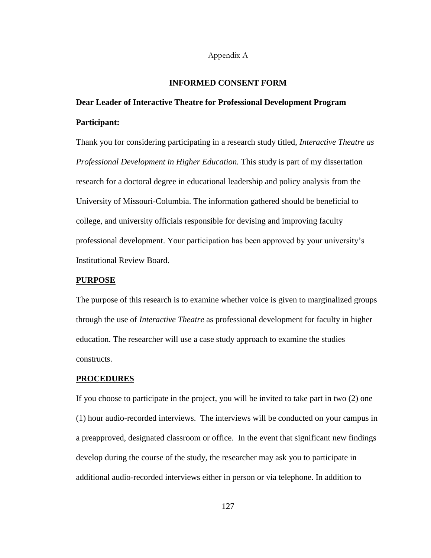## Appendix A

## **INFORMED CONSENT FORM**

# **Dear Leader of Interactive Theatre for Professional Development Program Participant:**

Thank you for considering participating in a research study titled, *Interactive Theatre as Professional Development in Higher Education.* This study is part of my dissertation research for a doctoral degree in educational leadership and policy analysis from the University of Missouri-Columbia. The information gathered should be beneficial to college, and university officials responsible for devising and improving faculty professional development. Your participation has been approved by your university's Institutional Review Board.

## **PURPOSE**

The purpose of this research is to examine whether voice is given to marginalized groups through the use of *Interactive Theatre* as professional development for faculty in higher education. The researcher will use a case study approach to examine the studies constructs.

#### **PROCEDURES**

If you choose to participate in the project, you will be invited to take part in two (2) one (1) hour audio-recorded interviews. The interviews will be conducted on your campus in a preapproved, designated classroom or office. In the event that significant new findings develop during the course of the study, the researcher may ask you to participate in additional audio-recorded interviews either in person or via telephone. In addition to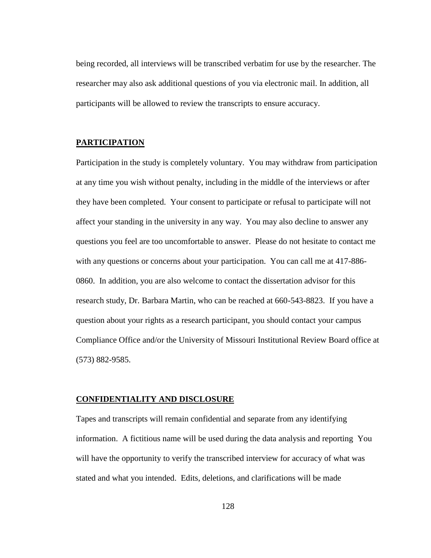being recorded, all interviews will be transcribed verbatim for use by the researcher. The researcher may also ask additional questions of you via electronic mail. In addition, all participants will be allowed to review the transcripts to ensure accuracy.

## **PARTICIPATION**

Participation in the study is completely voluntary. You may withdraw from participation at any time you wish without penalty, including in the middle of the interviews or after they have been completed. Your consent to participate or refusal to participate will not affect your standing in the university in any way. You may also decline to answer any questions you feel are too uncomfortable to answer. Please do not hesitate to contact me with any questions or concerns about your participation. You can call me at 417-886- 0860. In addition, you are also welcome to contact the dissertation advisor for this research study, Dr. Barbara Martin, who can be reached at 660-543-8823. If you have a question about your rights as a research participant, you should contact your campus Compliance Office and/or the University of Missouri Institutional Review Board office at (573) 882-9585.

## **CONFIDENTIALITY AND DISCLOSURE**

Tapes and transcripts will remain confidential and separate from any identifying information. A fictitious name will be used during the data analysis and reporting You will have the opportunity to verify the transcribed interview for accuracy of what was stated and what you intended. Edits, deletions, and clarifications will be made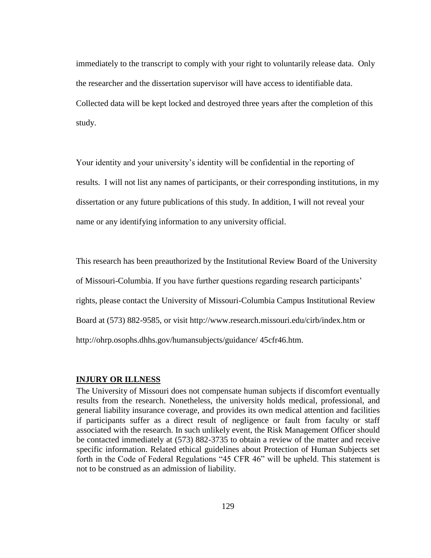immediately to the transcript to comply with your right to voluntarily release data. Only the researcher and the dissertation supervisor will have access to identifiable data. Collected data will be kept locked and destroyed three years after the completion of this study.

Your identity and your university's identity will be confidential in the reporting of results. I will not list any names of participants, or their corresponding institutions, in my dissertation or any future publications of this study. In addition, I will not reveal your name or any identifying information to any university official.

This research has been preauthorized by the Institutional Review Board of the University of Missouri-Columbia. If you have further questions regarding research participants' rights, please contact the University of Missouri-Columbia Campus Institutional Review Board at (573) 882-9585, or visit http://www.research.missouri.edu/cirb/index.htm or http://ohrp.osophs.dhhs.gov/humansubjects/guidance/ 45cfr46.htm.

## **INJURY OR ILLNESS**

The University of Missouri does not compensate human subjects if discomfort eventually results from the research. Nonetheless, the university holds medical, professional, and general liability insurance coverage, and provides its own medical attention and facilities if participants suffer as a direct result of negligence or fault from faculty or staff associated with the research. In such unlikely event, the Risk Management Officer should be contacted immediately at (573) 882-3735 to obtain a review of the matter and receive specific information. Related ethical guidelines about Protection of Human Subjects set forth in the Code of Federal Regulations "45 CFR 46" will be upheld. This statement is not to be construed as an admission of liability.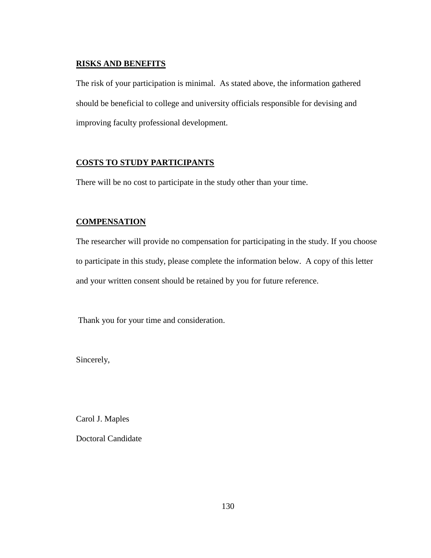# **RISKS AND BENEFITS**

The risk of your participation is minimal. As stated above, the information gathered should be beneficial to college and university officials responsible for devising and improving faculty professional development.

# **COSTS TO STUDY PARTICIPANTS**

There will be no cost to participate in the study other than your time.

# **COMPENSATION**

The researcher will provide no compensation for participating in the study. If you choose to participate in this study, please complete the information below. A copy of this letter and your written consent should be retained by you for future reference.

Thank you for your time and consideration.

Sincerely,

Carol J. Maples

Doctoral Candidate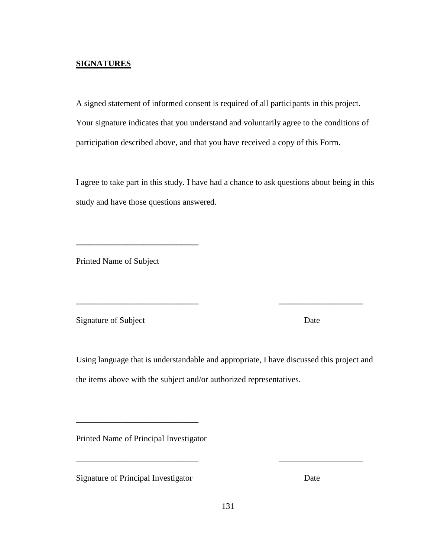## **SIGNATURES**

A signed statement of informed consent is required of all participants in this project. Your signature indicates that you understand and voluntarily agree to the conditions of participation described above, and that you have received a copy of this Form.

I agree to take part in this study. I have had a chance to ask questions about being in this study and have those questions answered.

Printed Name of Subject

**\_\_\_\_\_\_\_\_\_\_\_\_\_\_\_\_\_\_\_\_\_\_\_\_\_\_\_\_\_**

Signature of Subject Date

Using language that is understandable and appropriate, I have discussed this project and the items above with the subject and/or authorized representatives.

**\_\_\_\_\_\_\_\_\_\_\_\_\_\_\_\_\_\_\_\_\_\_\_\_\_\_\_\_\_ \_\_\_\_\_\_\_\_\_\_\_\_\_\_\_\_\_\_\_\_** 

Printed Name of Principal Investigator

**\_\_\_\_\_\_\_\_\_\_\_\_\_\_\_\_\_\_\_\_\_\_\_\_\_\_\_\_\_**

Signature of Principal Investigator Date

\_\_\_\_\_\_\_\_\_\_\_\_\_\_\_\_\_\_\_\_\_\_\_\_\_\_\_\_\_ \_\_\_\_\_\_\_\_\_\_\_\_\_\_\_\_\_\_\_\_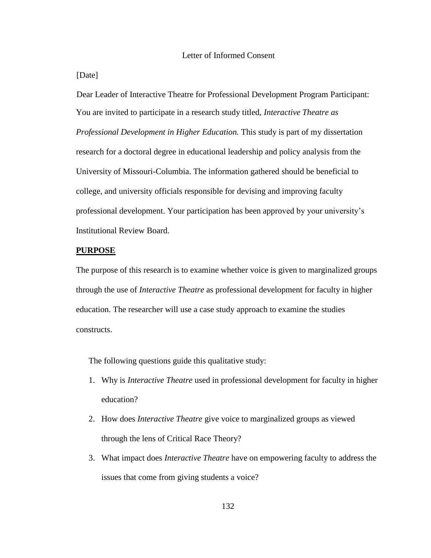## [Date]

Dear Leader of Interactive Theatre for Professional Development Program Participant: You are invited to participate in a research study titled, *Interactive Theatre as Professional Development in Higher Education.* This study is part of my dissertation research for a doctoral degree in educational leadership and policy analysis from the University of Missouri-Columbia. The information gathered should be beneficial to college, and university officials responsible for devising and improving faculty professional development. Your participation has been approved by your university's Institutional Review Board.

## **PURPOSE**

The purpose of this research is to examine whether voice is given to marginalized groups through the use of *Interactive Theatre* as professional development for faculty in higher education. The researcher will use a case study approach to examine the studies constructs.

The following questions guide this qualitative study:

- 1. Why is *Interactive Theatre* used in professional development for faculty in higher education?
- 2. How does *Interactive Theatre* give voice to marginalized groups as viewed through the lens of Critical Race Theory?
- 3. What impact does *Interactive Theatre* have on empowering faculty to address the issues that come from giving students a voice?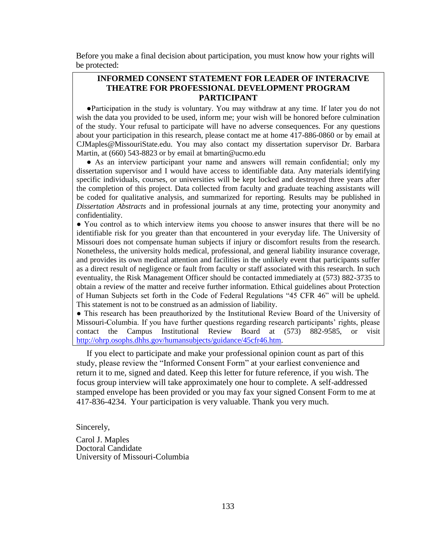Before you make a final decision about participation, you must know how your rights will be protected:

# **INFORMED CONSENT STATEMENT FOR LEADER OF INTERACIVE THEATRE FOR PROFESSIONAL DEVELOPMENT PROGRAM PARTICIPANT**

●Participation in the study is voluntary. You may withdraw at any time. If later you do not wish the data you provided to be used, inform me; your wish will be honored before culmination of the study. Your refusal to participate will have no adverse consequences. For any questions about your participation in this research, please contact me at home 417-886-0860 or by email at CJMaples@MissouriState.edu. You may also contact my dissertation supervisor Dr. Barbara Martin, at (660) 543-8823 or by email at bmartin@ucmo.edu

● As an interview participant your name and answers will remain confidential; only my dissertation supervisor and I would have access to identifiable data. Any materials identifying specific individuals, courses, or universities will be kept locked and destroyed three years after the completion of this project. Data collected from faculty and graduate teaching assistants will be coded for qualitative analysis, and summarized for reporting. Results may be published in *Dissertation Abstracts* and in professional journals at any time, protecting your anonymity and confidentiality.

● You control as to which interview items you choose to answer insures that there will be no identifiable risk for you greater than that encountered in your everyday life. The University of Missouri does not compensate human subjects if injury or discomfort results from the research. Nonetheless, the university holds medical, professional, and general liability insurance coverage, and provides its own medical attention and facilities in the unlikely event that participants suffer as a direct result of negligence or fault from faculty or staff associated with this research. In such eventuality, the Risk Management Officer should be contacted immediately at (573) 882-3735 to obtain a review of the matter and receive further information. Ethical guidelines about Protection of Human Subjects set forth in the Code of Federal Regulations "45 CFR 46" will be upheld. This statement is not to be construed as an admission of liability.

● This research has been preauthorized by the Institutional Review Board of the University of Missouri-Columbia. If you have further questions regarding research participants' rights, please contact the Campus Institutional Review Board at (573) 882-9585, or visit [http://ohrp.osophs.dhhs.gov/humansubjects/guidance/45cfr46.htm.](http://ohrp.osophs.dhhs.gov/humansubjects/guidance/45cfr46.htm)

If you elect to participate and make your professional opinion count as part of this study, please review the "Informed Consent Form" at your earliest convenience and return it to me, signed and dated. Keep this letter for future reference, if you wish. The focus group interview will take approximately one hour to complete. A self-addressed stamped envelope has been provided or you may fax your signed Consent Form to me at 417-836-4234. Your participation is very valuable. Thank you very much.

Sincerely,

Carol J. Maples Doctoral Candidate University of Missouri-Columbia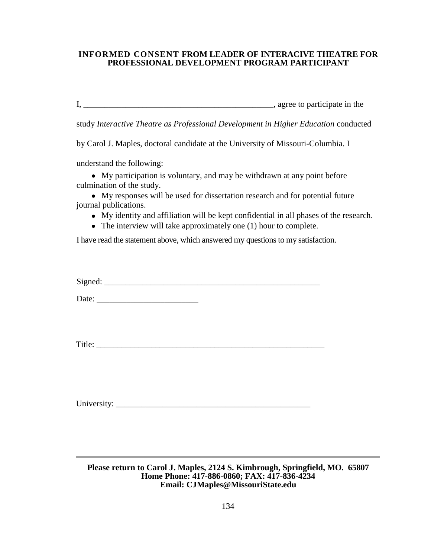## **INFORMED CONSENT FROM LEADER OF INTERACIVE THEATRE FOR PROFESSIONAL DEVELOPMENT PROGRAM PARTICIPANT**

I, \_\_\_\_\_\_\_\_\_\_\_\_\_\_\_\_\_\_\_\_\_\_\_\_\_\_\_\_\_\_\_\_\_\_\_\_\_\_\_\_\_\_\_\_\_, agree to participate in the

study *Interactive Theatre as Professional Development in Higher Education* conducted

by Carol J. Maples, doctoral candidate at the University of Missouri-Columbia. I

understand the following:

My participation is voluntary, and may be withdrawn at any point before culmination of the study.

My responses will be used for dissertation research and for potential future journal publications.

- My identity and affiliation will be kept confidential in all phases of the research.
- The interview will take approximately one (1) hour to complete.

I have read the statement above, which answered my questions to my satisfaction.

 $Signed:$ 

Date:

Title: \_\_\_\_\_\_\_\_\_\_\_\_\_\_\_\_\_\_\_\_\_\_\_\_\_\_\_\_\_\_\_\_\_\_\_\_\_\_\_\_\_\_\_\_\_\_\_\_\_\_\_\_\_\_

University:

**Please return to Carol J. Maples, 2124 S. Kimbrough, Springfield, MO. 65807 Home Phone: 417-886-0860; FAX: 417-836-4234 Email: CJMaples@MissouriState.edu**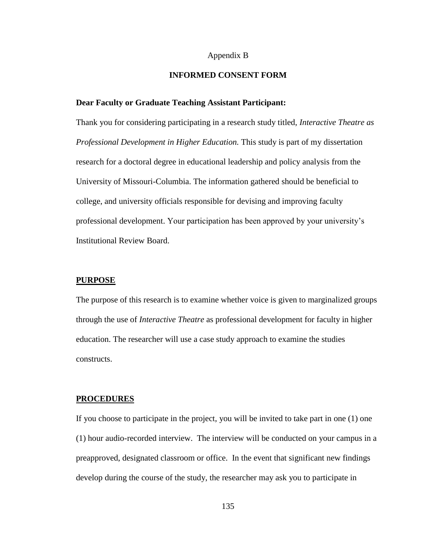## Appendix B

## **INFORMED CONSENT FORM**

## **Dear Faculty or Graduate Teaching Assistant Participant:**

Thank you for considering participating in a research study titled, *Interactive Theatre as Professional Development in Higher Education.* This study is part of my dissertation research for a doctoral degree in educational leadership and policy analysis from the University of Missouri-Columbia. The information gathered should be beneficial to college, and university officials responsible for devising and improving faculty professional development. Your participation has been approved by your university's Institutional Review Board.

## **PURPOSE**

The purpose of this research is to examine whether voice is given to marginalized groups through the use of *Interactive Theatre* as professional development for faculty in higher education. The researcher will use a case study approach to examine the studies constructs.

## **PROCEDURES**

If you choose to participate in the project, you will be invited to take part in one (1) one (1) hour audio-recorded interview. The interview will be conducted on your campus in a preapproved, designated classroom or office. In the event that significant new findings develop during the course of the study, the researcher may ask you to participate in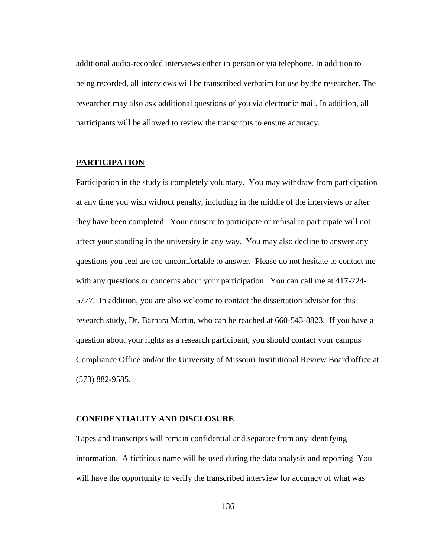additional audio-recorded interviews either in person or via telephone. In addition to being recorded, all interviews will be transcribed verbatim for use by the researcher. The researcher may also ask additional questions of you via electronic mail. In addition, all participants will be allowed to review the transcripts to ensure accuracy.

# **PARTICIPATION**

Participation in the study is completely voluntary. You may withdraw from participation at any time you wish without penalty, including in the middle of the interviews or after they have been completed. Your consent to participate or refusal to participate will not affect your standing in the university in any way. You may also decline to answer any questions you feel are too uncomfortable to answer. Please do not hesitate to contact me with any questions or concerns about your participation. You can call me at 417-224- 5777. In addition, you are also welcome to contact the dissertation advisor for this research study, Dr. Barbara Martin, who can be reached at 660-543-8823. If you have a question about your rights as a research participant, you should contact your campus Compliance Office and/or the University of Missouri Institutional Review Board office at (573) 882-9585.

## **CONFIDENTIALITY AND DISCLOSURE**

Tapes and transcripts will remain confidential and separate from any identifying information. A fictitious name will be used during the data analysis and reporting You will have the opportunity to verify the transcribed interview for accuracy of what was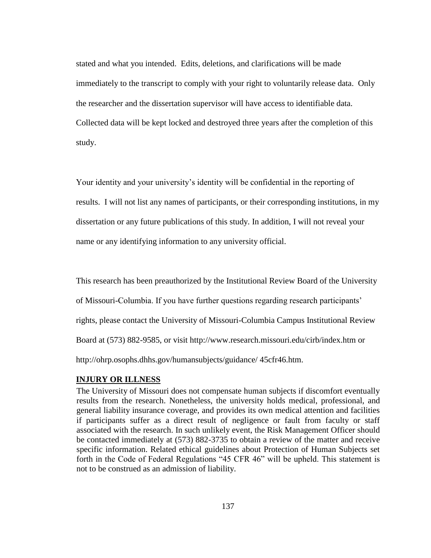stated and what you intended. Edits, deletions, and clarifications will be made immediately to the transcript to comply with your right to voluntarily release data. Only the researcher and the dissertation supervisor will have access to identifiable data. Collected data will be kept locked and destroyed three years after the completion of this study.

Your identity and your university's identity will be confidential in the reporting of results. I will not list any names of participants, or their corresponding institutions, in my dissertation or any future publications of this study. In addition, I will not reveal your name or any identifying information to any university official.

This research has been preauthorized by the Institutional Review Board of the University of Missouri-Columbia. If you have further questions regarding research participants' rights, please contact the University of Missouri-Columbia Campus Institutional Review Board at (573) 882-9585, or visit http://www.research.missouri.edu/cirb/index.htm or http://ohrp.osophs.dhhs.gov/humansubjects/guidance/ 45cfr46.htm.

# **INJURY OR ILLNESS**

The University of Missouri does not compensate human subjects if discomfort eventually results from the research. Nonetheless, the university holds medical, professional, and general liability insurance coverage, and provides its own medical attention and facilities if participants suffer as a direct result of negligence or fault from faculty or staff associated with the research. In such unlikely event, the Risk Management Officer should be contacted immediately at (573) 882-3735 to obtain a review of the matter and receive specific information. Related ethical guidelines about Protection of Human Subjects set forth in the Code of Federal Regulations "45 CFR 46" will be upheld. This statement is not to be construed as an admission of liability.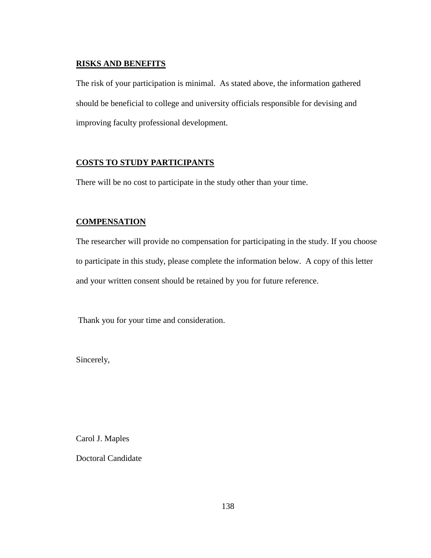## **RISKS AND BENEFITS**

The risk of your participation is minimal. As stated above, the information gathered should be beneficial to college and university officials responsible for devising and improving faculty professional development.

# **COSTS TO STUDY PARTICIPANTS**

There will be no cost to participate in the study other than your time.

# **COMPENSATION**

The researcher will provide no compensation for participating in the study. If you choose to participate in this study, please complete the information below. A copy of this letter and your written consent should be retained by you for future reference.

Thank you for your time and consideration.

Sincerely,

Carol J. Maples

Doctoral Candidate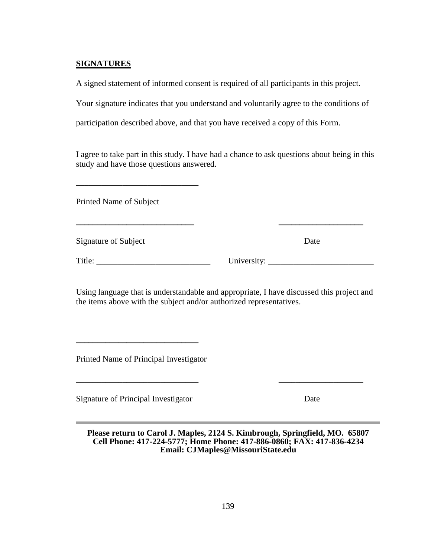# **SIGNATURES**

A signed statement of informed consent is required of all participants in this project.

Your signature indicates that you understand and voluntarily agree to the conditions of

participation described above, and that you have received a copy of this Form.

I agree to take part in this study. I have had a chance to ask questions about being in this study and have those questions answered.

**\_\_\_\_\_\_\_\_\_\_\_\_\_\_\_\_\_\_\_\_\_\_\_\_\_\_\_\_ \_\_\_\_\_\_\_\_\_\_\_\_\_\_\_\_\_\_\_\_** 

Printed Name of Subject

**\_\_\_\_\_\_\_\_\_\_\_\_\_\_\_\_\_\_\_\_\_\_\_\_\_\_\_\_\_**

Signature of Subject Date

Title: \_\_\_\_\_\_\_\_\_\_\_\_\_\_\_\_\_\_\_\_\_\_\_\_\_\_\_ University: \_\_\_\_\_\_\_\_\_\_\_\_\_\_\_\_\_\_\_\_\_\_\_\_\_

Using language that is understandable and appropriate, I have discussed this project and the items above with the subject and/or authorized representatives.

Printed Name of Principal Investigator

**\_\_\_\_\_\_\_\_\_\_\_\_\_\_\_\_\_\_\_\_\_\_\_\_\_\_\_\_\_**

Signature of Principal Investigator Date

**Please return to Carol J. Maples, 2124 S. Kimbrough, Springfield, MO. 65807 Cell Phone: 417-224-5777; Home Phone: 417-886-0860; FAX: 417-836-4234 Email: CJMaples@MissouriState.edu**

\_\_\_\_\_\_\_\_\_\_\_\_\_\_\_\_\_\_\_\_\_\_\_\_\_\_\_\_\_ \_\_\_\_\_\_\_\_\_\_\_\_\_\_\_\_\_\_\_\_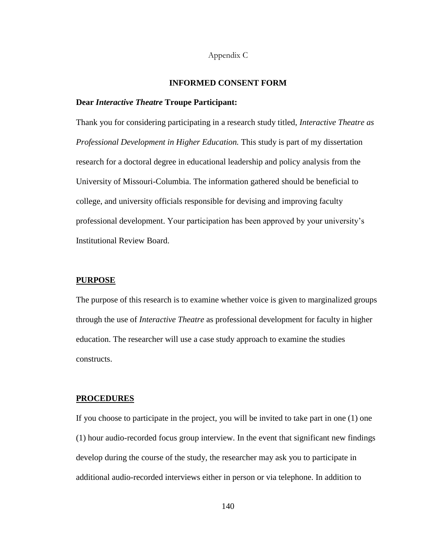### Appendix C

### **INFORMED CONSENT FORM**

#### **Dear** *Interactive Theatre* **Troupe Participant:**

Thank you for considering participating in a research study titled, *Interactive Theatre as Professional Development in Higher Education.* This study is part of my dissertation research for a doctoral degree in educational leadership and policy analysis from the University of Missouri-Columbia. The information gathered should be beneficial to college, and university officials responsible for devising and improving faculty professional development. Your participation has been approved by your university's Institutional Review Board.

## **PURPOSE**

The purpose of this research is to examine whether voice is given to marginalized groups through the use of *Interactive Theatre* as professional development for faculty in higher education. The researcher will use a case study approach to examine the studies constructs.

#### **PROCEDURES**

If you choose to participate in the project, you will be invited to take part in one (1) one (1) hour audio-recorded focus group interview. In the event that significant new findings develop during the course of the study, the researcher may ask you to participate in additional audio-recorded interviews either in person or via telephone. In addition to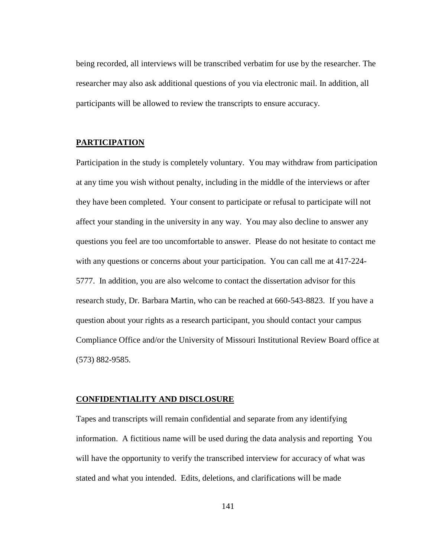being recorded, all interviews will be transcribed verbatim for use by the researcher. The researcher may also ask additional questions of you via electronic mail. In addition, all participants will be allowed to review the transcripts to ensure accuracy.

## **PARTICIPATION**

Participation in the study is completely voluntary. You may withdraw from participation at any time you wish without penalty, including in the middle of the interviews or after they have been completed. Your consent to participate or refusal to participate will not affect your standing in the university in any way. You may also decline to answer any questions you feel are too uncomfortable to answer. Please do not hesitate to contact me with any questions or concerns about your participation. You can call me at 417-224- 5777. In addition, you are also welcome to contact the dissertation advisor for this research study, Dr. Barbara Martin, who can be reached at 660-543-8823. If you have a question about your rights as a research participant, you should contact your campus Compliance Office and/or the University of Missouri Institutional Review Board office at (573) 882-9585.

## **CONFIDENTIALITY AND DISCLOSURE**

Tapes and transcripts will remain confidential and separate from any identifying information. A fictitious name will be used during the data analysis and reporting You will have the opportunity to verify the transcribed interview for accuracy of what was stated and what you intended. Edits, deletions, and clarifications will be made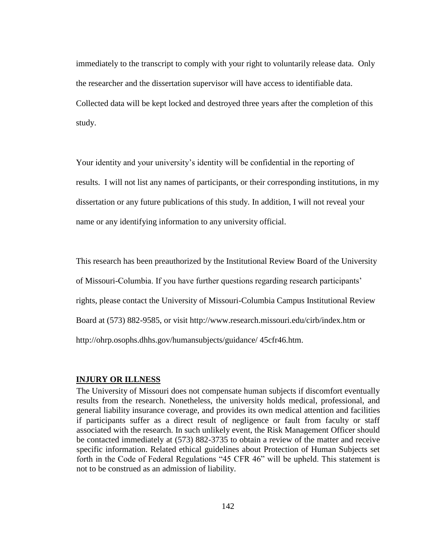immediately to the transcript to comply with your right to voluntarily release data. Only the researcher and the dissertation supervisor will have access to identifiable data. Collected data will be kept locked and destroyed three years after the completion of this study.

Your identity and your university's identity will be confidential in the reporting of results. I will not list any names of participants, or their corresponding institutions, in my dissertation or any future publications of this study. In addition, I will not reveal your name or any identifying information to any university official.

This research has been preauthorized by the Institutional Review Board of the University of Missouri-Columbia. If you have further questions regarding research participants' rights, please contact the University of Missouri-Columbia Campus Institutional Review Board at (573) 882-9585, or visit http://www.research.missouri.edu/cirb/index.htm or http://ohrp.osophs.dhhs.gov/humansubjects/guidance/ 45cfr46.htm.

### **INJURY OR ILLNESS**

The University of Missouri does not compensate human subjects if discomfort eventually results from the research. Nonetheless, the university holds medical, professional, and general liability insurance coverage, and provides its own medical attention and facilities if participants suffer as a direct result of negligence or fault from faculty or staff associated with the research. In such unlikely event, the Risk Management Officer should be contacted immediately at (573) 882-3735 to obtain a review of the matter and receive specific information. Related ethical guidelines about Protection of Human Subjects set forth in the Code of Federal Regulations "45 CFR 46" will be upheld. This statement is not to be construed as an admission of liability.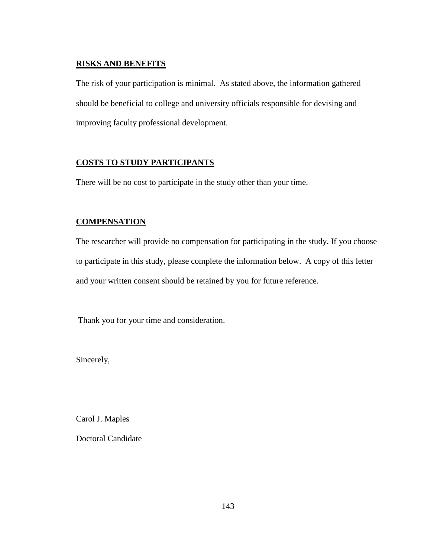# **RISKS AND BENEFITS**

The risk of your participation is minimal. As stated above, the information gathered should be beneficial to college and university officials responsible for devising and improving faculty professional development.

# **COSTS TO STUDY PARTICIPANTS**

There will be no cost to participate in the study other than your time.

# **COMPENSATION**

The researcher will provide no compensation for participating in the study. If you choose to participate in this study, please complete the information below. A copy of this letter and your written consent should be retained by you for future reference.

Thank you for your time and consideration.

Sincerely,

Carol J. Maples

Doctoral Candidate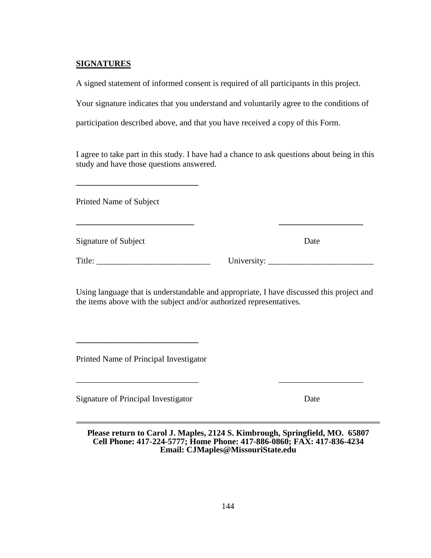# **SIGNATURES**

A signed statement of informed consent is required of all participants in this project.

Your signature indicates that you understand and voluntarily agree to the conditions of

participation described above, and that you have received a copy of this Form.

I agree to take part in this study. I have had a chance to ask questions about being in this study and have those questions answered.

**\_\_\_\_\_\_\_\_\_\_\_\_\_\_\_\_\_\_\_\_\_\_\_\_\_\_\_\_ \_\_\_\_\_\_\_\_\_\_\_\_\_\_\_\_\_\_\_\_** 

Printed Name of Subject

**\_\_\_\_\_\_\_\_\_\_\_\_\_\_\_\_\_\_\_\_\_\_\_\_\_\_\_\_\_**

Signature of Subject Date

Title: \_\_\_\_\_\_\_\_\_\_\_\_\_\_\_\_\_\_\_\_\_\_\_\_\_\_\_ University: \_\_\_\_\_\_\_\_\_\_\_\_\_\_\_\_\_\_\_\_\_\_\_\_\_

Using language that is understandable and appropriate, I have discussed this project and the items above with the subject and/or authorized representatives.

Printed Name of Principal Investigator

**\_\_\_\_\_\_\_\_\_\_\_\_\_\_\_\_\_\_\_\_\_\_\_\_\_\_\_\_\_**

Signature of Principal Investigator Date

**Please return to Carol J. Maples, 2124 S. Kimbrough, Springfield, MO. 65807 Cell Phone: 417-224-5777; Home Phone: 417-886-0860; FAX: 417-836-4234 Email: CJMaples@MissouriState.edu**

\_\_\_\_\_\_\_\_\_\_\_\_\_\_\_\_\_\_\_\_\_\_\_\_\_\_\_\_\_ \_\_\_\_\_\_\_\_\_\_\_\_\_\_\_\_\_\_\_\_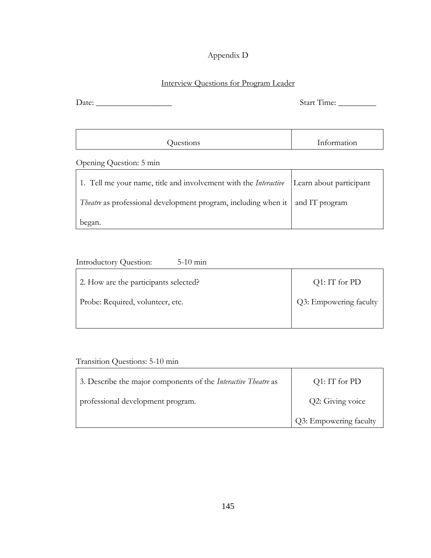# Appendix D

# Interview Questions for Program Leader

Date: \_\_\_\_\_\_\_\_\_\_\_\_\_\_\_\_\_\_ Start Time: \_\_\_\_\_\_\_\_\_

# Opening Question: 5 min

| 1. Tell me your name, title and involvement with the <i>Interactive</i>   Learn about participant |  |
|---------------------------------------------------------------------------------------------------|--|
| <i>Theatre</i> as professional development program, including when it and IT program              |  |
| began.                                                                                            |  |

| $5-10$ min<br>Introductory Question:  |                        |
|---------------------------------------|------------------------|
| 2. How are the participants selected? | $Q1$ : IT for PD       |
| Probe: Required, volunteer, etc.      | Q3: Empowering faculty |
|                                       |                        |

Transition Questions: 5-10 min

| 3. Describe the major components of the <i>Interactive Theatre</i> as | $Q1:IT$ for PD         |
|-----------------------------------------------------------------------|------------------------|
| professional development program.                                     | Q2: Giving voice       |
|                                                                       | Q3: Empowering faculty |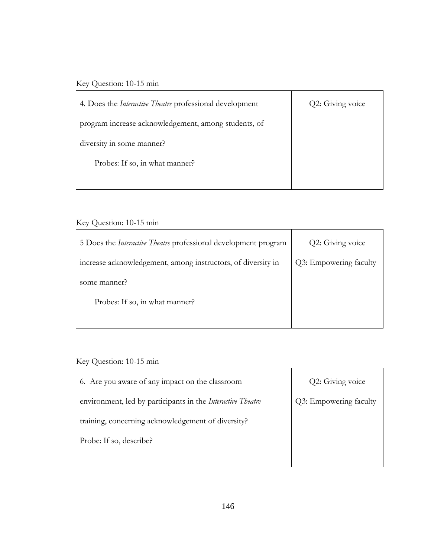# Key Question: 10-15 min

| 4. Does the <i>Interactive Theatre</i> professional development | Q2: Giving voice |
|-----------------------------------------------------------------|------------------|
| program increase acknowledgement, among students, of            |                  |
| diversity in some manner?                                       |                  |
| Probes: If so, in what manner?                                  |                  |
|                                                                 |                  |

# Key Question: 10-15 min

| 5 Does the <i>Interactive Theatre</i> professional development program | Q2: Giving voice       |
|------------------------------------------------------------------------|------------------------|
| increase acknowledgement, among instructors, of diversity in           | Q3: Empowering faculty |
| some manner?                                                           |                        |
| Probes: If so, in what manner?                                         |                        |
|                                                                        |                        |

# Key Question: 10-15 min

| 6. Are you aware of any impact on the classroom             | Q2: Giving voice       |
|-------------------------------------------------------------|------------------------|
| environment, led by participants in the Interactive Theatre | Q3: Empowering faculty |
| training, concerning acknowledgement of diversity?          |                        |
| Probe: If so, describe?                                     |                        |
|                                                             |                        |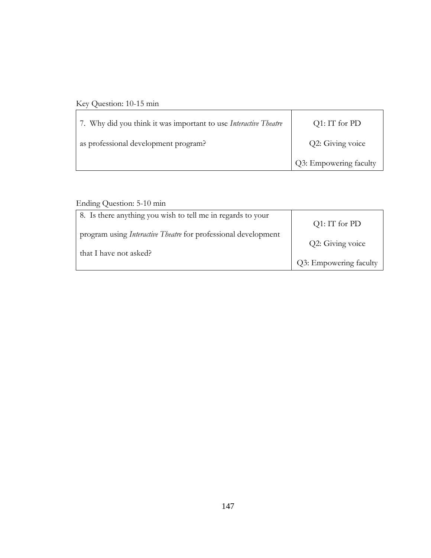# Key Question: 10-15 min

| 7. Why did you think it was important to use Interactive Theatre | $Q1:IT$ for PD                      |
|------------------------------------------------------------------|-------------------------------------|
| as professional development program?                             | Q2: Giving voice                    |
|                                                                  | <sup>1</sup> Q3: Empowering faculty |

# Ending Question: 5-10 min

| 8. Is there anything you wish to tell me in regards to your           |                        |
|-----------------------------------------------------------------------|------------------------|
|                                                                       | $Q1:IT$ for PD         |
| program using <i>Interactive Theatre</i> for professional development |                        |
|                                                                       | Q2: Giving voice       |
| that I have not asked?                                                |                        |
|                                                                       | Q3: Empowering faculty |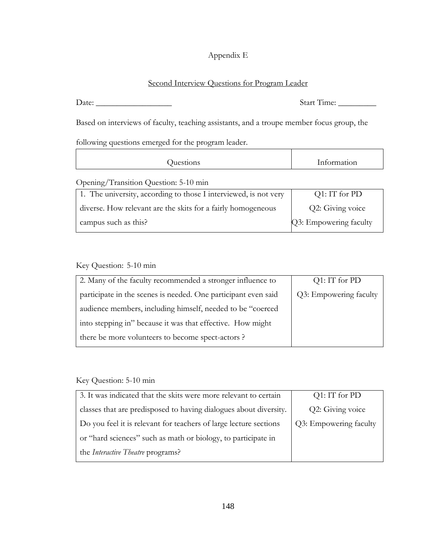# Appendix E

# Second Interview Questions for Program Leader

Date: \_\_\_\_\_\_\_\_\_\_\_\_\_\_\_\_\_\_ Start Time: \_\_\_\_\_\_\_\_\_

Based on interviews of faculty, teaching assistants, and a troupe member focus group, the

following questions emerged for the program leader.

| $\sim$ | Information<br>Juestions |
|--------|--------------------------|
|--------|--------------------------|

# Opening/Transition Question: 5-10 min

| 1. The university, according to those I interviewed, is not very | Q1: IT for PD          |
|------------------------------------------------------------------|------------------------|
| diverse. How relevant are the skits for a fairly homogeneous     | Q2: Giving voice       |
| campus such as this?                                             | Q3: Empowering faculty |

# Key Question: 5-10 min

| $Q1$ : IT for PD       |
|------------------------|
| Q3: Empowering faculty |
|                        |
|                        |
|                        |
|                        |

# Key Question: 5-10 min

| 3. It was indicated that the skits were more relevant to certain  | $Q1$ : IT for PD       |
|-------------------------------------------------------------------|------------------------|
| classes that are predisposed to having dialogues about diversity. | Q2: Giving voice       |
| Do you feel it is relevant for teachers of large lecture sections | Q3: Empowering faculty |
| or "hard sciences" such as math or biology, to participate in     |                        |
| the <i>Interactive Theatre</i> programs?                          |                        |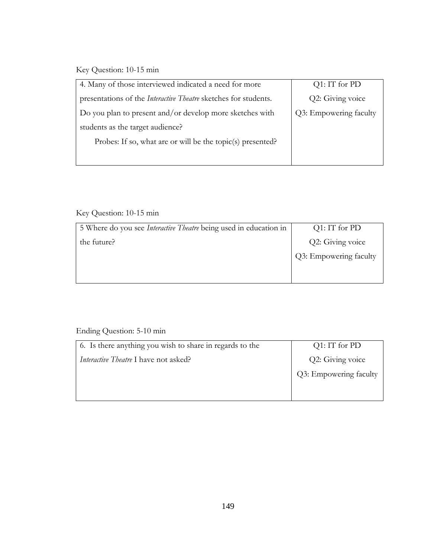Key Question: 10-15 min

| 4. Many of those interviewed indicated a need for more                 | $Q1$ : IT for PD       |
|------------------------------------------------------------------------|------------------------|
| presentations of the <i>Interactive Theatre</i> sketches for students. | Q2: Giving voice       |
| Do you plan to present and/or develop more sketches with               | Q3: Empowering faculty |
| students as the target audience?                                       |                        |
| Probes: If so, what are or will be the topic(s) presented?             |                        |
|                                                                        |                        |

# Key Question: 10-15 min

| 5 Where do you see <i>Interactive Theatre</i> being used in education in | $Q1$ : IT for PD       |
|--------------------------------------------------------------------------|------------------------|
| the future?                                                              | Q2: Giving voice       |
|                                                                          | Q3: Empowering faculty |
|                                                                          |                        |
|                                                                          |                        |

# Ending Question: 5-10 min

| 6. Is there anything you wish to share in regards to the | $Q1:IT$ for PD         |
|----------------------------------------------------------|------------------------|
| <i>Interactive Theatre I have not asked?</i>             | Q2: Giving voice       |
|                                                          | Q3: Empowering faculty |
|                                                          |                        |
|                                                          |                        |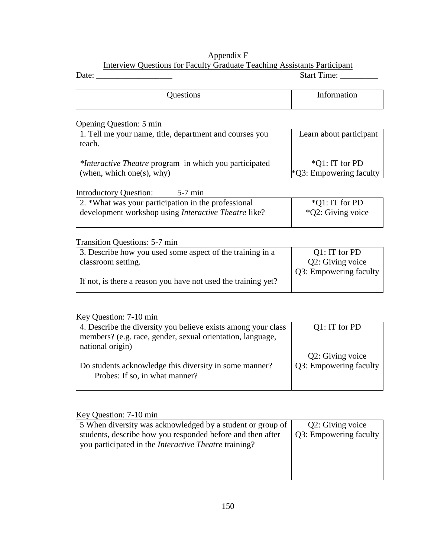## Appendix F

# Interview Questions for Faculty Graduate Teaching Assistants Participant

| Date:                                                             | <b>Start Time:</b>         |
|-------------------------------------------------------------------|----------------------------|
| Questions                                                         | Information                |
| Opening Question: 5 min                                           |                            |
| 1. Tell me your name, title, department and courses you<br>teach. | Learn about participant    |
| <i>*Interactive Theatre</i> program in which you participated     | *Q1: IT for PD             |
| (when, which one(s), why)                                         | $*Q3$ : Empowering faculty |
| <b>Introductory Question:</b><br>$5-7$ min                        |                            |
| 2. *What was your participation in the professional               | $*Q1$ : IT for PD          |
| development workshop using <i>Interactive Theatre</i> like?       | *Q2: Giving voice          |
| <b>Transition Questions: 5-7 min</b>                              |                            |
| 3. Describe how you used some aspect of the training in a         | Q1: IT for PD              |
| classroom setting.                                                | Q2: Giving voice           |
|                                                                   | Q3: Empowering faculty     |
| If not, is there a reason you have not used the training yet?     |                            |

# Key Question: 7-10 min

| 4. Describe the diversity you believe exists among your class | $Q1: IT$ for PD        |
|---------------------------------------------------------------|------------------------|
| members? (e.g. race, gender, sexual orientation, language,    |                        |
| national origin)                                              |                        |
|                                                               | Q2: Giving voice       |
| Do students acknowledge this diversity in some manner?        | Q3: Empowering faculty |
| Probes: If so, in what manner?                                |                        |
|                                                               |                        |

# Key Question: 7-10 min

| 5 When diversity was acknowledged by a student or group of   | Q2: Giving voice       |
|--------------------------------------------------------------|------------------------|
| students, describe how you responded before and then after   | Q3: Empowering faculty |
| you participated in the <i>Interactive Theatre</i> training? |                        |
|                                                              |                        |
|                                                              |                        |
|                                                              |                        |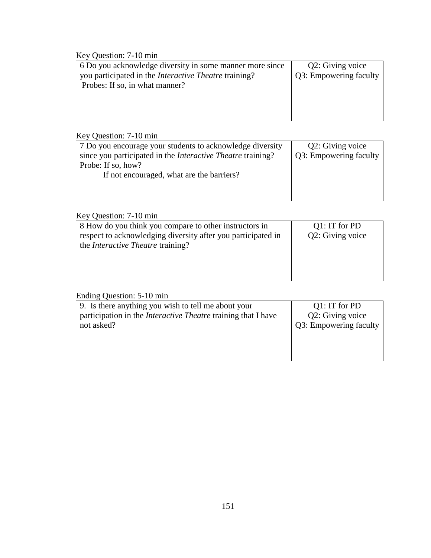Key Question: 7-10 min

| 6 Do you acknowledge diversity in some manner more since     | Q2: Giving voice       |
|--------------------------------------------------------------|------------------------|
| you participated in the <i>Interactive Theatre</i> training? | Q3: Empowering faculty |
| Probes: If so, in what manner?                               |                        |
|                                                              |                        |
|                                                              |                        |
|                                                              |                        |
|                                                              |                        |

# Key Question: 7-10 min

| 7 Do you encourage your students to acknowledge diversity          | Q2: Giving voice       |
|--------------------------------------------------------------------|------------------------|
| since you participated in the <i>Interactive Theatre</i> training? | Q3: Empowering faculty |
| Probe: If so, how?                                                 |                        |
| If not encouraged, what are the barriers?                          |                        |
|                                                                    |                        |
|                                                                    |                        |

# Key Question: 7-10 min

| 8 How do you think you compare to other instructors in       | $Q1$ : IT for PD |
|--------------------------------------------------------------|------------------|
| respect to acknowledging diversity after you participated in | Q2: Giving voice |
| the <i>Interactive Theatre</i> training?                     |                  |
|                                                              |                  |
|                                                              |                  |
|                                                              |                  |
|                                                              |                  |

# Ending Question: 5-10 min

| 9. Is there anything you wish to tell me about your                                | $Q1$ : IT for PD                           |
|------------------------------------------------------------------------------------|--------------------------------------------|
| participation in the <i>Interactive Theatre</i> training that I have<br>not asked? | Q2: Giving voice<br>Q3: Empowering faculty |
|                                                                                    |                                            |
|                                                                                    |                                            |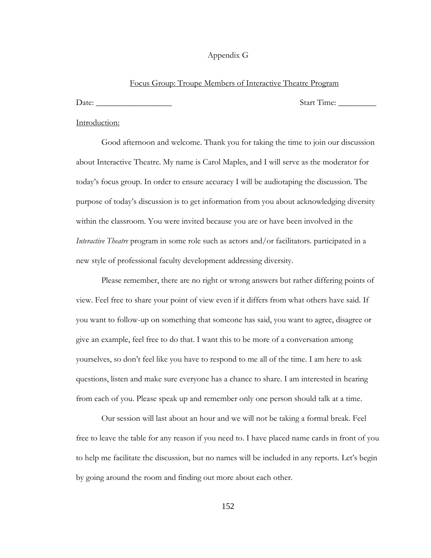## Appendix G

#### Focus Group: Troupe Members of Interactive Theatre Program

Date: \_\_\_\_\_\_\_\_\_\_\_\_\_\_\_\_\_\_ Start Time: \_\_\_\_\_\_\_\_\_

#### Introduction:

Good afternoon and welcome. Thank you for taking the time to join our discussion about Interactive Theatre. My name is Carol Maples, and I will serve as the moderator for today's focus group. In order to ensure accuracy I will be audiotaping the discussion. The purpose of today's discussion is to get information from you about acknowledging diversity within the classroom. You were invited because you are or have been involved in the *Interactive Theatre* program in some role such as actors and/or facilitators. participated in a new style of professional faculty development addressing diversity.

Please remember, there are no right or wrong answers but rather differing points of view. Feel free to share your point of view even if it differs from what others have said. If you want to follow-up on something that someone has said, you want to agree, disagree or give an example, feel free to do that. I want this to be more of a conversation among yourselves, so don't feel like you have to respond to me all of the time. I am here to ask questions, listen and make sure everyone has a chance to share. I am interested in hearing from each of you. Please speak up and remember only one person should talk at a time.

Our session will last about an hour and we will not be taking a formal break. Feel free to leave the table for any reason if you need to. I have placed name cards in front of you to help me facilitate the discussion, but no names will be included in any reports. Let's begin by going around the room and finding out more about each other.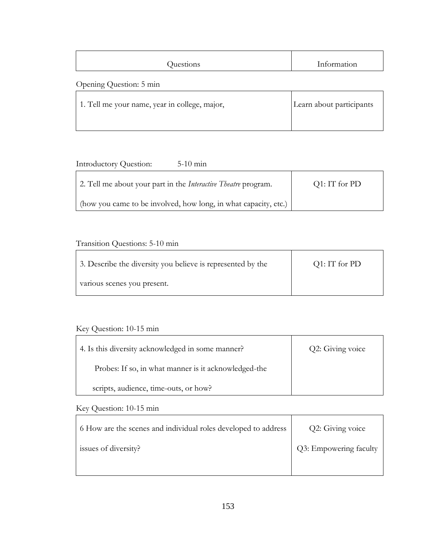| Questions | Information |
|-----------|-------------|
|           |             |

# Opening Question: 5 min

| 1. Tell me your name, year in college, major, | Learn about participants |
|-----------------------------------------------|--------------------------|
|                                               |                          |

# Introductory Question: 5-10 min

| 2. Tell me about your part in the <i>Interactive Theatre</i> program. | $Q1:IT$ for PD |
|-----------------------------------------------------------------------|----------------|
| (how you came to be involved, how long, in what capacity, etc.)       |                |

# Transition Questions: 5-10 min

| 3. Describe the diversity you believe is represented by the | Q1: IT for PD |
|-------------------------------------------------------------|---------------|
| various scenes you present.                                 |               |

# Key Question: 10-15 min

| 4. Is this diversity acknowledged in some manner?    | Q2: Giving voice |
|------------------------------------------------------|------------------|
| Probes: If so, in what manner is it acknowledged-the |                  |
| scripts, audience, time-outs, or how?                |                  |

# Key Question: 10-15 min

| 6 How are the scenes and individual roles developed to address | Q2: Giving voice       |
|----------------------------------------------------------------|------------------------|
| issues of diversity?                                           | Q3: Empowering faculty |
|                                                                |                        |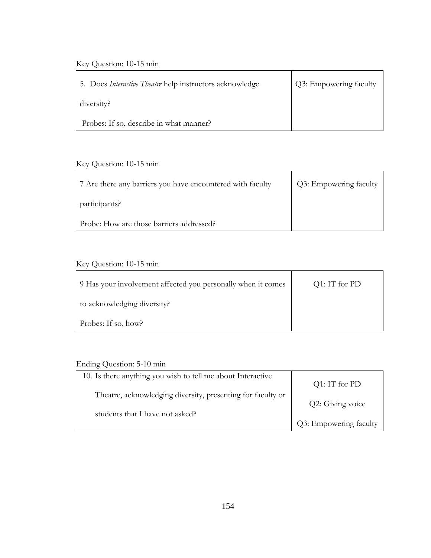# Key Question: 10-15 min

| 5. Does <i>Interactive Theatre</i> help instructors acknowledge | Q3: Empowering faculty |
|-----------------------------------------------------------------|------------------------|
| diversity?                                                      |                        |
| Probes: If so, describe in what manner?                         |                        |

# Key Question: 10-15 min

| 7 Are there any barriers you have encountered with faculty | Q3: Empowering faculty |
|------------------------------------------------------------|------------------------|
| participants?                                              |                        |
| Probe: How are those barriers addressed?                   |                        |

# Key Question: 10-15 min

| 9 Has your involvement affected you personally when it comes | $Q1:IT$ for PD |
|--------------------------------------------------------------|----------------|
| to acknowledging diversity?                                  |                |
| Probes: If so, how?                                          |                |

# Ending Question: 5-10 min

| 10. Is there anything you wish to tell me about Interactive |                        |
|-------------------------------------------------------------|------------------------|
|                                                             | $Q1:IT$ for PD         |
| Theatre, acknowledging diversity, presenting for faculty or |                        |
|                                                             | Q2: Giving voice       |
| students that I have not asked?                             |                        |
|                                                             | Q3: Empowering faculty |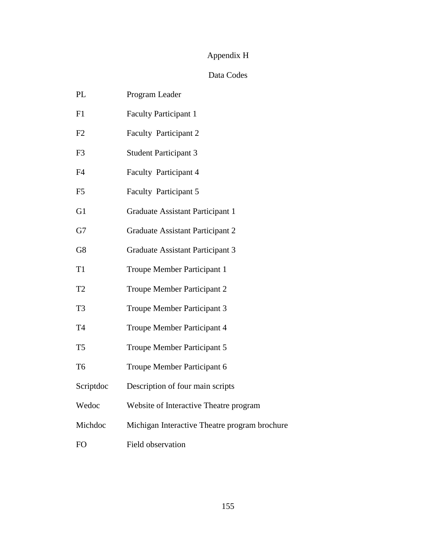# Appendix H

# Data Codes

| PL             | Program Leader                                |
|----------------|-----------------------------------------------|
| F1             | <b>Faculty Participant 1</b>                  |
| F2             | <b>Faculty Participant 2</b>                  |
| F3             | <b>Student Participant 3</b>                  |
| F4             | <b>Faculty Participant 4</b>                  |
| F <sub>5</sub> | <b>Faculty Participant 5</b>                  |
| G1             | Graduate Assistant Participant 1              |
| G7             | Graduate Assistant Participant 2              |
| G8             | Graduate Assistant Participant 3              |
| T <sub>1</sub> | Troupe Member Participant 1                   |
| T <sub>2</sub> | Troupe Member Participant 2                   |
| T <sub>3</sub> | Troupe Member Participant 3                   |
| T4             | Troupe Member Participant 4                   |
| T <sub>5</sub> | Troupe Member Participant 5                   |
| T <sub>6</sub> | Troupe Member Participant 6                   |
| Scriptdoc      | Description of four main scripts              |
| Wedoc          | Website of Interactive Theatre program        |
| Michdoc        | Michigan Interactive Theatre program brochure |
| FO             | <b>Field observation</b>                      |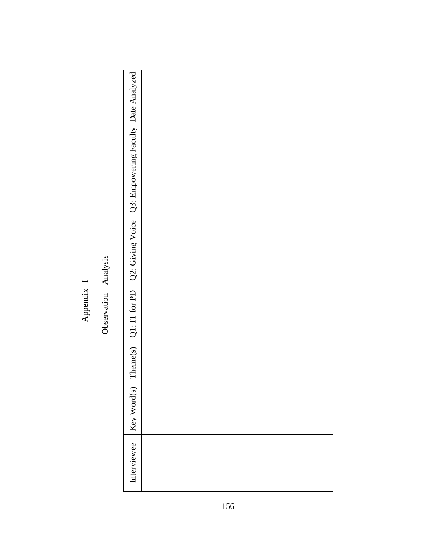# I Analysis Appendix Observation

| Q2: Giving Voice   Q3: Empowering Faculty   Date Analyzed |  |  |  |  |
|-----------------------------------------------------------|--|--|--|--|
|                                                           |  |  |  |  |
| Theme(s) $\vert$ Q1: IT for PD                            |  |  |  |  |
|                                                           |  |  |  |  |
| Key Word(s)                                               |  |  |  |  |
| Interviewee                                               |  |  |  |  |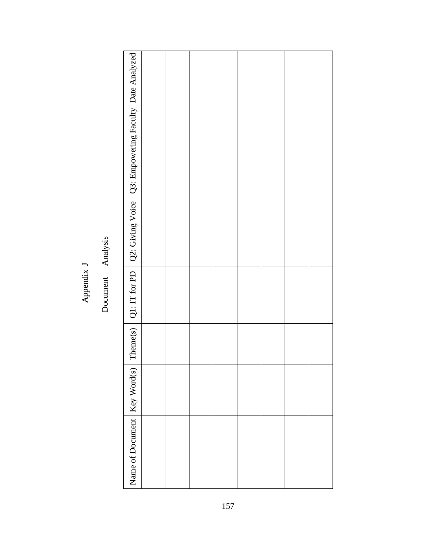J Appendix

Analysis Document

| Theme(s) $\mid$ Q1: IT for PD $\mid$ Q2: Giving Voice $\mid$ Q3: Empowering Faculty $\mid$ Date Analyzed |  |  |  |  |
|----------------------------------------------------------------------------------------------------------|--|--|--|--|
|                                                                                                          |  |  |  |  |
|                                                                                                          |  |  |  |  |
|                                                                                                          |  |  |  |  |
|                                                                                                          |  |  |  |  |
| Name of Document   Key Word(s)                                                                           |  |  |  |  |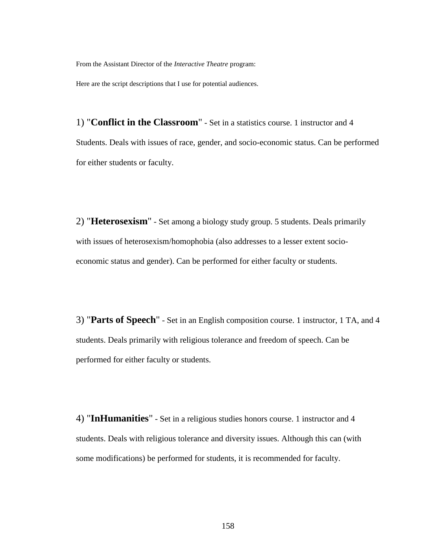From the Assistant Director of the *Interactive Theatre* program:

Here are the script descriptions that I use for potential audiences.

1) "**Conflict in the Classroom**" - Set in a statistics course. 1 instructor and 4 Students. Deals with issues of race, gender, and socio-economic status. Can be performed for either students or faculty.

2) "**Heterosexism**" - Set among a biology study group. 5 students. Deals primarily with issues of heterosexism/homophobia (also addresses to a lesser extent socioeconomic status and gender). Can be performed for either faculty or students.

3) "**Parts of Speech**" - Set in an English composition course. 1 instructor, 1 TA, and 4 students. Deals primarily with religious tolerance and freedom of speech. Can be performed for either faculty or students.

4) "**InHumanities**" - Set in a religious studies honors course. 1 instructor and 4 students. Deals with religious tolerance and diversity issues. Although this can (with some modifications) be performed for students, it is recommended for faculty.